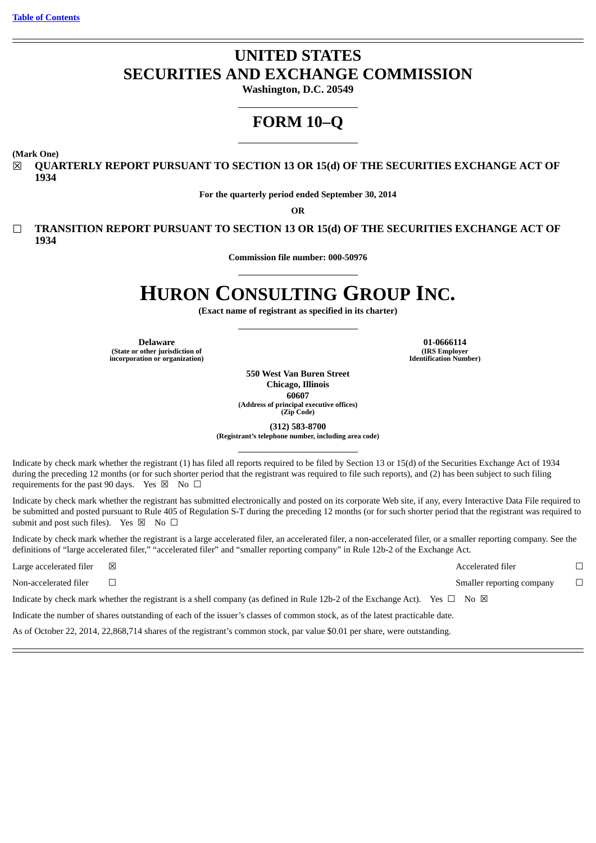# **UNITED STATES SECURITIES AND EXCHANGE COMMISSION**

**Washington, D.C. 20549**

## **FORM 10–Q**

**(Mark One)**

☒ **QUARTERLY REPORT PURSUANT TO SECTION 13 OR 15(d) OF THE SECURITIES EXCHANGE ACT OF 1934**

**For the quarterly period ended September 30, 2014**

**OR**

☐ **TRANSITION REPORT PURSUANT TO SECTION 13 OR 15(d) OF THE SECURITIES EXCHANGE ACT OF 1934**

**Commission file number: 000-50976**

# **HURON CONSULTING GROUP INC.**

**(Exact name of registrant as specified in its charter)**

**(State or other jurisdiction of incorporation or organization)**

**Delaware 01-0666114 (IRS Employer Identification Number)**

> **550 West Van Buren Street Chicago, Illinois 60607 (Address of principal executive offices) (Zip Code)**

> > **(312) 583-8700**

**(Registrant's telephone number, including area code)**

Indicate by check mark whether the registrant (1) has filed all reports required to be filed by Section 13 or 15(d) of the Securities Exchange Act of 1934 during the preceding 12 months (or for such shorter period that the registrant was required to file such reports), and (2) has been subject to such filing requirements for the past 90 days. Yes  $\boxtimes$  No  $\Box$ 

Indicate by check mark whether the registrant has submitted electronically and posted on its corporate Web site, if any, every Interactive Data File required to be submitted and posted pursuant to Rule 405 of Regulation S-T during the preceding 12 months (or for such shorter period that the registrant was required to submit and post such files). Yes  $\boxtimes$  No  $\Box$ 

Indicate by check mark whether the registrant is a large accelerated filer, an accelerated filer, a non-accelerated filer, or a smaller reporting company. See the definitions of "large accelerated filer," "accelerated filer" and "smaller reporting company" in Rule 12b-2 of the Exchange Act.

Large accelerated filer ☒ Accelerated filer ☐

Non-accelerated filer <del>□</del> □

Indicate by check mark whether the registrant is a shell company (as defined in Rule 12b-2 of the Exchange Act). Yes  $\Box$  No  $\boxtimes$ 

Indicate the number of shares outstanding of each of the issuer's classes of common stock, as of the latest practicable date.

As of October 22, 2014, 22,868,714 shares of the registrant's common stock, par value \$0.01 per share, were outstanding.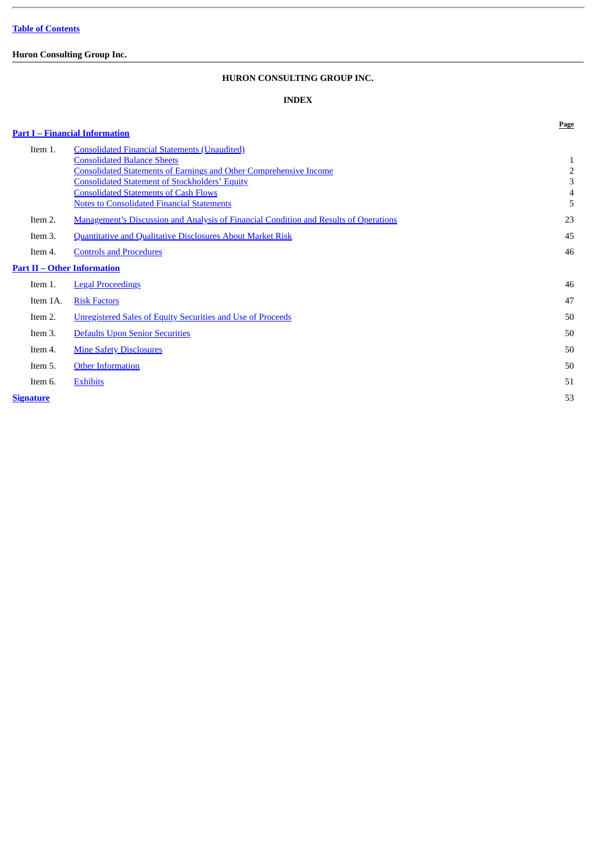## <span id="page-1-0"></span>**Huron Consulting Group Inc.**

## **HURON CONSULTING GROUP INC.**

## **INDEX**

|                                    | <b>Part I - Financial Information</b>                                                                                                                                                                                                                                                                                                 | Page                                          |
|------------------------------------|---------------------------------------------------------------------------------------------------------------------------------------------------------------------------------------------------------------------------------------------------------------------------------------------------------------------------------------|-----------------------------------------------|
| Item 1.                            | <b>Consolidated Financial Statements (Unaudited)</b><br><b>Consolidated Balance Sheets</b><br><b>Consolidated Statements of Earnings and Other Comprehensive Income</b><br><b>Consolidated Statement of Stockholders' Equity</b><br><b>Consolidated Statements of Cash Flows</b><br><b>Notes to Consolidated Financial Statements</b> | $\mathbf{1}$<br>$\overline{2}$<br>3<br>4<br>5 |
| Item 2.                            | <b>Management's Discussion and Analysis of Financial Condition and Results of Operations</b>                                                                                                                                                                                                                                          | 23                                            |
| Item 3.                            | Quantitative and Qualitative Disclosures About Market Risk                                                                                                                                                                                                                                                                            | 45                                            |
| Item 4.                            | <b>Controls and Procedures</b>                                                                                                                                                                                                                                                                                                        | 46                                            |
| <b>Part II - Other Information</b> |                                                                                                                                                                                                                                                                                                                                       |                                               |
| Item 1.                            | <b>Legal Proceedings</b>                                                                                                                                                                                                                                                                                                              | 46                                            |
| Item 1A.                           | <b>Risk Factors</b>                                                                                                                                                                                                                                                                                                                   | 47                                            |
| Item 2.                            | <b>Unregistered Sales of Equity Securities and Use of Proceeds</b>                                                                                                                                                                                                                                                                    | 50                                            |
| Item 3.                            | <b>Defaults Upon Senior Securities</b>                                                                                                                                                                                                                                                                                                | 50                                            |
| Item 4.                            | <b>Mine Safety Disclosures</b>                                                                                                                                                                                                                                                                                                        | 50                                            |
| Item 5.                            | <b>Other Information</b>                                                                                                                                                                                                                                                                                                              | 50                                            |
| Item 6.                            | <b>Exhibits</b>                                                                                                                                                                                                                                                                                                                       | 51                                            |
| <b>Signature</b>                   |                                                                                                                                                                                                                                                                                                                                       | 53                                            |
|                                    |                                                                                                                                                                                                                                                                                                                                       |                                               |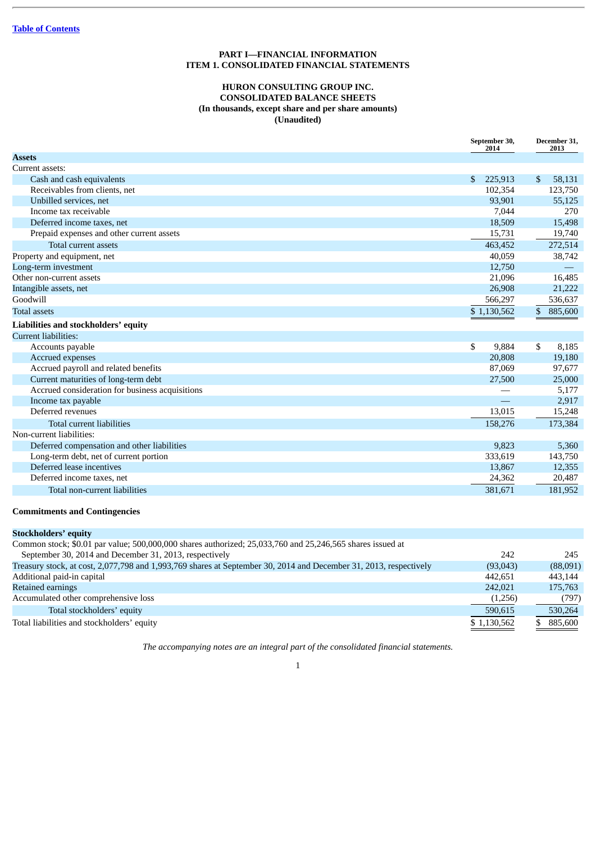#### **PART I—FINANCIAL INFORMATION ITEM 1. CONSOLIDATED FINANCIAL STATEMENTS**

#### **HURON CONSULTING GROUP INC. CONSOLIDATED BALANCE SHEETS (In thousands, except share and per share amounts) (Unaudited)**

<span id="page-2-2"></span><span id="page-2-1"></span><span id="page-2-0"></span>

|                                                 | September 30,<br>2014 | December 31,<br>2013   |
|-------------------------------------------------|-----------------------|------------------------|
| <b>Assets</b>                                   |                       |                        |
| Current assets:                                 |                       |                        |
| Cash and cash equivalents                       | S<br>225,913          | $\mathbb{S}$<br>58,131 |
| Receivables from clients, net                   | 102,354               | 123,750                |
| Unbilled services, net                          | 93,901                | 55,125                 |
| Income tax receivable                           | 7,044                 | 270                    |
| Deferred income taxes, net                      | 18,509                | 15,498                 |
| Prepaid expenses and other current assets       | 15,731                | 19,740                 |
| <b>Total current assets</b>                     | 463,452               | 272,514                |
| Property and equipment, net                     | 40,059                | 38,742                 |
| Long-term investment                            | 12,750                |                        |
| Other non-current assets                        | 21,096                | 16,485                 |
| Intangible assets, net                          | 26,908                | 21,222                 |
| Goodwill                                        | 566,297               | 536,637                |
| <b>Total assets</b>                             | \$1,130,562           | 885,600<br>\$          |
| Liabilities and stockholders' equity            |                       |                        |
| Current liabilities:                            |                       |                        |
| Accounts payable                                | \$<br>9,884           | \$<br>8,185            |
| Accrued expenses                                | 20,808                | 19,180                 |
| Accrued payroll and related benefits            | 87,069                | 97,677                 |
| Current maturities of long-term debt            | 27,500                | 25,000                 |
| Accrued consideration for business acquisitions |                       | 5,177                  |
| Income tax payable                              |                       | 2,917                  |
| Deferred revenues                               | 13,015                | 15,248                 |
| Total current liabilities                       | 158,276               | 173,384                |
| Non-current liabilities:                        |                       |                        |
| Deferred compensation and other liabilities     | 9,823                 | 5,360                  |
| Long-term debt, net of current portion          | 333,619               | 143,750                |
| Deferred lease incentives                       | 13,867                | 12,355                 |
| Deferred income taxes, net                      | 24,362                | 20,487                 |
| Total non-current liabilities                   | 381,671               | 181,952                |

#### **Commitments and Contingencies**

## **Stockholders' equity** Common stock; \$0.01 par value; 500,000,000 shares authorized; 25,033,760 and 25,246,565 shares issued at September 30, 2014 and December 31, 2013, respectively 245 Treasury stock, at cost, 2,077,798 and 1,993,769 shares at September 30, 2014 and December 31, 2013, respectively (93,043) (88,091)<br>Additional paid-in capital 443,144 Additional paid-in capital **Retained earnings** 242,021 175,763 Accumulated other comprehensive loss (797) (797) Total stockholders' equity 590,615 530,264 Total liabilities and stockholders' equity  $\overline{3}$  1,130,562  $\overline{3}$  885,600

*The accompanying notes are an integral part of the consolidated financial statements.*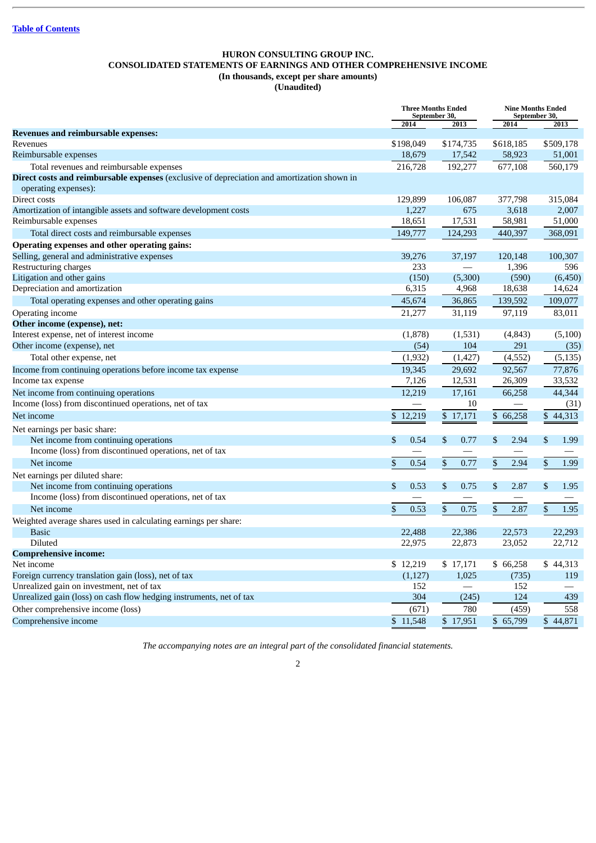## **HURON CONSULTING GROUP INC. CONSOLIDATED STATEMENTS OF EARNINGS AND OTHER COMPREHENSIVE INCOME (In thousands, except per share amounts)**

**(Unaudited)**

<span id="page-3-0"></span>

|                                                                                             | September 30, | <b>Three Months Ended</b>         | <b>Nine Months Ended</b><br>September 30, |            |  |
|---------------------------------------------------------------------------------------------|---------------|-----------------------------------|-------------------------------------------|------------|--|
|                                                                                             | 2014          | 2013                              | 2014                                      | 2013       |  |
| <b>Revenues and reimbursable expenses:</b>                                                  |               |                                   |                                           |            |  |
| Revenues                                                                                    | \$198,049     | \$174,735                         | \$618,185                                 | \$509,178  |  |
| Reimbursable expenses                                                                       | 18,679        | 17,542                            | 58,923                                    | 51,001     |  |
| Total revenues and reimbursable expenses                                                    | 216,728       | 192,277                           | 677,108                                   | 560,179    |  |
| Direct costs and reimbursable expenses (exclusive of depreciation and amortization shown in |               |                                   |                                           |            |  |
| operating expenses):                                                                        |               |                                   |                                           |            |  |
| Direct costs                                                                                | 129,899       | 106,087                           | 377,798                                   | 315,084    |  |
| Amortization of intangible assets and software development costs                            | 1,227         | 675                               | 3,618                                     | 2,007      |  |
| Reimbursable expenses                                                                       | 18,651        | 17,531                            | 58,981                                    | 51,000     |  |
| Total direct costs and reimbursable expenses                                                | 149,777       | 124,293                           | 440,397                                   | 368,091    |  |
| Operating expenses and other operating gains:                                               |               |                                   |                                           |            |  |
| Selling, general and administrative expenses                                                | 39,276        | 37,197                            | 120,148                                   | 100,307    |  |
| Restructuring charges                                                                       | 233           |                                   | 1,396                                     | 596        |  |
| Litigation and other gains                                                                  | (150)         | (5,300)                           | (590)                                     | (6,450)    |  |
| Depreciation and amortization                                                               | 6,315         | 4,968                             | 18,638                                    | 14,624     |  |
| Total operating expenses and other operating gains                                          | 45,674        | 36,865                            | 139,592                                   | 109,077    |  |
| Operating income                                                                            | 21,277        | 31,119                            | 97,119                                    | 83,011     |  |
| Other income (expense), net:                                                                |               |                                   |                                           |            |  |
| Interest expense, net of interest income                                                    | (1,878)       | (1,531)                           | (4, 843)                                  | (5,100)    |  |
| Other income (expense), net                                                                 | (54)          | 104                               | 291                                       | (35)       |  |
| Total other expense, net                                                                    | (1, 932)      | (1, 427)                          | (4, 552)                                  | (5, 135)   |  |
| Income from continuing operations before income tax expense                                 | 19,345        | 29,692                            | 92,567                                    | 77,876     |  |
| Income tax expense                                                                          | 7,126         | 12,531                            | 26,309                                    | 33,532     |  |
| Net income from continuing operations                                                       | 12,219        | 17,161                            | 66,258                                    | 44,344     |  |
| Income (loss) from discontinued operations, net of tax                                      |               | 10                                |                                           | (31)       |  |
| Net income                                                                                  | \$<br>12,219  | \$17,171                          | \$66,258                                  | \$44,313   |  |
|                                                                                             |               |                                   |                                           |            |  |
| Net earnings per basic share:                                                               |               |                                   |                                           |            |  |
| Net income from continuing operations                                                       | \$<br>0.54    | \$<br>0.77                        | \$<br>2.94                                | \$<br>1.99 |  |
| Income (loss) from discontinued operations, net of tax                                      |               |                                   |                                           |            |  |
| Net income                                                                                  | \$<br>0.54    | $$\mathbb{S}$$<br>0.77            | \$<br>2.94                                | \$<br>1.99 |  |
| Net earnings per diluted share:                                                             |               |                                   |                                           |            |  |
| Net income from continuing operations                                                       | \$<br>0.53    | \$<br>0.75                        | \$<br>2.87                                | \$<br>1.95 |  |
| Income (loss) from discontinued operations, net of tax                                      |               |                                   |                                           |            |  |
| Net income                                                                                  | \$<br>0.53    | $\boldsymbol{\mathsf{S}}$<br>0.75 | \$<br>2.87                                | 1.95<br>\$ |  |
| Weighted average shares used in calculating earnings per share:                             |               |                                   |                                           |            |  |
| <b>Basic</b>                                                                                | 22,488        | 22,386                            | 22,573                                    | 22,293     |  |
| Diluted                                                                                     | 22,975        | 22,873                            | 23,052                                    | 22,712     |  |
| <b>Comprehensive income:</b>                                                                |               |                                   |                                           |            |  |
| Net income                                                                                  | \$12,219      | \$17,171                          | \$66,258                                  | \$44,313   |  |
| Foreign currency translation gain (loss), net of tax                                        | (1,127)       | 1,025                             | (735)                                     | 119        |  |
| Unrealized gain on investment, net of tax                                                   | 152           | $\overline{\phantom{0}}$          | 152                                       |            |  |
| Unrealized gain (loss) on cash flow hedging instruments, net of tax                         | 304           | (245)                             | 124                                       | 439        |  |
| Other comprehensive income (loss)                                                           | (671)         | 780                               | (459)                                     | 558        |  |
| Comprehensive income                                                                        | \$11,548      | \$17,951                          | \$65,799                                  | \$44,871   |  |

*The accompanying notes are an integral part of the consolidated financial statements.*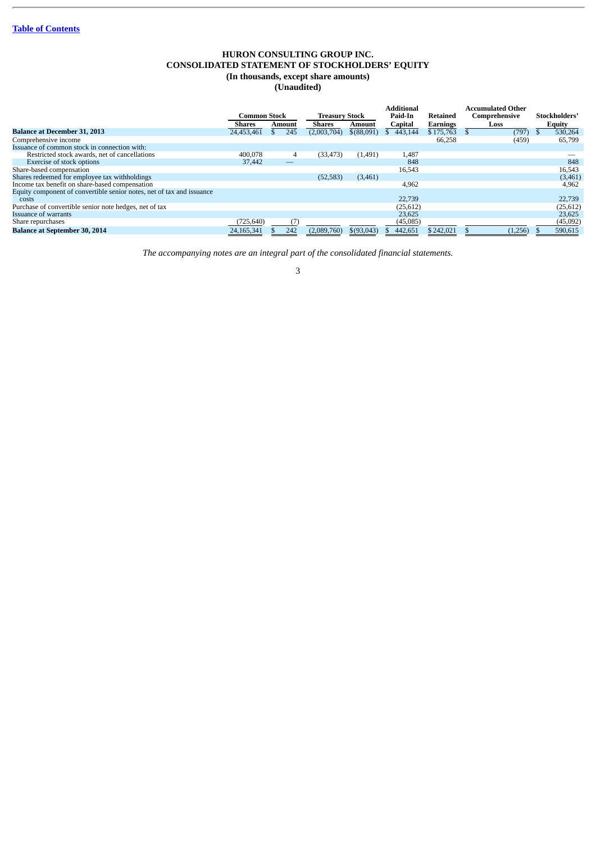## **HURON CONSULTING GROUP INC. CONSOLIDATED STATEMENT OF STOCKHOLDERS' EQUITY (In thousands, except share amounts)**

**(Unaudited)**

<span id="page-4-0"></span>

|                                                                       |                     |                          |                       |            | <b>Additional</b> |                 | <b>Accumulated Other</b> |         |               |
|-----------------------------------------------------------------------|---------------------|--------------------------|-----------------------|------------|-------------------|-----------------|--------------------------|---------|---------------|
|                                                                       | <b>Common Stock</b> |                          | <b>Treasury Stock</b> |            | Paid-In           | Retained        | Comprehensive            |         | Stockholders' |
|                                                                       | Shares              | Amount                   | <b>Shares</b>         | Amount     | Capital           | <b>Earnings</b> | Loss                     |         | Equity        |
| <b>Balance at December 31, 2013</b>                                   | 24,453,461          | 245                      | (2,003,704)           | \$(88,091) | 443,144           | \$175,763       |                          | (797)   | 530,264       |
| Comprehensive income                                                  |                     |                          |                       |            |                   | 66,258          |                          | (459)   | 65,799        |
| Issuance of common stock in connection with:                          |                     |                          |                       |            |                   |                 |                          |         |               |
| Restricted stock awards, net of cancellations                         | 400,078             | 4                        | (33, 473)             | (1,491)    | 1,487             |                 |                          |         |               |
| Exercise of stock options                                             | 37,442              | $\overline{\phantom{m}}$ |                       |            | 848               |                 |                          |         | 848           |
| Share-based compensation                                              |                     |                          |                       |            | 16,543            |                 |                          |         | 16,543        |
| Shares redeemed for employee tax withholdings                         |                     |                          | (52, 583)             | (3,461)    |                   |                 |                          |         | (3,461)       |
| Income tax benefit on share-based compensation                        |                     |                          |                       |            | 4,962             |                 |                          |         | 4,962         |
| Equity component of convertible senior notes, net of tax and issuance |                     |                          |                       |            |                   |                 |                          |         |               |
| <b>COStS</b>                                                          |                     |                          |                       |            | 22,739            |                 |                          |         | 22,739        |
| Purchase of convertible senior note hedges, net of tax                |                     |                          |                       |            | (25, 612)         |                 |                          |         | (25, 612)     |
| Issuance of warrants                                                  |                     |                          |                       |            | 23,625            |                 |                          |         | 23,625        |
| Share repurchases                                                     | (725, 640)          |                          |                       |            | (45,085)          |                 |                          |         | (45,092)      |
| <b>Balance at September 30, 2014</b>                                  | 24,165,341          | 242                      | (2,089,760)           | \$(93,043) | 442,651           | \$242,021       |                          | (1,256) | 590,615       |

*The accompanying notes are an integral part of the consolidated financial statements.*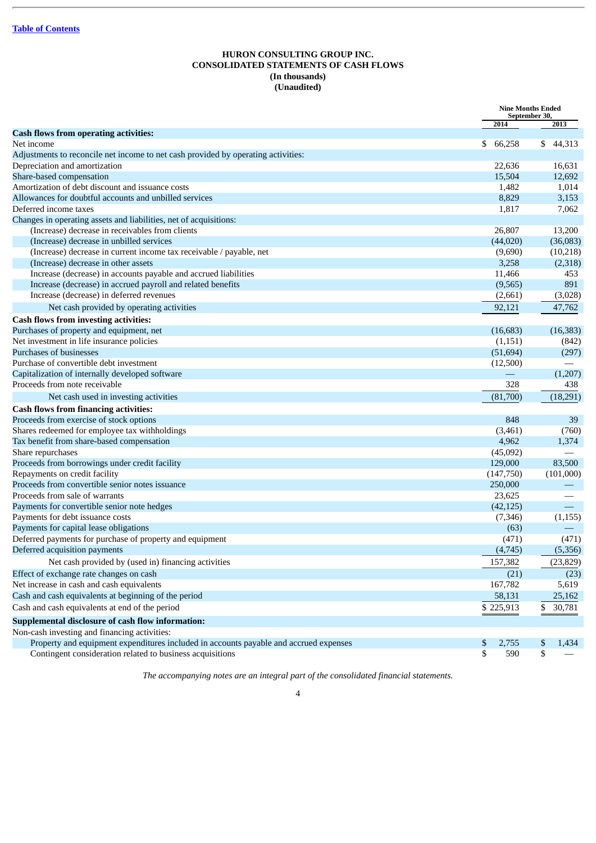#### **HURON CONSULTING GROUP INC. CONSOLIDATED STATEMENTS OF CASH FLOWS (In thousands) (Unaudited)**

<span id="page-5-0"></span>

|                                                                                       | <b>Nine Months Ended</b><br>September 30, |                   |
|---------------------------------------------------------------------------------------|-------------------------------------------|-------------------|
|                                                                                       | 2014                                      | 2013              |
| <b>Cash flows from operating activities:</b>                                          |                                           |                   |
| Net income                                                                            | \$<br>66,258                              | \$<br>44,313      |
| Adjustments to reconcile net income to net cash provided by operating activities:     |                                           |                   |
| Depreciation and amortization                                                         | 22,636                                    | 16,631            |
| Share-based compensation                                                              | 15,504                                    | 12,692            |
| Amortization of debt discount and issuance costs                                      | 1,482                                     | 1,014             |
| Allowances for doubtful accounts and unbilled services                                | 8,829                                     | 3,153             |
| Deferred income taxes                                                                 | 1,817                                     | 7,062             |
| Changes in operating assets and liabilities, net of acquisitions:                     |                                           |                   |
| (Increase) decrease in receivables from clients                                       | 26,807                                    | 13,200            |
| (Increase) decrease in unbilled services                                              | (44,020)                                  | (36,083)          |
| (Increase) decrease in current income tax receivable / payable, net                   | (9,690)                                   | (10, 218)         |
| (Increase) decrease in other assets                                                   | 3,258                                     | (2,318)           |
| Increase (decrease) in accounts payable and accrued liabilities                       | 11,466                                    | 453               |
| Increase (decrease) in accrued payroll and related benefits                           | (9, 565)                                  | 891               |
| Increase (decrease) in deferred revenues                                              | (2,661)                                   | (3,028)           |
| Net cash provided by operating activities                                             | 92,121                                    | 47,762            |
| <b>Cash flows from investing activities:</b>                                          |                                           |                   |
| Purchases of property and equipment, net                                              | (16, 683)                                 | (16, 383)         |
| Net investment in life insurance policies                                             | (1,151)                                   | (842)             |
| Purchases of businesses                                                               | (51, 694)                                 | (297)             |
| Purchase of convertible debt investment                                               | (12,500)                                  |                   |
| Capitalization of internally developed software                                       |                                           | (1,207)           |
| Proceeds from note receivable                                                         | 328                                       | 438               |
| Net cash used in investing activities                                                 | (81,700)                                  | (18, 291)         |
| <b>Cash flows from financing activities:</b>                                          |                                           |                   |
| Proceeds from exercise of stock options                                               | 848                                       | 39                |
| Shares redeemed for employee tax withholdings                                         | (3,461)                                   | (760)             |
| Tax benefit from share-based compensation                                             | 4,962                                     | 1,374             |
| Share repurchases                                                                     | (45,092)                                  |                   |
| Proceeds from borrowings under credit facility                                        | 129,000                                   | 83,500            |
| Repayments on credit facility                                                         | (147,750)                                 | (101,000)         |
| Proceeds from convertible senior notes issuance                                       | 250,000                                   |                   |
| Proceeds from sale of warrants                                                        | 23,625                                    |                   |
| Payments for convertible senior note hedges                                           | (42, 125)                                 | $\qquad \qquad =$ |
| Payments for debt issuance costs                                                      | (7,346)                                   | (1,155)           |
| Payments for capital lease obligations                                                | (63)                                      |                   |
| Deferred payments for purchase of property and equipment                              | (471)                                     | (471)             |
| Deferred acquisition payments                                                         | (4,745)                                   | (5,356)           |
| Net cash provided by (used in) financing activities                                   | 157,382                                   | (23, 829)         |
| Effect of exchange rate changes on cash                                               | (21)                                      | (23)              |
| Net increase in cash and cash equivalents                                             | 167,782                                   | 5,619             |
| Cash and cash equivalents at beginning of the period                                  | 58,131                                    | 25,162            |
| Cash and cash equivalents at end of the period                                        | \$225,913                                 | \$<br>30,781      |
|                                                                                       |                                           |                   |
| Supplemental disclosure of cash flow information:                                     |                                           |                   |
| Non-cash investing and financing activities:                                          |                                           |                   |
| Property and equipment expenditures included in accounts payable and accrued expenses | 2,755<br>\$                               | \$<br>1,434       |
| Contingent consideration related to business acquisitions                             | \$<br>590                                 | \$                |

*The accompanying notes are an integral part of the consolidated financial statements.*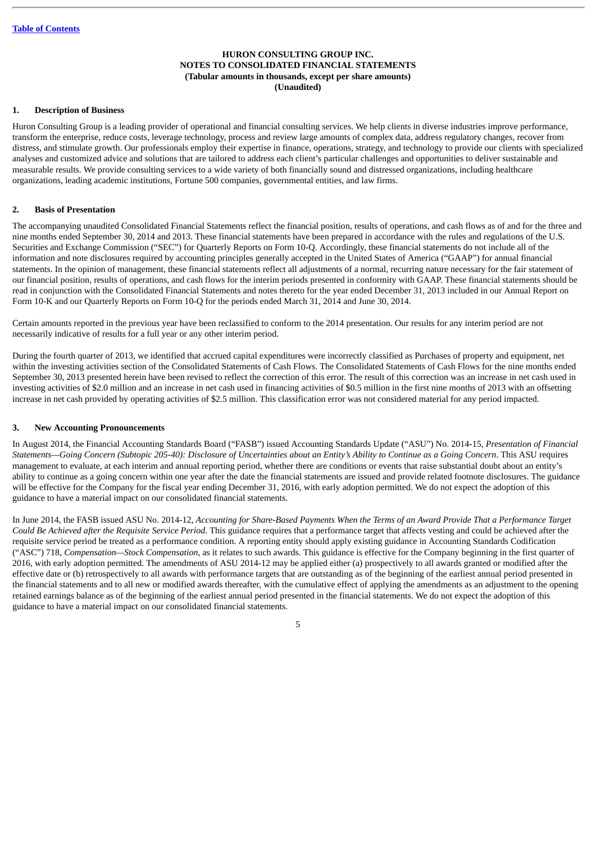#### <span id="page-6-0"></span>**1. Description of Business**

Huron Consulting Group is a leading provider of operational and financial consulting services. We help clients in diverse industries improve performance, transform the enterprise, reduce costs, leverage technology, process and review large amounts of complex data, address regulatory changes, recover from distress, and stimulate growth. Our professionals employ their expertise in finance, operations, strategy, and technology to provide our clients with specialized analyses and customized advice and solutions that are tailored to address each client's particular challenges and opportunities to deliver sustainable and measurable results. We provide consulting services to a wide variety of both financially sound and distressed organizations, including healthcare organizations, leading academic institutions, Fortune 500 companies, governmental entities, and law firms.

#### **2. Basis of Presentation**

The accompanying unaudited Consolidated Financial Statements reflect the financial position, results of operations, and cash flows as of and for the three and nine months ended September 30, 2014 and 2013. These financial statements have been prepared in accordance with the rules and regulations of the U.S. Securities and Exchange Commission ("SEC") for Quarterly Reports on Form 10-Q. Accordingly, these financial statements do not include all of the information and note disclosures required by accounting principles generally accepted in the United States of America ("GAAP") for annual financial statements. In the opinion of management, these financial statements reflect all adjustments of a normal, recurring nature necessary for the fair statement of our financial position, results of operations, and cash flows for the interim periods presented in conformity with GAAP. These financial statements should be read in conjunction with the Consolidated Financial Statements and notes thereto for the year ended December 31, 2013 included in our Annual Report on Form 10-K and our Quarterly Reports on Form 10-Q for the periods ended March 31, 2014 and June 30, 2014.

Certain amounts reported in the previous year have been reclassified to conform to the 2014 presentation. Our results for any interim period are not necessarily indicative of results for a full year or any other interim period.

During the fourth quarter of 2013, we identified that accrued capital expenditures were incorrectly classified as Purchases of property and equipment, net within the investing activities section of the Consolidated Statements of Cash Flows. The Consolidated Statements of Cash Flows for the nine months ended September 30, 2013 presented herein have been revised to reflect the correction of this error. The result of this correction was an increase in net cash used in investing activities of \$2.0 million and an increase in net cash used in financing activities of \$0.5 million in the first nine months of 2013 with an offsetting increase in net cash provided by operating activities of \$2.5 million. This classification error was not considered material for any period impacted.

#### **3. New Accounting Pronouncements**

In August 2014, the Financial Accounting Standards Board ("FASB") issued Accounting Standards Update ("ASU") No. 2014-15, *Presentation of Financial* Statements-Going Concern (Subtopic 205-40): Disclosure of Uncertainties about an Entity's Ability to Continue as a Going Concern. This ASU requires management to evaluate, at each interim and annual reporting period, whether there are conditions or events that raise substantial doubt about an entity's ability to continue as a going concern within one year after the date the financial statements are issued and provide related footnote disclosures. The guidance will be effective for the Company for the fiscal year ending December 31, 2016, with early adoption permitted. We do not expect the adoption of this guidance to have a material impact on our consolidated financial statements.

In June 2014, the FASB issued ASU No. 2014-12, Accounting for Share-Based Payments When the Terms of an Award Provide That a Performance Target *Could Be Achieved after the Requisite Service Period*. This guidance requires that a performance target that affects vesting and could be achieved after the requisite service period be treated as a performance condition. A reporting entity should apply existing guidance in Accounting Standards Codification ("ASC") 718, *Compensation—Stock Compensation*, as it relates to such awards. This guidance is effective for the Company beginning in the first quarter of 2016, with early adoption permitted. The amendments of ASU 2014-12 may be applied either (a) prospectively to all awards granted or modified after the effective date or (b) retrospectively to all awards with performance targets that are outstanding as of the beginning of the earliest annual period presented in the financial statements and to all new or modified awards thereafter, with the cumulative effect of applying the amendments as an adjustment to the opening retained earnings balance as of the beginning of the earliest annual period presented in the financial statements. We do not expect the adoption of this guidance to have a material impact on our consolidated financial statements.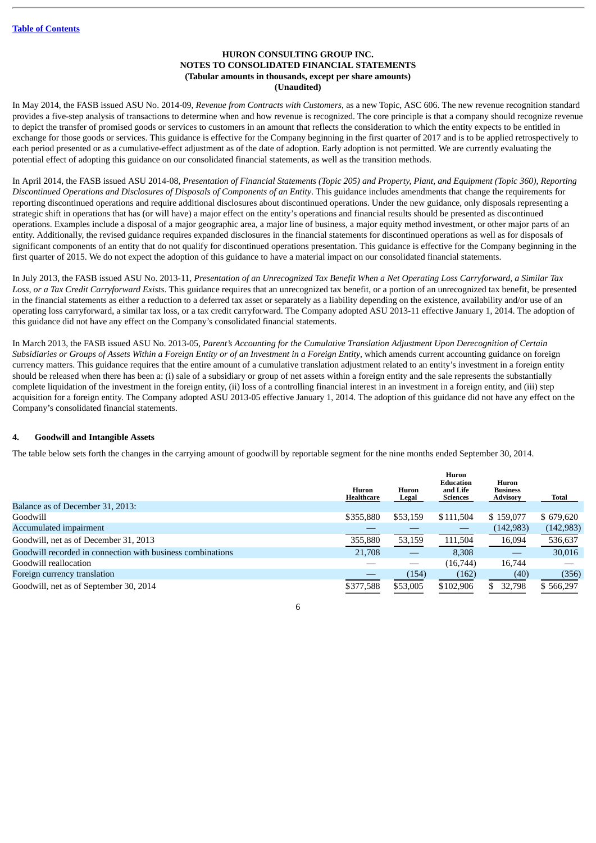In May 2014, the FASB issued ASU No. 2014-09, *Revenue from Contracts with Customers*, as a new Topic, ASC 606. The new revenue recognition standard provides a five-step analysis of transactions to determine when and how revenue is recognized. The core principle is that a company should recognize revenue to depict the transfer of promised goods or services to customers in an amount that reflects the consideration to which the entity expects to be entitled in exchange for those goods or services. This guidance is effective for the Company beginning in the first quarter of 2017 and is to be applied retrospectively to each period presented or as a cumulative-effect adjustment as of the date of adoption. Early adoption is not permitted. We are currently evaluating the potential effect of adopting this guidance on our consolidated financial statements, as well as the transition methods.

In April 2014, the FASB issued ASU 2014-08, Presentation of Financial Statements (Topic 205) and Property, Plant, and Equipment (Topic 360), Reporting *Discontinued Operations and Disclosures of Disposals of Components of an Entity*. This guidance includes amendments that change the requirements for reporting discontinued operations and require additional disclosures about discontinued operations. Under the new guidance, only disposals representing a strategic shift in operations that has (or will have) a major effect on the entity's operations and financial results should be presented as discontinued operations. Examples include a disposal of a major geographic area, a major line of business, a major equity method investment, or other major parts of an entity. Additionally, the revised guidance requires expanded disclosures in the financial statements for discontinued operations as well as for disposals of significant components of an entity that do not qualify for discontinued operations presentation. This guidance is effective for the Company beginning in the first quarter of 2015. We do not expect the adoption of this guidance to have a material impact on our consolidated financial statements.

In July 2013, the FASB issued ASU No. 2013-11, Presentation of an Unrecognized Tax Benefit When a Net Operating Loss Carryforward, a Similar Tax *Loss, or a Tax Credit Carryforward Exists*. This guidance requires that an unrecognized tax benefit, or a portion of an unrecognized tax benefit, be presented in the financial statements as either a reduction to a deferred tax asset or separately as a liability depending on the existence, availability and/or use of an operating loss carryforward, a similar tax loss, or a tax credit carryforward. The Company adopted ASU 2013-11 effective January 1, 2014. The adoption of this guidance did not have any effect on the Company's consolidated financial statements.

In March 2013, the FASB issued ASU No. 2013-05, *Parent's Accounting for the Cumulative Translation Adjustment Upon Derecognition of Certain* Subsidiaries or Groups of Assets Within a Foreian Entity or of an Investment in a Foreian Entity, which amends current accounting guidance on foreign currency matters. This guidance requires that the entire amount of a cumulative translation adjustment related to an entity's investment in a foreign entity should be released when there has been a: (i) sale of a subsidiary or group of net assets within a foreign entity and the sale represents the substantially complete liquidation of the investment in the foreign entity, (ii) loss of a controlling financial interest in an investment in a foreign entity, and (iii) step acquisition for a foreign entity. The Company adopted ASU 2013-05 effective January 1, 2014. The adoption of this guidance did not have any effect on the Company's consolidated financial statements.

#### **4. Goodwill and Intangible Assets**

The table below sets forth the changes in the carrying amount of goodwill by reportable segment for the nine months ended September 30, 2014.

| Balance as of December 31, 2013:                           | Huron<br>Healthcare | Huron<br>Legal    | Huron<br><b>Education</b><br>and Life<br><b>Sciences</b> | Huron<br><b>Business</b><br><b>Advisory</b> | Total      |
|------------------------------------------------------------|---------------------|-------------------|----------------------------------------------------------|---------------------------------------------|------------|
| Goodwill                                                   | \$355,880           | \$53,159          | \$111,504                                                | \$159,077                                   | \$679,620  |
|                                                            |                     |                   |                                                          |                                             |            |
| Accumulated impairment                                     |                     |                   |                                                          | (142, 983)                                  | (142, 983) |
| Goodwill, net as of December 31, 2013                      | 355,880             | 53,159            | 111,504                                                  | 16,094                                      | 536,637    |
| Goodwill recorded in connection with business combinations | 21,708              | $\qquad \qquad -$ | 8.308                                                    |                                             | 30,016     |
| Goodwill reallocation                                      |                     |                   | (16,744)                                                 | 16,744                                      |            |
| Foreign currency translation                               |                     | (154)             | (162)                                                    | (40)                                        | (356)      |
| Goodwill, net as of September 30, 2014                     | \$377,588           | \$53,005          | \$102,906                                                | \$ 32,798                                   | \$566,297  |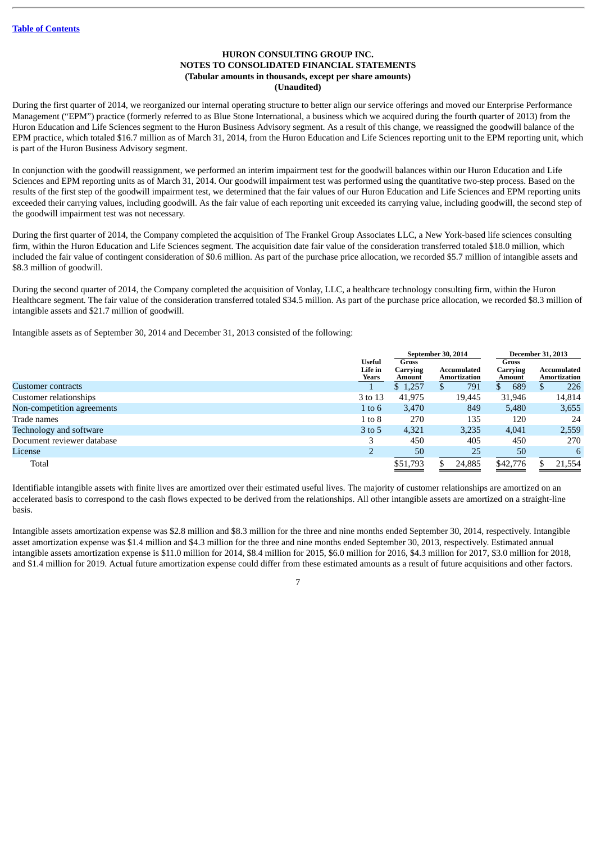During the first quarter of 2014, we reorganized our internal operating structure to better align our service offerings and moved our Enterprise Performance Management ("EPM") practice (formerly referred to as Blue Stone International, a business which we acquired during the fourth quarter of 2013) from the Huron Education and Life Sciences segment to the Huron Business Advisory segment. As a result of this change, we reassigned the goodwill balance of the EPM practice, which totaled \$16.7 million as of March 31, 2014, from the Huron Education and Life Sciences reporting unit to the EPM reporting unit, which is part of the Huron Business Advisory segment.

In conjunction with the goodwill reassignment, we performed an interim impairment test for the goodwill balances within our Huron Education and Life Sciences and EPM reporting units as of March 31, 2014. Our goodwill impairment test was performed using the quantitative two-step process. Based on the results of the first step of the goodwill impairment test, we determined that the fair values of our Huron Education and Life Sciences and EPM reporting units exceeded their carrying values, including goodwill. As the fair value of each reporting unit exceeded its carrying value, including goodwill, the second step of the goodwill impairment test was not necessary.

During the first quarter of 2014, the Company completed the acquisition of The Frankel Group Associates LLC, a New York-based life sciences consulting firm, within the Huron Education and Life Sciences segment. The acquisition date fair value of the consideration transferred totaled \$18.0 million, which included the fair value of contingent consideration of \$0.6 million. As part of the purchase price allocation, we recorded \$5.7 million of intangible assets and \$8.3 million of goodwill.

During the second quarter of 2014, the Company completed the acquisition of Vonlay, LLC, a healthcare technology consulting firm, within the Huron Healthcare segment. The fair value of the consideration transferred totaled \$34.5 million. As part of the purchase price allocation, we recorded \$8.3 million of intangible assets and \$21.7 million of goodwill.

Intangible assets as of September 30, 2014 and December 31, 2013 consisted of the following:

|                            |                                   |                                    |    | September 30, 2014                 |                             |  | <b>December 31, 2013</b>    |
|----------------------------|-----------------------------------|------------------------------------|----|------------------------------------|-----------------------------|--|-----------------------------|
|                            | <b>Useful</b><br>Life in<br>Years | <b>Gross</b><br>Carrving<br>Amount |    | Accumulated<br><b>Amortization</b> | Gross<br>Carrving<br>Amount |  | Accumulated<br>Amortization |
| Customer contracts         |                                   | \$1,257                            | æ. | 791                                | 689<br>S.                   |  | 226                         |
| Customer relationships     | 3 to 13                           | 41,975                             |    | 19,445                             | 31,946                      |  | 14,814                      |
| Non-competition agreements | $1$ to $6$                        | 3,470                              |    | 849                                | 5,480                       |  | 3,655                       |
| Trade names                | $1$ to $8$                        | 270                                |    | 135                                | 120                         |  | 24                          |
| Technology and software    | 3 to 5                            | 4,321                              |    | 3,235                              | 4.041                       |  | 2,559                       |
| Document reviewer database |                                   | 450                                |    | 405                                | 450                         |  | 270                         |
| License                    |                                   | 50                                 |    | 25                                 | 50                          |  | 6                           |
| Total                      |                                   | \$51,793                           |    | 24,885                             | \$42,776                    |  | 21,554                      |

Identifiable intangible assets with finite lives are amortized over their estimated useful lives. The majority of customer relationships are amortized on an accelerated basis to correspond to the cash flows expected to be derived from the relationships. All other intangible assets are amortized on a straight-line basis.

Intangible assets amortization expense was \$2.8 million and \$8.3 million for the three and nine months ended September 30, 2014, respectively. Intangible asset amortization expense was \$1.4 million and \$4.3 million for the three and nine months ended September 30, 2013, respectively. Estimated annual intangible assets amortization expense is \$11.0 million for 2014, \$8.4 million for 2015, \$6.0 million for 2016, \$4.3 million for 2017, \$3.0 million for 2018, and \$1.4 million for 2019. Actual future amortization expense could differ from these estimated amounts as a result of future acquisitions and other factors.

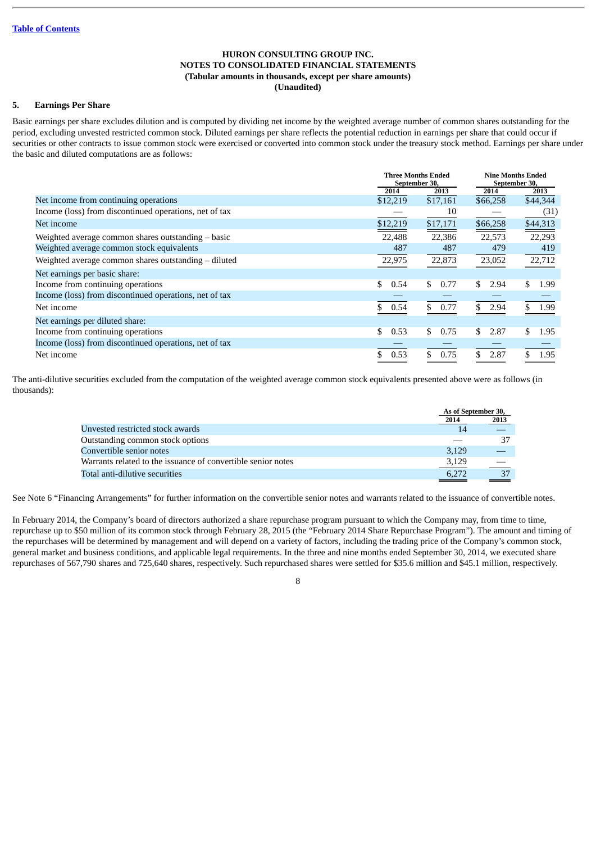#### **5. Earnings Per Share**

Basic earnings per share excludes dilution and is computed by dividing net income by the weighted average number of common shares outstanding for the period, excluding unvested restricted common stock. Diluted earnings per share reflects the potential reduction in earnings per share that could occur if securities or other contracts to issue common stock were exercised or converted into common stock under the treasury stock method. Earnings per share under the basic and diluted computations are as follows:

|                                                        | <b>Three Months Ended</b><br>September 30, |                      | <b>Nine Months Ended</b><br>September 30, |             |  |
|--------------------------------------------------------|--------------------------------------------|----------------------|-------------------------------------------|-------------|--|
|                                                        | 2014                                       | 2013                 | 2014                                      | 2013        |  |
| Net income from continuing operations                  | \$12,219                                   | \$17,161             | \$66,258                                  | \$44,344    |  |
| Income (loss) from discontinued operations, net of tax |                                            | 10                   |                                           | (31)        |  |
| Net income                                             | \$12,219                                   | \$17,171             | \$66,258                                  | \$44,313    |  |
| Weighted average common shares outstanding - basic     | 22,488                                     | 22,386               | 22,573                                    | 22,293      |  |
| Weighted average common stock equivalents              | 487                                        | 487                  | 479                                       | 419         |  |
| Weighted average common shares outstanding - diluted   | 22,975                                     | 22,873               | 23,052                                    | 22,712      |  |
| Net earnings per basic share:                          |                                            |                      |                                           |             |  |
| Income from continuing operations                      | \$.<br>0.54                                | \$.<br>0.77          | \$.<br>2.94                               | \$.<br>1.99 |  |
| Income (loss) from discontinued operations, net of tax |                                            |                      |                                           |             |  |
| Net income                                             | 0.54                                       | $\mathbb{S}$<br>0.77 | $\mathbf{s}$<br>2.94                      | \$.<br>1.99 |  |
| Net earnings per diluted share:                        |                                            |                      |                                           |             |  |
| Income from continuing operations                      | \$<br>0.53                                 | \$<br>0.75           | \$.<br>2.87                               | \$.<br>1.95 |  |
| Income (loss) from discontinued operations, net of tax |                                            |                      |                                           |             |  |
| Net income                                             | 0.53                                       | 0.75                 | 2.87                                      | 1.95        |  |

The anti-dilutive securities excluded from the computation of the weighted average common stock equivalents presented above were as follows (in thousands):

|                                                              | As of September 30, |      |
|--------------------------------------------------------------|---------------------|------|
|                                                              | 2014                | 2013 |
| Unvested restricted stock awards                             | 14                  |      |
| Outstanding common stock options                             |                     |      |
| Convertible senior notes                                     | 3,129               |      |
| Warrants related to the issuance of convertible senior notes | 3,129               |      |
| Total anti-dilutive securities                               | 6,272               |      |

See Note 6 "Financing Arrangements" for further information on the convertible senior notes and warrants related to the issuance of convertible notes.

In February 2014, the Company's board of directors authorized a share repurchase program pursuant to which the Company may, from time to time, repurchase up to \$50 million of its common stock through February 28, 2015 (the "February 2014 Share Repurchase Program"). The amount and timing of the repurchases will be determined by management and will depend on a variety of factors, including the trading price of the Company's common stock, general market and business conditions, and applicable legal requirements. In the three and nine months ended September 30, 2014, we executed share repurchases of 567,790 shares and 725,640 shares, respectively. Such repurchased shares were settled for \$35.6 million and \$45.1 million, respectively.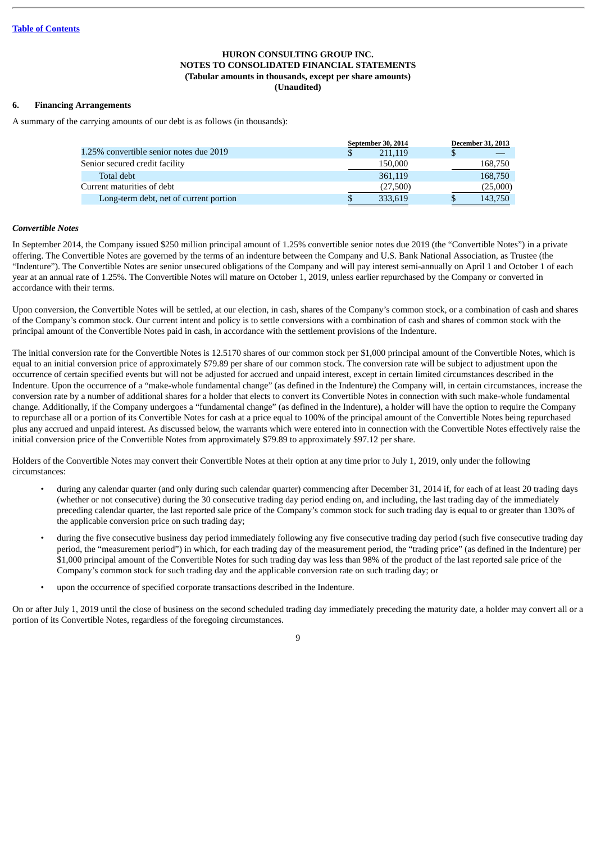#### **6. Financing Arrangements**

A summary of the carrying amounts of our debt is as follows (in thousands):

|                                         | September 30, 2014 | <b>December 31, 2013</b> |          |
|-----------------------------------------|--------------------|--------------------------|----------|
| 1.25% convertible senior notes due 2019 | 211,119<br>S       |                          |          |
| Senior secured credit facility          | 150,000            |                          | 168,750  |
| Total debt                              | 361,119            |                          | 168,750  |
| Current maturities of debt              | (27,500)           |                          | (25,000) |
| Long-term debt, net of current portion  | 333,619            |                          | 143,750  |

#### *Convertible Notes*

In September 2014, the Company issued \$250 million principal amount of 1.25% convertible senior notes due 2019 (the "Convertible Notes") in a private offering. The Convertible Notes are governed by the terms of an indenture between the Company and U.S. Bank National Association, as Trustee (the "Indenture"). The Convertible Notes are senior unsecured obligations of the Company and will pay interest semi-annually on April 1 and October 1 of each year at an annual rate of 1.25%. The Convertible Notes will mature on October 1, 2019, unless earlier repurchased by the Company or converted in accordance with their terms.

Upon conversion, the Convertible Notes will be settled, at our election, in cash, shares of the Company's common stock, or a combination of cash and shares of the Company's common stock. Our current intent and policy is to settle conversions with a combination of cash and shares of common stock with the principal amount of the Convertible Notes paid in cash, in accordance with the settlement provisions of the Indenture.

The initial conversion rate for the Convertible Notes is 12.5170 shares of our common stock per \$1,000 principal amount of the Convertible Notes, which is equal to an initial conversion price of approximately \$79.89 per share of our common stock. The conversion rate will be subject to adjustment upon the occurrence of certain specified events but will not be adjusted for accrued and unpaid interest, except in certain limited circumstances described in the Indenture. Upon the occurrence of a "make-whole fundamental change" (as defined in the Indenture) the Company will, in certain circumstances, increase the conversion rate by a number of additional shares for a holder that elects to convert its Convertible Notes in connection with such make-whole fundamental change. Additionally, if the Company undergoes a "fundamental change" (as defined in the Indenture), a holder will have the option to require the Company to repurchase all or a portion of its Convertible Notes for cash at a price equal to 100% of the principal amount of the Convertible Notes being repurchased plus any accrued and unpaid interest. As discussed below, the warrants which were entered into in connection with the Convertible Notes effectively raise the initial conversion price of the Convertible Notes from approximately \$79.89 to approximately \$97.12 per share.

Holders of the Convertible Notes may convert their Convertible Notes at their option at any time prior to July 1, 2019, only under the following circumstances:

- during any calendar quarter (and only during such calendar quarter) commencing after December 31, 2014 if, for each of at least 20 trading days (whether or not consecutive) during the 30 consecutive trading day period ending on, and including, the last trading day of the immediately preceding calendar quarter, the last reported sale price of the Company's common stock for such trading day is equal to or greater than 130% of the applicable conversion price on such trading day;
- during the five consecutive business day period immediately following any five consecutive trading day period (such five consecutive trading day period, the "measurement period") in which, for each trading day of the measurement period, the "trading price" (as defined in the Indenture) per \$1,000 principal amount of the Convertible Notes for such trading day was less than 98% of the product of the last reported sale price of the Company's common stock for such trading day and the applicable conversion rate on such trading day; or
- upon the occurrence of specified corporate transactions described in the Indenture.

On or after July 1, 2019 until the close of business on the second scheduled trading day immediately preceding the maturity date, a holder may convert all or a portion of its Convertible Notes, regardless of the foregoing circumstances.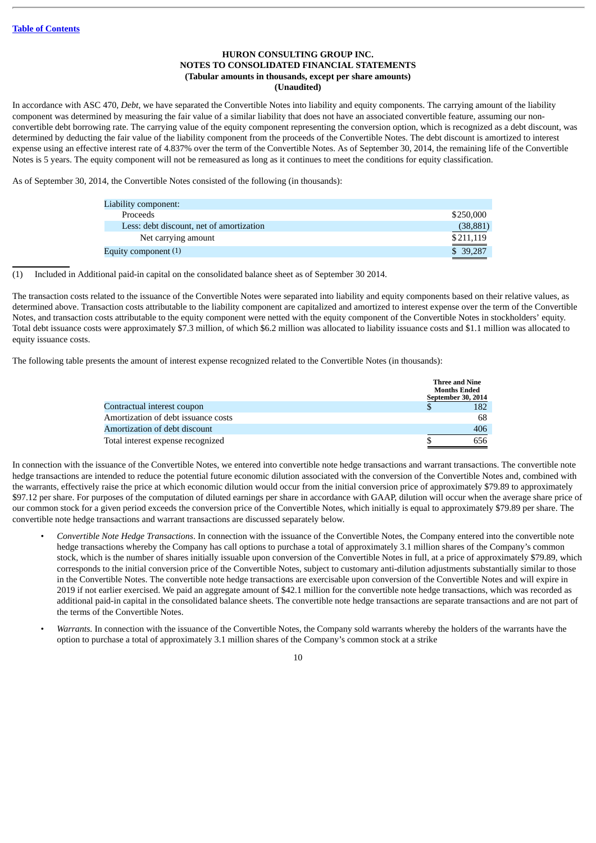In accordance with ASC 470, *Debt*, we have separated the Convertible Notes into liability and equity components. The carrying amount of the liability component was determined by measuring the fair value of a similar liability that does not have an associated convertible feature, assuming our nonconvertible debt borrowing rate. The carrying value of the equity component representing the conversion option, which is recognized as a debt discount, was determined by deducting the fair value of the liability component from the proceeds of the Convertible Notes. The debt discount is amortized to interest expense using an effective interest rate of 4.837% over the term of the Convertible Notes. As of September 30, 2014, the remaining life of the Convertible Notes is 5 years. The equity component will not be remeasured as long as it continues to meet the conditions for equity classification.

As of September 30, 2014, the Convertible Notes consisted of the following (in thousands):

| Liability component:                     |           |
|------------------------------------------|-----------|
| <b>Proceeds</b>                          | \$250,000 |
| Less: debt discount, net of amortization | (38, 881) |
| Net carrying amount                      | \$211,119 |
| Equity component $(1)$                   | \$39,287  |
|                                          |           |

(1) Included in Additional paid-in capital on the consolidated balance sheet as of September 30 2014.

The transaction costs related to the issuance of the Convertible Notes were separated into liability and equity components based on their relative values, as determined above. Transaction costs attributable to the liability component are capitalized and amortized to interest expense over the term of the Convertible Notes, and transaction costs attributable to the equity component were netted with the equity component of the Convertible Notes in stockholders' equity. Total debt issuance costs were approximately \$7.3 million, of which \$6.2 million was allocated to liability issuance costs and \$1.1 million was allocated to equity issuance costs.

The following table presents the amount of interest expense recognized related to the Convertible Notes (in thousands):

|                                     | <b>Three and Nine</b><br><b>Months Ended</b><br>September 30, 2014 |
|-------------------------------------|--------------------------------------------------------------------|
| Contractual interest coupon         | 182                                                                |
| Amortization of debt issuance costs | 68                                                                 |
| Amortization of debt discount       | 406                                                                |
| Total interest expense recognized   | 656                                                                |

In connection with the issuance of the Convertible Notes, we entered into convertible note hedge transactions and warrant transactions. The convertible note hedge transactions are intended to reduce the potential future economic dilution associated with the conversion of the Convertible Notes and, combined with the warrants, effectively raise the price at which economic dilution would occur from the initial conversion price of approximately \$79.89 to approximately \$97.12 per share. For purposes of the computation of diluted earnings per share in accordance with GAAP, dilution will occur when the average share price of our common stock for a given period exceeds the conversion price of the Convertible Notes, which initially is equal to approximately \$79.89 per share. The convertible note hedge transactions and warrant transactions are discussed separately below.

- *Convertible Note Hedge Transactions*. In connection with the issuance of the Convertible Notes, the Company entered into the convertible note hedge transactions whereby the Company has call options to purchase a total of approximately 3.1 million shares of the Company's common stock, which is the number of shares initially issuable upon conversion of the Convertible Notes in full, at a price of approximately \$79.89, which corresponds to the initial conversion price of the Convertible Notes, subject to customary anti-dilution adjustments substantially similar to those in the Convertible Notes. The convertible note hedge transactions are exercisable upon conversion of the Convertible Notes and will expire in 2019 if not earlier exercised. We paid an aggregate amount of \$42.1 million for the convertible note hedge transactions, which was recorded as additional paid-in capital in the consolidated balance sheets. The convertible note hedge transactions are separate transactions and are not part of the terms of the Convertible Notes.
- *Warrants.* In connection with the issuance of the Convertible Notes, the Company sold warrants whereby the holders of the warrants have the option to purchase a total of approximately 3.1 million shares of the Company's common stock at a strike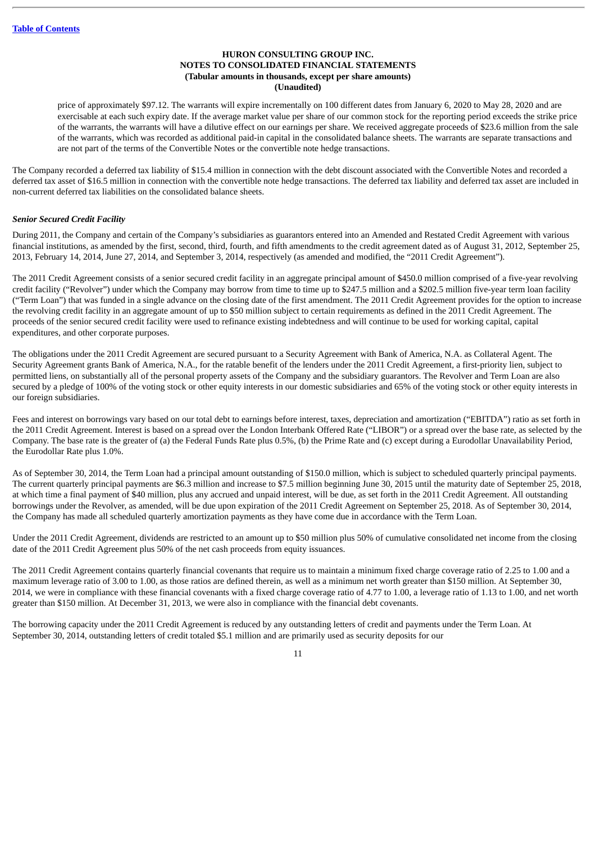price of approximately \$97.12. The warrants will expire incrementally on 100 different dates from January 6, 2020 to May 28, 2020 and are exercisable at each such expiry date. If the average market value per share of our common stock for the reporting period exceeds the strike price of the warrants, the warrants will have a dilutive effect on our earnings per share. We received aggregate proceeds of \$23.6 million from the sale of the warrants, which was recorded as additional paid-in capital in the consolidated balance sheets. The warrants are separate transactions and are not part of the terms of the Convertible Notes or the convertible note hedge transactions.

The Company recorded a deferred tax liability of \$15.4 million in connection with the debt discount associated with the Convertible Notes and recorded a deferred tax asset of \$16.5 million in connection with the convertible note hedge transactions. The deferred tax liability and deferred tax asset are included in non-current deferred tax liabilities on the consolidated balance sheets.

#### *Senior Secured Credit Facility*

During 2011, the Company and certain of the Company's subsidiaries as guarantors entered into an Amended and Restated Credit Agreement with various financial institutions, as amended by the first, second, third, fourth, and fifth amendments to the credit agreement dated as of August 31, 2012, September 25, 2013, February 14, 2014, June 27, 2014, and September 3, 2014, respectively (as amended and modified, the "2011 Credit Agreement").

The 2011 Credit Agreement consists of a senior secured credit facility in an aggregate principal amount of \$450.0 million comprised of a five-year revolving credit facility ("Revolver") under which the Company may borrow from time to time up to \$247.5 million and a \$202.5 million five-year term loan facility ("Term Loan") that was funded in a single advance on the closing date of the first amendment. The 2011 Credit Agreement provides for the option to increase the revolving credit facility in an aggregate amount of up to \$50 million subject to certain requirements as defined in the 2011 Credit Agreement. The proceeds of the senior secured credit facility were used to refinance existing indebtedness and will continue to be used for working capital, capital expenditures, and other corporate purposes.

The obligations under the 2011 Credit Agreement are secured pursuant to a Security Agreement with Bank of America, N.A. as Collateral Agent. The Security Agreement grants Bank of America, N.A., for the ratable benefit of the lenders under the 2011 Credit Agreement, a first-priority lien, subject to permitted liens, on substantially all of the personal property assets of the Company and the subsidiary guarantors. The Revolver and Term Loan are also secured by a pledge of 100% of the voting stock or other equity interests in our domestic subsidiaries and 65% of the voting stock or other equity interests in our foreign subsidiaries.

Fees and interest on borrowings vary based on our total debt to earnings before interest, taxes, depreciation and amortization ("EBITDA") ratio as set forth in the 2011 Credit Agreement. Interest is based on a spread over the London Interbank Offered Rate ("LIBOR") or a spread over the base rate, as selected by the Company. The base rate is the greater of (a) the Federal Funds Rate plus 0.5%, (b) the Prime Rate and (c) except during a Eurodollar Unavailability Period, the Eurodollar Rate plus 1.0%.

As of September 30, 2014, the Term Loan had a principal amount outstanding of \$150.0 million, which is subject to scheduled quarterly principal payments. The current quarterly principal payments are \$6.3 million and increase to \$7.5 million beginning June 30, 2015 until the maturity date of September 25, 2018, at which time a final payment of \$40 million, plus any accrued and unpaid interest, will be due, as set forth in the 2011 Credit Agreement. All outstanding borrowings under the Revolver, as amended, will be due upon expiration of the 2011 Credit Agreement on September 25, 2018. As of September 30, 2014, the Company has made all scheduled quarterly amortization payments as they have come due in accordance with the Term Loan.

Under the 2011 Credit Agreement, dividends are restricted to an amount up to \$50 million plus 50% of cumulative consolidated net income from the closing date of the 2011 Credit Agreement plus 50% of the net cash proceeds from equity issuances.

The 2011 Credit Agreement contains quarterly financial covenants that require us to maintain a minimum fixed charge coverage ratio of 2.25 to 1.00 and a maximum leverage ratio of 3.00 to 1.00, as those ratios are defined therein, as well as a minimum net worth greater than \$150 million. At September 30, 2014, we were in compliance with these financial covenants with a fixed charge coverage ratio of 4.77 to 1.00, a leverage ratio of 1.13 to 1.00, and net worth greater than \$150 million. At December 31, 2013, we were also in compliance with the financial debt covenants.

The borrowing capacity under the 2011 Credit Agreement is reduced by any outstanding letters of credit and payments under the Term Loan. At September 30, 2014, outstanding letters of credit totaled \$5.1 million and are primarily used as security deposits for our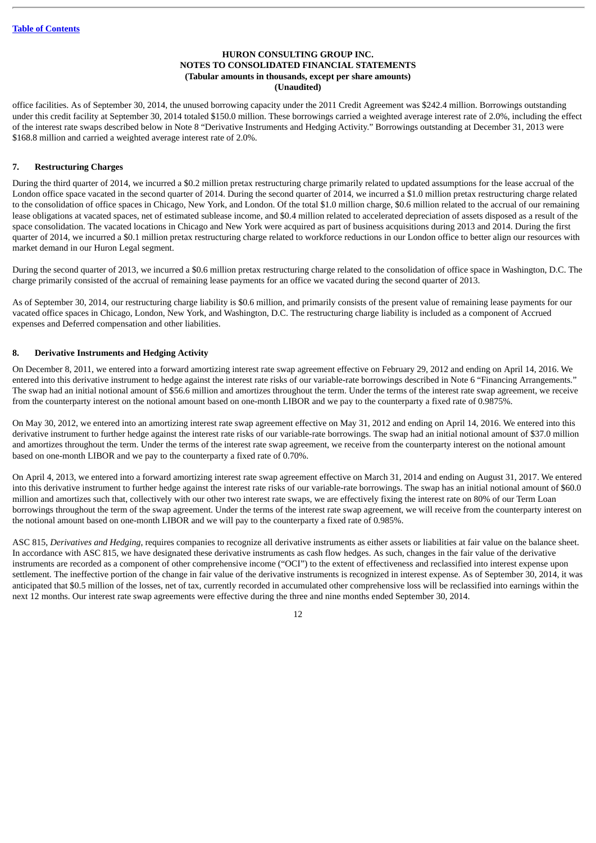office facilities. As of September 30, 2014, the unused borrowing capacity under the 2011 Credit Agreement was \$242.4 million. Borrowings outstanding under this credit facility at September 30, 2014 totaled \$150.0 million. These borrowings carried a weighted average interest rate of 2.0%, including the effect of the interest rate swaps described below in Note 8 "Derivative Instruments and Hedging Activity." Borrowings outstanding at December 31, 2013 were \$168.8 million and carried a weighted average interest rate of 2.0%.

#### **7. Restructuring Charges**

During the third quarter of 2014, we incurred a \$0.2 million pretax restructuring charge primarily related to updated assumptions for the lease accrual of the London office space vacated in the second quarter of 2014. During the second quarter of 2014, we incurred a \$1.0 million pretax restructuring charge related to the consolidation of office spaces in Chicago, New York, and London. Of the total \$1.0 million charge, \$0.6 million related to the accrual of our remaining lease obligations at vacated spaces, net of estimated sublease income, and \$0.4 million related to accelerated depreciation of assets disposed as a result of the space consolidation. The vacated locations in Chicago and New York were acquired as part of business acquisitions during 2013 and 2014. During the first quarter of 2014, we incurred a \$0.1 million pretax restructuring charge related to workforce reductions in our London office to better align our resources with market demand in our Huron Legal segment.

During the second quarter of 2013, we incurred a \$0.6 million pretax restructuring charge related to the consolidation of office space in Washington, D.C. The charge primarily consisted of the accrual of remaining lease payments for an office we vacated during the second quarter of 2013.

As of September 30, 2014, our restructuring charge liability is \$0.6 million, and primarily consists of the present value of remaining lease payments for our vacated office spaces in Chicago, London, New York, and Washington, D.C. The restructuring charge liability is included as a component of Accrued expenses and Deferred compensation and other liabilities.

#### **8. Derivative Instruments and Hedging Activity**

On December 8, 2011, we entered into a forward amortizing interest rate swap agreement effective on February 29, 2012 and ending on April 14, 2016. We entered into this derivative instrument to hedge against the interest rate risks of our variable-rate borrowings described in Note 6 "Financing Arrangements." The swap had an initial notional amount of \$56.6 million and amortizes throughout the term. Under the terms of the interest rate swap agreement, we receive from the counterparty interest on the notional amount based on one-month LIBOR and we pay to the counterparty a fixed rate of 0.9875%.

On May 30, 2012, we entered into an amortizing interest rate swap agreement effective on May 31, 2012 and ending on April 14, 2016. We entered into this derivative instrument to further hedge against the interest rate risks of our variable-rate borrowings. The swap had an initial notional amount of \$37.0 million and amortizes throughout the term. Under the terms of the interest rate swap agreement, we receive from the counterparty interest on the notional amount based on one-month LIBOR and we pay to the counterparty a fixed rate of 0.70%.

On April 4, 2013, we entered into a forward amortizing interest rate swap agreement effective on March 31, 2014 and ending on August 31, 2017. We entered into this derivative instrument to further hedge against the interest rate risks of our variable-rate borrowings. The swap has an initial notional amount of \$60.0 million and amortizes such that, collectively with our other two interest rate swaps, we are effectively fixing the interest rate on 80% of our Term Loan borrowings throughout the term of the swap agreement. Under the terms of the interest rate swap agreement, we will receive from the counterparty interest on the notional amount based on one-month LIBOR and we will pay to the counterparty a fixed rate of 0.985%.

ASC 815, *Derivatives and Hedging*, requires companies to recognize all derivative instruments as either assets or liabilities at fair value on the balance sheet. In accordance with ASC 815, we have designated these derivative instruments as cash flow hedges. As such, changes in the fair value of the derivative instruments are recorded as a component of other comprehensive income ("OCI") to the extent of effectiveness and reclassified into interest expense upon settlement. The ineffective portion of the change in fair value of the derivative instruments is recognized in interest expense. As of September 30, 2014, it was anticipated that \$0.5 million of the losses, net of tax, currently recorded in accumulated other comprehensive loss will be reclassified into earnings within the next 12 months. Our interest rate swap agreements were effective during the three and nine months ended September 30, 2014.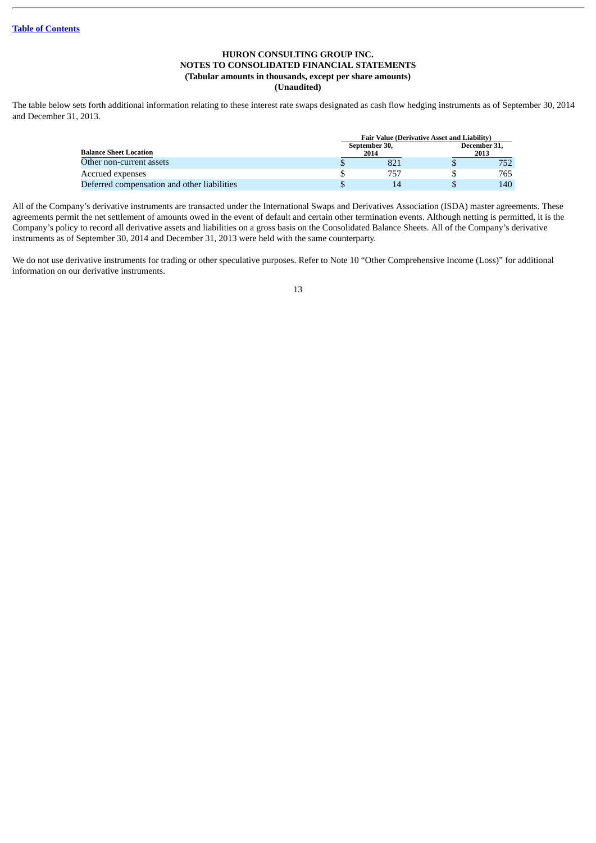The table below sets forth additional information relating to these interest rate swaps designated as cash flow hedging instruments as of September 30, 2014 and December 31, 2013.

|                                             | <b>Fair Value (Derivative Asset and Liability)</b> |  |                      |  |  |  |
|---------------------------------------------|----------------------------------------------------|--|----------------------|--|--|--|
| <b>Balance Sheet Location</b>               | September 30,<br>2014                              |  | December 31.<br>2013 |  |  |  |
| Other non-current assets                    | 821                                                |  | 752                  |  |  |  |
| Accrued expenses                            | 757                                                |  | 765                  |  |  |  |
| Deferred compensation and other liabilities |                                                    |  | 140                  |  |  |  |

All of the Company's derivative instruments are transacted under the International Swaps and Derivatives Association (ISDA) master agreements. These agreements permit the net settlement of amounts owed in the event of default and certain other termination events. Although netting is permitted, it is the Company's policy to record all derivative assets and liabilities on a gross basis on the Consolidated Balance Sheets. All of the Company's derivative instruments as of September 30, 2014 and December 31, 2013 were held with the same counterparty.

We do not use derivative instruments for trading or other speculative purposes. Refer to Note 10 "Other Comprehensive Income (Loss)" for additional information on our derivative instruments.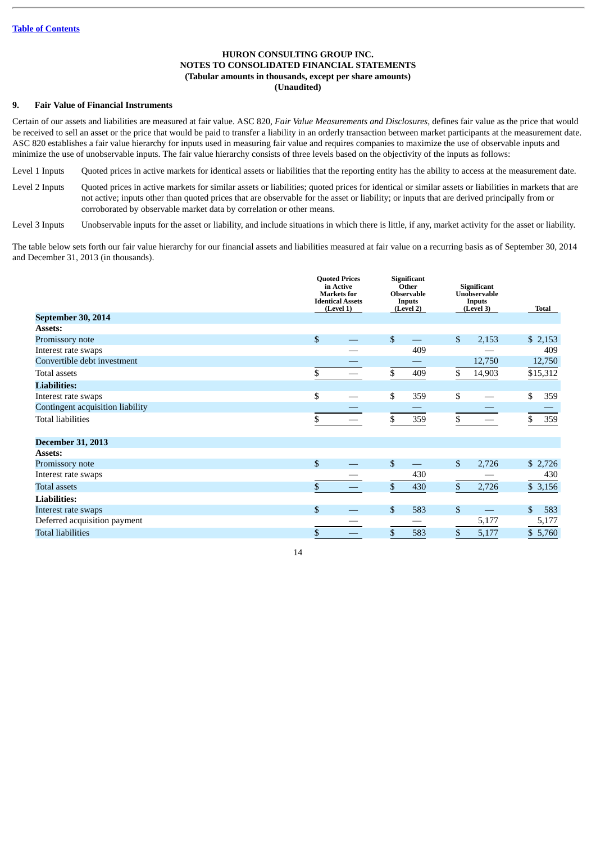#### **9. Fair Value of Financial Instruments**

Certain of our assets and liabilities are measured at fair value. ASC 820, *Fair Value Measurements and Disclosures*, defines fair value as the price that would be received to sell an asset or the price that would be paid to transfer a liability in an orderly transaction between market participants at the measurement date. ASC 820 establishes a fair value hierarchy for inputs used in measuring fair value and requires companies to maximize the use of observable inputs and minimize the use of unobservable inputs. The fair value hierarchy consists of three levels based on the objectivity of the inputs as follows:

Level 1 Inputs Quoted prices in active markets for identical assets or liabilities that the reporting entity has the ability to access at the measurement date.

Level 2 Inputs Quoted prices in active markets for similar assets or liabilities; quoted prices for identical or similar assets or liabilities in markets that are not active; inputs other than quoted prices that are observable for the asset or liability; or inputs that are derived principally from or corroborated by observable market data by correlation or other means.

Level 3 Inputs Unobservable inputs for the asset or liability, and include situations in which there is little, if any, market activity for the asset or liability.

The table below sets forth our fair value hierarchy for our financial assets and liabilities measured at fair value on a recurring basis as of September 30, 2014 and December 31, 2013 (in thousands).

|                                  |              | <b>Ouoted Prices</b><br>in Active<br><b>Markets</b> for<br><b>Identical Assets</b><br>(Level 1) |              | <b>Significant</b><br>Other<br><b>Observable</b><br><b>Inputs</b><br>(Level 2) |                |        |    | <b>Significant</b><br><b>Unobservable</b><br><b>Inputs</b><br>(Level 3) |  |  | <b>Total</b> |  |
|----------------------------------|--------------|-------------------------------------------------------------------------------------------------|--------------|--------------------------------------------------------------------------------|----------------|--------|----|-------------------------------------------------------------------------|--|--|--------------|--|
| September 30, 2014               |              |                                                                                                 |              |                                                                                |                |        |    |                                                                         |  |  |              |  |
| Assets:                          |              |                                                                                                 |              |                                                                                |                |        |    |                                                                         |  |  |              |  |
| Promissory note                  | \$           |                                                                                                 | \$           |                                                                                | $\mathfrak{S}$ | 2,153  |    | \$2,153                                                                 |  |  |              |  |
| Interest rate swaps              |              |                                                                                                 |              | 409                                                                            |                |        |    | 409                                                                     |  |  |              |  |
| Convertible debt investment      |              |                                                                                                 |              |                                                                                |                | 12,750 |    | 12,750                                                                  |  |  |              |  |
| Total assets                     | \$           |                                                                                                 | \$           | 409                                                                            | \$             | 14,903 |    | \$15,312                                                                |  |  |              |  |
| <b>Liabilities:</b>              |              |                                                                                                 |              |                                                                                |                |        |    |                                                                         |  |  |              |  |
| Interest rate swaps              | \$           |                                                                                                 | \$           | 359                                                                            | \$             |        | \$ | 359                                                                     |  |  |              |  |
| Contingent acquisition liability |              |                                                                                                 |              |                                                                                |                |        |    |                                                                         |  |  |              |  |
| <b>Total liabilities</b>         | \$           |                                                                                                 | \$           | 359                                                                            | \$             |        | \$ | 359                                                                     |  |  |              |  |
| <b>December 31, 2013</b>         |              |                                                                                                 |              |                                                                                |                |        |    |                                                                         |  |  |              |  |
| Assets:                          |              |                                                                                                 |              |                                                                                |                |        |    |                                                                         |  |  |              |  |
| Promissory note                  | $\mathbb{S}$ |                                                                                                 | $\mathbb{S}$ |                                                                                | $\mathbb{S}$   | 2,726  |    | \$2,726                                                                 |  |  |              |  |
| Interest rate swaps              |              |                                                                                                 |              | 430                                                                            |                |        |    | 430                                                                     |  |  |              |  |
| <b>Total assets</b>              | \$           |                                                                                                 | \$           | 430                                                                            | \$             | 2,726  |    | \$3,156                                                                 |  |  |              |  |
| <b>Liabilities:</b>              |              |                                                                                                 |              |                                                                                |                |        |    |                                                                         |  |  |              |  |
| Interest rate swaps              | $\mathbb{S}$ |                                                                                                 | $\mathbb{S}$ | 583                                                                            | \$             |        | \$ | 583                                                                     |  |  |              |  |
| Deferred acquisition payment     |              |                                                                                                 |              |                                                                                |                | 5,177  |    | 5,177                                                                   |  |  |              |  |
| <b>Total liabilities</b>         | \$           |                                                                                                 | \$           | 583                                                                            | \$             | 5,177  |    | \$5,760                                                                 |  |  |              |  |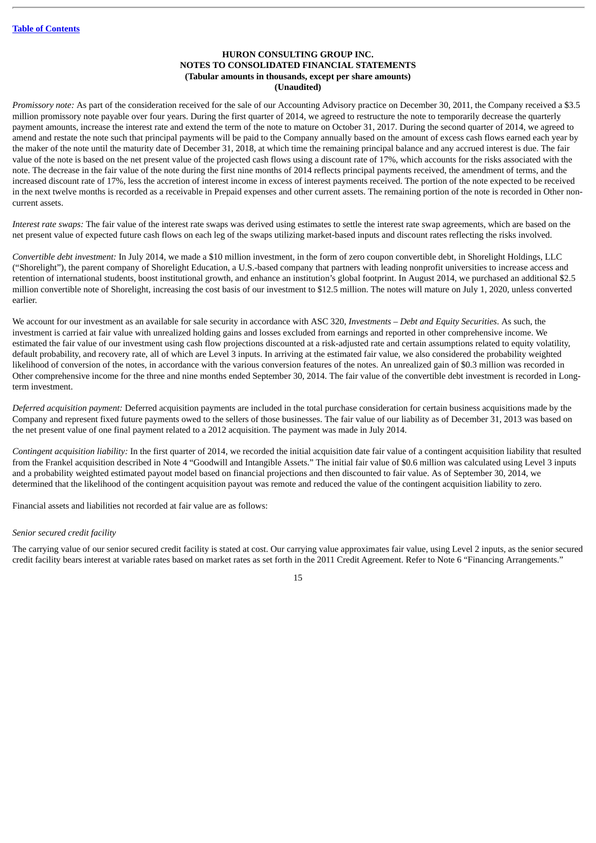*Promissory note:* As part of the consideration received for the sale of our Accounting Advisory practice on December 30, 2011, the Company received a \$3.5 million promissory note payable over four years. During the first quarter of 2014, we agreed to restructure the note to temporarily decrease the quarterly payment amounts, increase the interest rate and extend the term of the note to mature on October 31, 2017. During the second quarter of 2014, we agreed to amend and restate the note such that principal payments will be paid to the Company annually based on the amount of excess cash flows earned each year by the maker of the note until the maturity date of December 31, 2018, at which time the remaining principal balance and any accrued interest is due. The fair value of the note is based on the net present value of the projected cash flows using a discount rate of 17%, which accounts for the risks associated with the note. The decrease in the fair value of the note during the first nine months of 2014 reflects principal payments received, the amendment of terms, and the increased discount rate of 17%, less the accretion of interest income in excess of interest payments received. The portion of the note expected to be received in the next twelve months is recorded as a receivable in Prepaid expenses and other current assets. The remaining portion of the note is recorded in Other noncurrent assets.

*Interest rate swaps:* The fair value of the interest rate swaps was derived using estimates to settle the interest rate swap agreements, which are based on the net present value of expected future cash flows on each leg of the swaps utilizing market-based inputs and discount rates reflecting the risks involved.

*Convertible debt investment:* In July 2014, we made a \$10 million investment, in the form of zero coupon convertible debt, in Shorelight Holdings, LLC ("Shorelight"), the parent company of Shorelight Education, a U.S.-based company that partners with leading nonprofit universities to increase access and retention of international students, boost institutional growth, and enhance an institution's global footprint. In August 2014, we purchased an additional \$2.5 million convertible note of Shorelight, increasing the cost basis of our investment to \$12.5 million. The notes will mature on July 1, 2020, unless converted earlier.

We account for our investment as an available for sale security in accordance with ASC 320, *Investments – Debt and Equity Securities*. As such, the investment is carried at fair value with unrealized holding gains and losses excluded from earnings and reported in other comprehensive income. We estimated the fair value of our investment using cash flow projections discounted at a risk-adjusted rate and certain assumptions related to equity volatility, default probability, and recovery rate, all of which are Level 3 inputs. In arriving at the estimated fair value, we also considered the probability weighted likelihood of conversion of the notes, in accordance with the various conversion features of the notes. An unrealized gain of \$0.3 million was recorded in Other comprehensive income for the three and nine months ended September 30, 2014. The fair value of the convertible debt investment is recorded in Longterm investment.

*Deferred acquisition payment:* Deferred acquisition payments are included in the total purchase consideration for certain business acquisitions made by the Company and represent fixed future payments owed to the sellers of those businesses. The fair value of our liability as of December 31, 2013 was based on the net present value of one final payment related to a 2012 acquisition. The payment was made in July 2014.

*Contingent acquisition liability:* In the first quarter of 2014, we recorded the initial acquisition date fair value of a contingent acquisition liability that resulted from the Frankel acquisition described in Note 4 "Goodwill and Intangible Assets." The initial fair value of \$0.6 million was calculated using Level 3 inputs and a probability weighted estimated payout model based on financial projections and then discounted to fair value. As of September 30, 2014, we determined that the likelihood of the contingent acquisition payout was remote and reduced the value of the contingent acquisition liability to zero.

Financial assets and liabilities not recorded at fair value are as follows:

#### *Senior secured credit facility*

The carrying value of our senior secured credit facility is stated at cost. Our carrying value approximates fair value, using Level 2 inputs, as the senior secured credit facility bears interest at variable rates based on market rates as set forth in the 2011 Credit Agreement. Refer to Note 6 "Financing Arrangements."

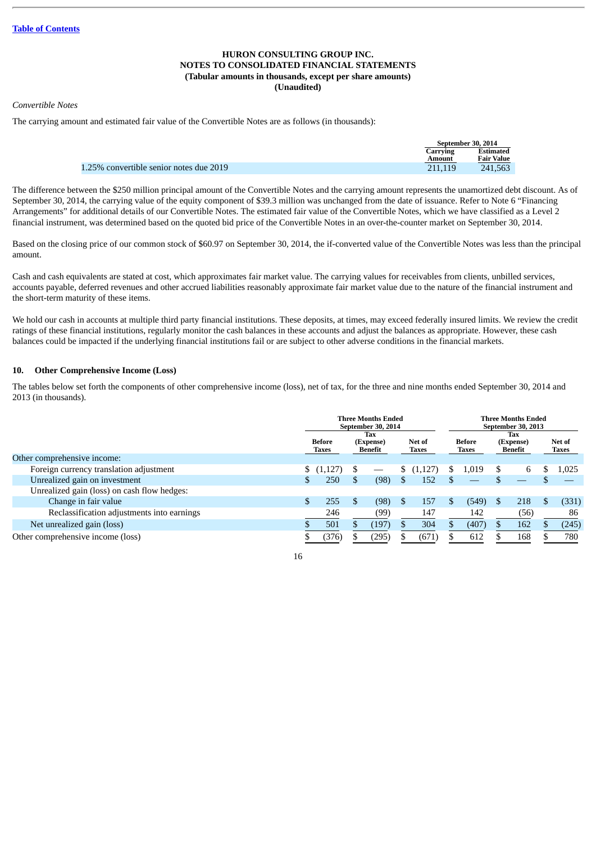#### *Convertible Notes*

The carrying amount and estimated fair value of the Convertible Notes are as follows (in thousands):

|                                         |                           | September 30, 2014                    |
|-----------------------------------------|---------------------------|---------------------------------------|
|                                         | Carrying<br><b>Amount</b> | <b>Estimated</b><br><b>Fair Value</b> |
| 1.25% convertible senior notes due 2019 | 211.119                   | 241,563                               |

The difference between the \$250 million principal amount of the Convertible Notes and the carrying amount represents the unamortized debt discount. As of September 30, 2014, the carrying value of the equity component of \$39.3 million was unchanged from the date of issuance. Refer to Note 6 "Financing Arrangements" for additional details of our Convertible Notes. The estimated fair value of the Convertible Notes, which we have classified as a Level 2 financial instrument, was determined based on the quoted bid price of the Convertible Notes in an over-the-counter market on September 30, 2014.

Based on the closing price of our common stock of \$60.97 on September 30, 2014, the if-converted value of the Convertible Notes was less than the principal amount.

Cash and cash equivalents are stated at cost, which approximates fair market value. The carrying values for receivables from clients, unbilled services, accounts payable, deferred revenues and other accrued liabilities reasonably approximate fair market value due to the nature of the financial instrument and the short-term maturity of these items.

We hold our cash in accounts at multiple third party financial institutions. These deposits, at times, may exceed federally insured limits. We review the credit ratings of these financial institutions, regularly monitor the cash balances in these accounts and adjust the balances as appropriate. However, these cash balances could be impacted if the underlying financial institutions fail or are subject to other adverse conditions in the financial markets.

#### **10. Other Comprehensive Income (Loss)**

The tables below set forth the components of other comprehensive income (loss), net of tax, for the three and nine months ended September 30, 2014 and 2013 (in thousands).

|                                             |     | <b>Before</b><br>Taxes |   | <b>Three Months Ended</b><br>September 30, 2014<br>Tax<br>(Expense)<br>Benefit |    | Net of<br>Taxes |    | <b>Before</b><br>Taxes |     | Three Months Ended<br><b>September 30, 2013</b><br><b>Tax</b><br>(Expense)<br>Benefit | Net of<br>Taxes |
|---------------------------------------------|-----|------------------------|---|--------------------------------------------------------------------------------|----|-----------------|----|------------------------|-----|---------------------------------------------------------------------------------------|-----------------|
| Other comprehensive income:                 |     |                        |   |                                                                                |    |                 |    |                        |     |                                                                                       |                 |
| Foreign currency translation adjustment     |     | (1,127)                | S |                                                                                | \$ | (1,127)         | S  | 1,019                  | \$. | 6                                                                                     | 1.025           |
| Unrealized gain on investment               | \$. | 250                    | S | (98)                                                                           |    | 152             |    |                        |     |                                                                                       |                 |
| Unrealized gain (loss) on cash flow hedges: |     |                        |   |                                                                                |    |                 |    |                        |     |                                                                                       |                 |
| Change in fair value                        |     | 255                    |   | (98)                                                                           | £. | 157             | S. | (549)                  |     | 218                                                                                   | (331)           |
| Reclassification adjustments into earnings  |     | 246                    |   | (99)                                                                           |    | 147             |    | 142                    |     | (56)                                                                                  | 86              |
| Net unrealized gain (loss)                  |     | 501                    |   | (197)                                                                          |    | 304             |    | (407)                  |     | 162                                                                                   | (245)           |
| Other comprehensive income (loss)           |     | (376)                  |   | (295)                                                                          |    | (671)           |    | 612                    |     | 168                                                                                   | 780             |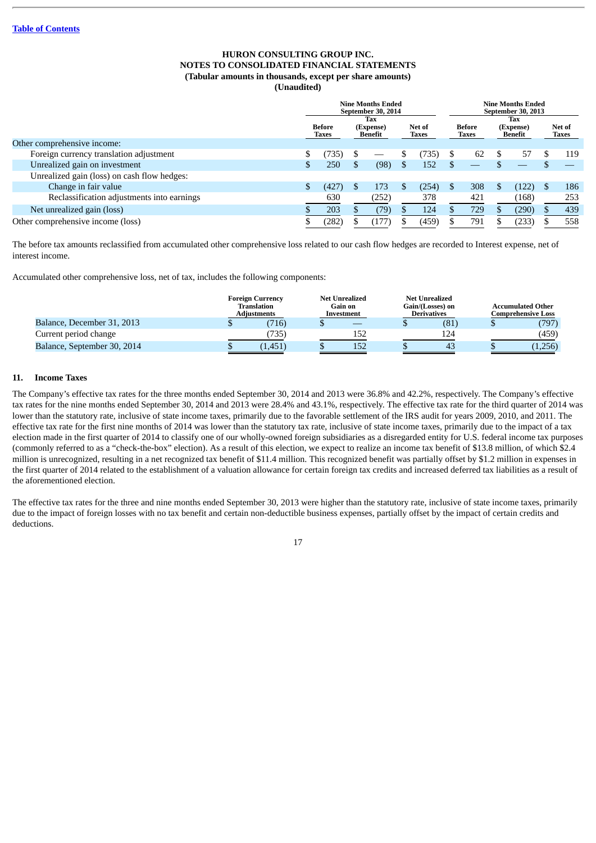|                                             | Nine Months Ended<br>September 30, 2014 |                        |  |                             | Nine Months Ended<br><b>September 30, 2013</b> |              |                               |   |                             |    |                 |
|---------------------------------------------|-----------------------------------------|------------------------|--|-----------------------------|------------------------------------------------|--------------|-------------------------------|---|-----------------------------|----|-----------------|
|                                             |                                         | <b>Before</b><br>Taxes |  | Tax<br>(Expense)<br>Benefit | Net of<br>Taxes                                |              | <b>Before</b><br><b>Taxes</b> |   | Tax<br>(Expense)<br>Benefit |    | Net of<br>Taxes |
| Other comprehensive income:                 |                                         |                        |  |                             |                                                |              |                               |   |                             |    |                 |
| Foreign currency translation adjustment     |                                         | (735)                  |  |                             | 735                                            |              | 62                            | S | 57                          | \$ | 119             |
| Unrealized gain on investment               |                                         | 250                    |  | (98)                        | 152                                            |              |                               |   |                             |    |                 |
| Unrealized gain (loss) on cash flow hedges: |                                         |                        |  |                             |                                                |              |                               |   |                             |    |                 |
| Change in fair value                        |                                         | (427)                  |  | 173                         | (254)                                          | <sup>S</sup> | 308                           |   | (122)                       | S  | 186             |
| Reclassification adjustments into earnings  |                                         | 630                    |  | (252)                       | 378                                            |              | 421                           |   | (168)                       |    | 253             |
| Net unrealized gain (loss)                  |                                         | 203                    |  | (79)                        | 124                                            |              | 729                           |   | (290)                       |    | 439             |
| Other comprehensive income (loss)           |                                         | (282)                  |  | (177                        | (459)                                          |              | 791                           |   | 233)                        |    | 558             |

The before tax amounts reclassified from accumulated other comprehensive loss related to our cash flow hedges are recorded to Interest expense, net of interest income.

Accumulated other comprehensive loss, net of tax, includes the following components:

|                             | <b>Foreign Currency</b><br>Translation<br>Adiustments | <b>Net Unrealized</b><br>Gain on<br>Investment | <b>Net Unrealized</b><br>Gain/(Losses) on<br><b>Derivatives</b> | <b>Accumulated Other</b><br>Comprehensive Loss |
|-----------------------------|-------------------------------------------------------|------------------------------------------------|-----------------------------------------------------------------|------------------------------------------------|
| Balance, December 31, 2013  | (716)                                                 |                                                | (81)                                                            | (797)                                          |
| Current period change       | 735)                                                  | 152                                            | 124                                                             | (459)                                          |
| Balance, September 30, 2014 | (1, 451)                                              | 152                                            |                                                                 | (1,256)                                        |

#### **11. Income Taxes**

The Company's effective tax rates for the three months ended September 30, 2014 and 2013 were 36.8% and 42.2%, respectively. The Company's effective tax rates for the nine months ended September 30, 2014 and 2013 were 28.4% and 43.1%, respectively. The effective tax rate for the third quarter of 2014 was lower than the statutory rate, inclusive of state income taxes, primarily due to the favorable settlement of the IRS audit for years 2009, 2010, and 2011. The effective tax rate for the first nine months of 2014 was lower than the statutory tax rate, inclusive of state income taxes, primarily due to the impact of a tax election made in the first quarter of 2014 to classify one of our wholly-owned foreign subsidiaries as a disregarded entity for U.S. federal income tax purposes (commonly referred to as a "check-the-box" election). As a result of this election, we expect to realize an income tax benefit of \$13.8 million, of which \$2.4 million is unrecognized, resulting in a net recognized tax benefit of \$11.4 million. This recognized benefit was partially offset by \$1.2 million in expenses in the first quarter of 2014 related to the establishment of a valuation allowance for certain foreign tax credits and increased deferred tax liabilities as a result of the aforementioned election.

The effective tax rates for the three and nine months ended September 30, 2013 were higher than the statutory rate, inclusive of state income taxes, primarily due to the impact of foreign losses with no tax benefit and certain non-deductible business expenses, partially offset by the impact of certain credits and deductions.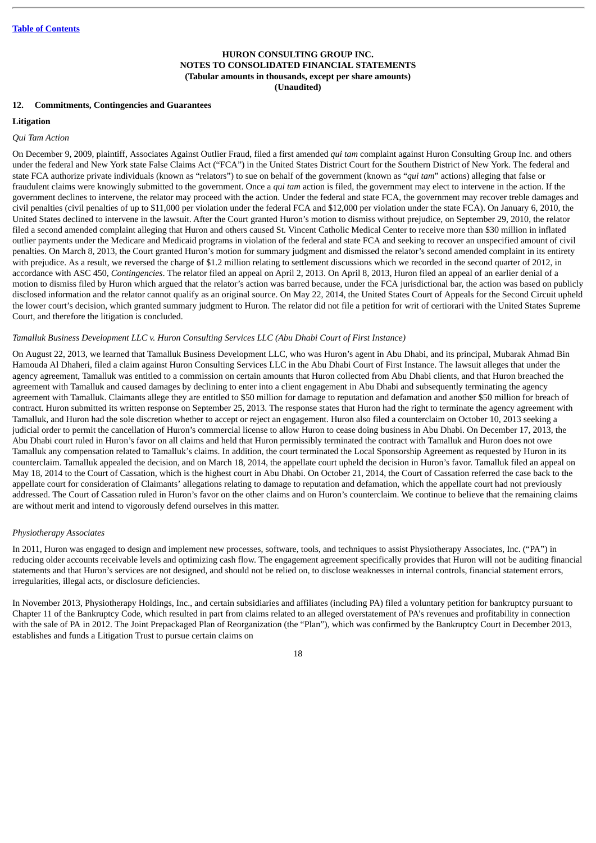#### **12. Commitments, Contingencies and Guarantees**

#### **Litigation**

#### *Qui Tam Action*

On December 9, 2009, plaintiff, Associates Against Outlier Fraud, filed a first amended *qui tam* complaint against Huron Consulting Group Inc. and others under the federal and New York state False Claims Act ("FCA") in the United States District Court for the Southern District of New York. The federal and state FCA authorize private individuals (known as "relators") to sue on behalf of the government (known as "*qui tam*" actions) alleging that false or fraudulent claims were knowingly submitted to the government. Once a *qui tam* action is filed, the government may elect to intervene in the action. If the government declines to intervene, the relator may proceed with the action. Under the federal and state FCA, the government may recover treble damages and civil penalties (civil penalties of up to \$11,000 per violation under the federal FCA and \$12,000 per violation under the state FCA). On January 6, 2010, the United States declined to intervene in the lawsuit. After the Court granted Huron's motion to dismiss without prejudice, on September 29, 2010, the relator filed a second amended complaint alleging that Huron and others caused St. Vincent Catholic Medical Center to receive more than \$30 million in inflated outlier payments under the Medicare and Medicaid programs in violation of the federal and state FCA and seeking to recover an unspecified amount of civil penalties. On March 8, 2013, the Court granted Huron's motion for summary judgment and dismissed the relator's second amended complaint in its entirety with prejudice. As a result, we reversed the charge of \$1.2 million relating to settlement discussions which we recorded in the second quarter of 2012, in accordance with ASC 450, *Contingencies*. The relator filed an appeal on April 2, 2013. On April 8, 2013, Huron filed an appeal of an earlier denial of a motion to dismiss filed by Huron which argued that the relator's action was barred because, under the FCA jurisdictional bar, the action was based on publicly disclosed information and the relator cannot qualify as an original source. On May 22, 2014, the United States Court of Appeals for the Second Circuit upheld the lower court's decision, which granted summary judgment to Huron. The relator did not file a petition for writ of certiorari with the United States Supreme Court, and therefore the litigation is concluded.

#### *Tamalluk Business Development LLC v. Huron Consulting Services LLC (Abu Dhabi Court of First Instance)*

On August 22, 2013, we learned that Tamalluk Business Development LLC, who was Huron's agent in Abu Dhabi, and its principal, Mubarak Ahmad Bin Hamouda Al Dhaheri, filed a claim against Huron Consulting Services LLC in the Abu Dhabi Court of First Instance. The lawsuit alleges that under the agency agreement, Tamalluk was entitled to a commission on certain amounts that Huron collected from Abu Dhabi clients, and that Huron breached the agreement with Tamalluk and caused damages by declining to enter into a client engagement in Abu Dhabi and subsequently terminating the agency agreement with Tamalluk. Claimants allege they are entitled to \$50 million for damage to reputation and defamation and another \$50 million for breach of contract. Huron submitted its written response on September 25, 2013. The response states that Huron had the right to terminate the agency agreement with Tamalluk, and Huron had the sole discretion whether to accept or reject an engagement. Huron also filed a counterclaim on October 10, 2013 seeking a judicial order to permit the cancellation of Huron's commercial license to allow Huron to cease doing business in Abu Dhabi. On December 17, 2013, the Abu Dhabi court ruled in Huron's favor on all claims and held that Huron permissibly terminated the contract with Tamalluk and Huron does not owe Tamalluk any compensation related to Tamalluk's claims. In addition, the court terminated the Local Sponsorship Agreement as requested by Huron in its counterclaim. Tamalluk appealed the decision, and on March 18, 2014, the appellate court upheld the decision in Huron's favor. Tamalluk filed an appeal on May 18, 2014 to the Court of Cassation, which is the highest court in Abu Dhabi. On October 21, 2014, the Court of Cassation referred the case back to the appellate court for consideration of Claimants' allegations relating to damage to reputation and defamation, which the appellate court had not previously addressed. The Court of Cassation ruled in Huron's favor on the other claims and on Huron's counterclaim. We continue to believe that the remaining claims are without merit and intend to vigorously defend ourselves in this matter.

#### *Physiotherapy Associates*

In 2011, Huron was engaged to design and implement new processes, software, tools, and techniques to assist Physiotherapy Associates, Inc. ("PA") in reducing older accounts receivable levels and optimizing cash flow. The engagement agreement specifically provides that Huron will not be auditing financial statements and that Huron's services are not designed, and should not be relied on, to disclose weaknesses in internal controls, financial statement errors, irregularities, illegal acts, or disclosure deficiencies.

In November 2013, Physiotherapy Holdings, Inc., and certain subsidiaries and affiliates (including PA) filed a voluntary petition for bankruptcy pursuant to Chapter 11 of the Bankruptcy Code, which resulted in part from claims related to an alleged overstatement of PA's revenues and profitability in connection with the sale of PA in 2012. The Joint Prepackaged Plan of Reorganization (the "Plan"), which was confirmed by the Bankruptcy Court in December 2013, establishes and funds a Litigation Trust to pursue certain claims on

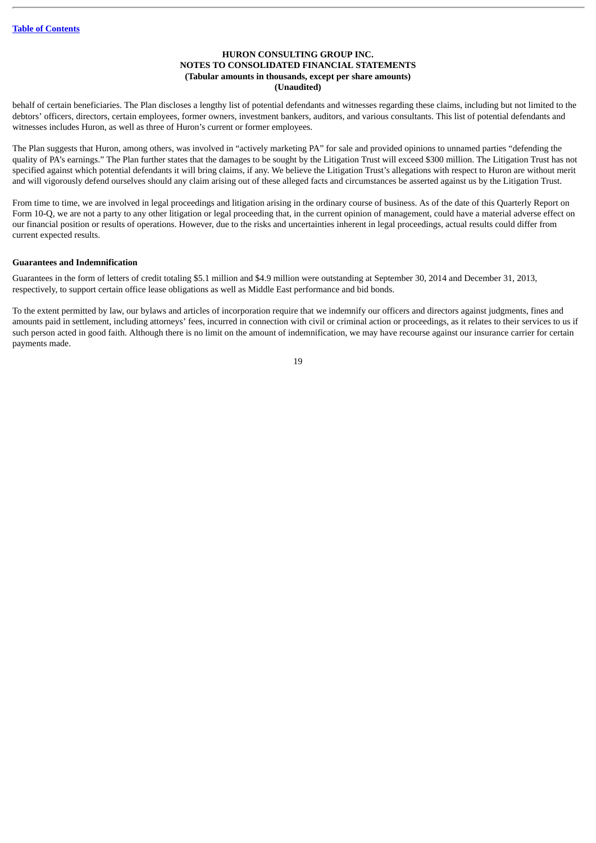behalf of certain beneficiaries. The Plan discloses a lengthy list of potential defendants and witnesses regarding these claims, including but not limited to the debtors' officers, directors, certain employees, former owners, investment bankers, auditors, and various consultants. This list of potential defendants and witnesses includes Huron, as well as three of Huron's current or former employees.

The Plan suggests that Huron, among others, was involved in "actively marketing PA" for sale and provided opinions to unnamed parties "defending the quality of PA's earnings." The Plan further states that the damages to be sought by the Litigation Trust will exceed \$300 million. The Litigation Trust has not specified against which potential defendants it will bring claims, if any. We believe the Litigation Trust's allegations with respect to Huron are without merit and will vigorously defend ourselves should any claim arising out of these alleged facts and circumstances be asserted against us by the Litigation Trust.

From time to time, we are involved in legal proceedings and litigation arising in the ordinary course of business. As of the date of this Quarterly Report on Form 10-Q, we are not a party to any other litigation or legal proceeding that, in the current opinion of management, could have a material adverse effect on our financial position or results of operations. However, due to the risks and uncertainties inherent in legal proceedings, actual results could differ from current expected results.

#### **Guarantees and Indemnification**

Guarantees in the form of letters of credit totaling \$5.1 million and \$4.9 million were outstanding at September 30, 2014 and December 31, 2013, respectively, to support certain office lease obligations as well as Middle East performance and bid bonds.

To the extent permitted by law, our bylaws and articles of incorporation require that we indemnify our officers and directors against judgments, fines and amounts paid in settlement, including attorneys' fees, incurred in connection with civil or criminal action or proceedings, as it relates to their services to us if such person acted in good faith. Although there is no limit on the amount of indemnification, we may have recourse against our insurance carrier for certain payments made.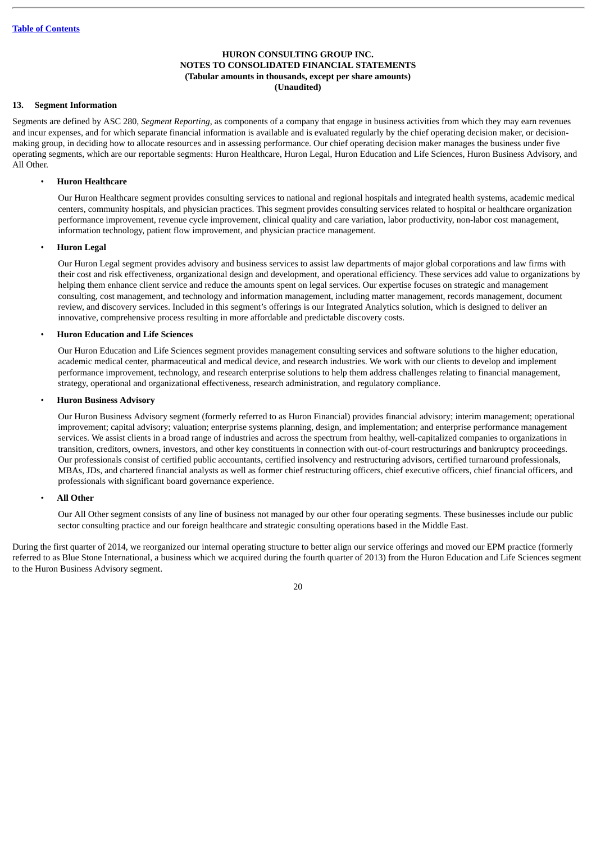#### **13. Segment Information**

Segments are defined by ASC 280, *Segment Reporting*, as components of a company that engage in business activities from which they may earn revenues and incur expenses, and for which separate financial information is available and is evaluated regularly by the chief operating decision maker, or decisionmaking group, in deciding how to allocate resources and in assessing performance. Our chief operating decision maker manages the business under five operating segments, which are our reportable segments: Huron Healthcare, Huron Legal, Huron Education and Life Sciences, Huron Business Advisory, and All Other.

#### • **Huron Healthcare**

Our Huron Healthcare segment provides consulting services to national and regional hospitals and integrated health systems, academic medical centers, community hospitals, and physician practices. This segment provides consulting services related to hospital or healthcare organization performance improvement, revenue cycle improvement, clinical quality and care variation, labor productivity, non-labor cost management, information technology, patient flow improvement, and physician practice management.

#### • **Huron Legal**

Our Huron Legal segment provides advisory and business services to assist law departments of major global corporations and law firms with their cost and risk effectiveness, organizational design and development, and operational efficiency. These services add value to organizations by helping them enhance client service and reduce the amounts spent on legal services. Our expertise focuses on strategic and management consulting, cost management, and technology and information management, including matter management, records management, document review, and discovery services. Included in this segment's offerings is our Integrated Analytics solution, which is designed to deliver an innovative, comprehensive process resulting in more affordable and predictable discovery costs.

#### • **Huron Education and Life Sciences**

Our Huron Education and Life Sciences segment provides management consulting services and software solutions to the higher education, academic medical center, pharmaceutical and medical device, and research industries. We work with our clients to develop and implement performance improvement, technology, and research enterprise solutions to help them address challenges relating to financial management, strategy, operational and organizational effectiveness, research administration, and regulatory compliance.

#### • **Huron Business Advisory**

Our Huron Business Advisory segment (formerly referred to as Huron Financial) provides financial advisory; interim management; operational improvement; capital advisory; valuation; enterprise systems planning, design, and implementation; and enterprise performance management services. We assist clients in a broad range of industries and across the spectrum from healthy, well-capitalized companies to organizations in transition, creditors, owners, investors, and other key constituents in connection with out-of-court restructurings and bankruptcy proceedings. Our professionals consist of certified public accountants, certified insolvency and restructuring advisors, certified turnaround professionals, MBAs, JDs, and chartered financial analysts as well as former chief restructuring officers, chief executive officers, chief financial officers, and professionals with significant board governance experience.

## • **All Other**

Our All Other segment consists of any line of business not managed by our other four operating segments. These businesses include our public sector consulting practice and our foreign healthcare and strategic consulting operations based in the Middle East.

During the first quarter of 2014, we reorganized our internal operating structure to better align our service offerings and moved our EPM practice (formerly referred to as Blue Stone International, a business which we acquired during the fourth quarter of 2013) from the Huron Education and Life Sciences segment to the Huron Business Advisory segment.

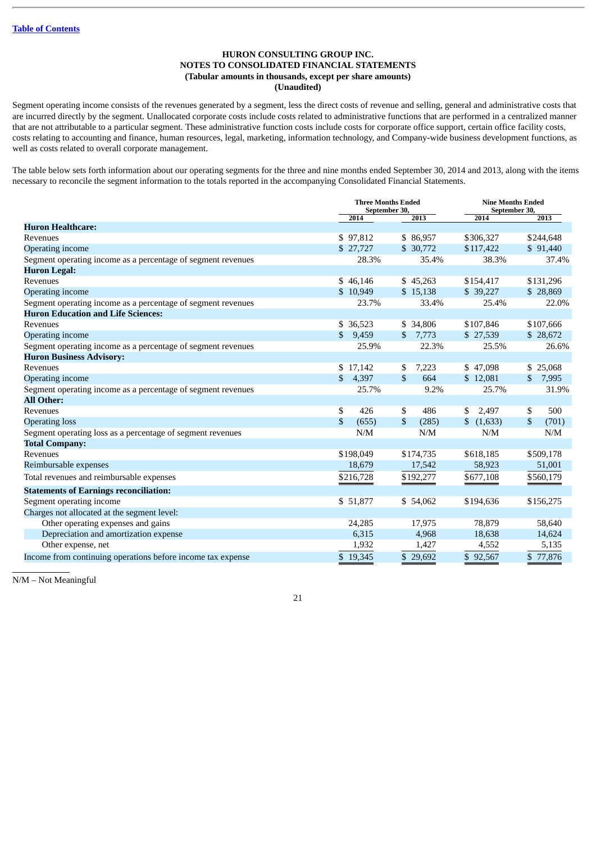Segment operating income consists of the revenues generated by a segment, less the direct costs of revenue and selling, general and administrative costs that are incurred directly by the segment. Unallocated corporate costs include costs related to administrative functions that are performed in a centralized manner that are not attributable to a particular segment. These administrative function costs include costs for corporate office support, certain office facility costs, costs relating to accounting and finance, human resources, legal, marketing, information technology, and Company-wide business development functions, as well as costs related to overall corporate management.

The table below sets forth information about our operating segments for the three and nine months ended September 30, 2014 and 2013, along with the items necessary to reconcile the segment information to the totals reported in the accompanying Consolidated Financial Statements.

|                                                              | <b>Three Months Ended</b><br>September 30, |             | <b>Nine Months Ended</b><br>September 30, |             |  |
|--------------------------------------------------------------|--------------------------------------------|-------------|-------------------------------------------|-------------|--|
|                                                              | 2014                                       | 2013        | 2014                                      | 2013        |  |
| <b>Huron Healthcare:</b>                                     |                                            |             |                                           |             |  |
| Revenues                                                     | \$97,812                                   | \$86,957    | \$306,327                                 | \$244,648   |  |
| Operating income                                             | \$27,727                                   | \$ 30,772   | \$117,422                                 | \$91,440    |  |
| Segment operating income as a percentage of segment revenues | 28.3%                                      | 35.4%       | 38.3%                                     | 37.4%       |  |
| <b>Huron Legal:</b>                                          |                                            |             |                                           |             |  |
| Revenues                                                     | \$46,146                                   | \$45,263    | \$154,417                                 | \$131,296   |  |
| Operating income                                             | \$10,949                                   | \$15,138    | \$39,227                                  | \$ 28,869   |  |
| Segment operating income as a percentage of segment revenues | 23.7%                                      | 33.4%       | 25.4%                                     | 22.0%       |  |
| <b>Huron Education and Life Sciences:</b>                    |                                            |             |                                           |             |  |
| Revenues                                                     | \$ 36,523                                  | \$ 34,806   | \$107,846                                 | \$107,666   |  |
| Operating income                                             | \$<br>9,459                                | \$<br>7,773 | \$27,539                                  | \$28,672    |  |
| Segment operating income as a percentage of segment revenues | 25.9%                                      | 22.3%       | 25.5%                                     | 26.6%       |  |
| <b>Huron Business Advisory:</b>                              |                                            |             |                                           |             |  |
| Revenues                                                     | \$17,142                                   | 7,223<br>\$ | \$47,098                                  | \$25,068    |  |
| Operating income                                             | $\mathbf{s}$<br>4,397                      | \$<br>664   | \$12,081                                  | \$7,995     |  |
| Segment operating income as a percentage of segment revenues | 25.7%                                      | 9.2%        | 25.7%                                     | 31.9%       |  |
| <b>All Other:</b>                                            |                                            |             |                                           |             |  |
| Revenues                                                     | \$<br>426                                  | \$<br>486   | 2,497<br>\$                               | \$<br>500   |  |
| <b>Operating loss</b>                                        | \$<br>(655)                                | \$<br>(285) | (1,633)                                   | \$<br>(701) |  |
| Segment operating loss as a percentage of segment revenues   | N/M                                        | N/M         | N/M                                       | N/M         |  |
| <b>Total Company:</b>                                        |                                            |             |                                           |             |  |
| Revenues                                                     | \$198,049                                  | \$174,735   | \$618,185                                 | \$509,178   |  |
| Reimbursable expenses                                        | 18,679                                     | 17,542      | 58,923                                    | 51,001      |  |
| Total revenues and reimbursable expenses                     | \$216,728                                  | \$192,277   | \$677,108                                 | \$560,179   |  |
| <b>Statements of Earnings reconciliation:</b>                |                                            |             |                                           |             |  |
| Segment operating income                                     | \$51,877                                   | \$54,062    | \$194,636                                 | \$156,275   |  |
| Charges not allocated at the segment level:                  |                                            |             |                                           |             |  |
| Other operating expenses and gains                           | 24,285                                     | 17,975      | 78,879                                    | 58,640      |  |
| Depreciation and amortization expense                        | 6,315                                      | 4,968       | 18,638                                    | 14,624      |  |
| Other expense, net                                           | 1,932                                      | 1,427       | 4,552                                     | 5,135       |  |
| Income from continuing operations before income tax expense  | \$19,345                                   | \$29,692    | \$92,567                                  | \$77,876    |  |

N/M – Not Meaningful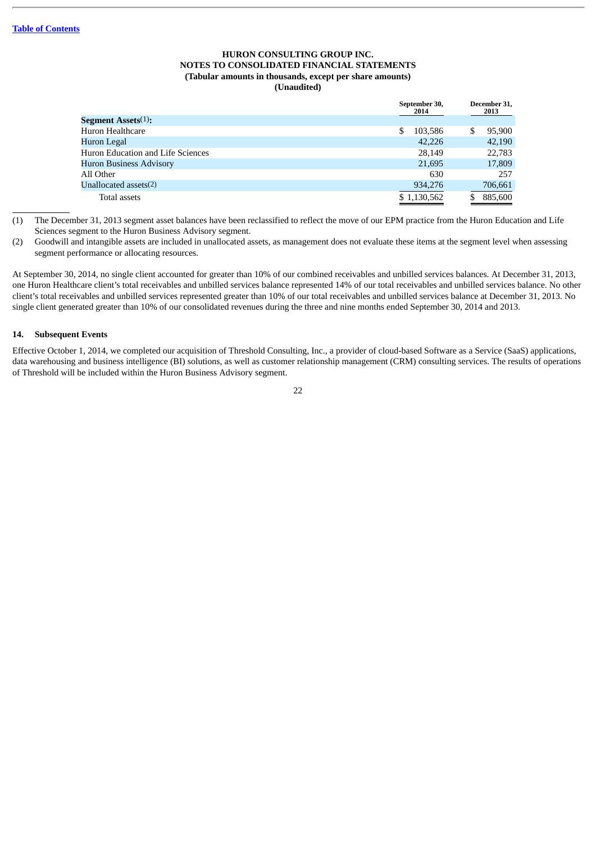|                                   | September 30,<br>2014 | December 31,<br>2013 |  |
|-----------------------------------|-----------------------|----------------------|--|
| Segment Assets $(1)$ :            |                       |                      |  |
| Huron Healthcare                  |                       | 103,586<br>95,900    |  |
| Huron Legal                       |                       | 42,226<br>42,190     |  |
| Huron Education and Life Sciences |                       | 22,783<br>28,149     |  |
| <b>Huron Business Advisory</b>    |                       | 17,809<br>21,695     |  |
| All Other                         |                       | 257<br>630           |  |
| Unallocated assets(2)             |                       | 934,276<br>706,661   |  |
| Total assets                      | \$1,130,562           | 885,600              |  |

(1) The December 31, 2013 segment asset balances have been reclassified to reflect the move of our EPM practice from the Huron Education and Life Sciences segment to the Huron Business Advisory segment.

(2) Goodwill and intangible assets are included in unallocated assets, as management does not evaluate these items at the segment level when assessing segment performance or allocating resources.

At September 30, 2014, no single client accounted for greater than 10% of our combined receivables and unbilled services balances. At December 31, 2013, one Huron Healthcare client's total receivables and unbilled services balance represented 14% of our total receivables and unbilled services balance. No other client's total receivables and unbilled services represented greater than 10% of our total receivables and unbilled services balance at December 31, 2013. No single client generated greater than 10% of our consolidated revenues during the three and nine months ended September 30, 2014 and 2013.

#### **14. Subsequent Events**

Effective October 1, 2014, we completed our acquisition of Threshold Consulting, Inc., a provider of cloud-based Software as a Service (SaaS) applications, data warehousing and business intelligence (BI) solutions, as well as customer relationship management (CRM) consulting services. The results of operations of Threshold will be included within the Huron Business Advisory segment.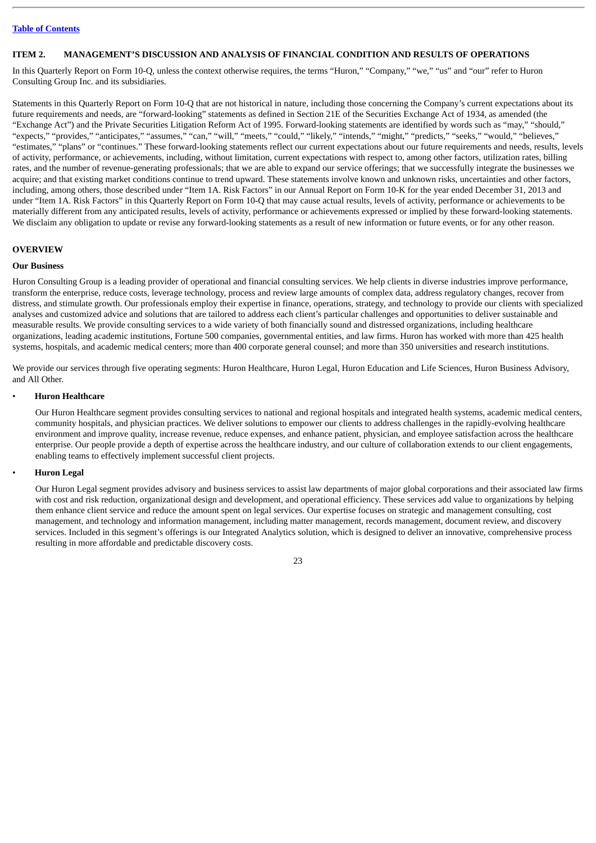#### <span id="page-24-0"></span>**ITEM 2. MANAGEMENT'S DISCUSSION AND ANALYSIS OF FINANCIAL CONDITION AND RESULTS OF OPERATIONS**

In this Quarterly Report on Form 10-Q, unless the context otherwise requires, the terms "Huron," "Company," "we," "us" and "our" refer to Huron Consulting Group Inc. and its subsidiaries.

Statements in this Quarterly Report on Form 10-Q that are not historical in nature, including those concerning the Company's current expectations about its future requirements and needs, are "forward-looking" statements as defined in Section 21E of the Securities Exchange Act of 1934, as amended (the "Exchange Act") and the Private Securities Litigation Reform Act of 1995. Forward-looking statements are identified by words such as "may," "should," "expects," "provides," "anticipates," "assumes," "can," "will," "meets," "could," "likely," "intends," "might," "predicts," "seeks," "would," "believes," "estimates," "plans" or "continues." These forward-looking statements reflect our current expectations about our future requirements and needs, results, levels of activity, performance, or achievements, including, without limitation, current expectations with respect to, among other factors, utilization rates, billing rates, and the number of revenue-generating professionals; that we are able to expand our service offerings; that we successfully integrate the businesses we acquire; and that existing market conditions continue to trend upward. These statements involve known and unknown risks, uncertainties and other factors, including, among others, those described under "Item 1A. Risk Factors" in our Annual Report on Form 10-K for the year ended December 31, 2013 and under "Item 1A. Risk Factors" in this Quarterly Report on Form 10-Q that may cause actual results, levels of activity, performance or achievements to be materially different from any anticipated results, levels of activity, performance or achievements expressed or implied by these forward-looking statements. We disclaim any obligation to update or revise any forward-looking statements as a result of new information or future events, or for any other reason.

#### **OVERVIEW**

#### **Our Business**

Huron Consulting Group is a leading provider of operational and financial consulting services. We help clients in diverse industries improve performance, transform the enterprise, reduce costs, leverage technology, process and review large amounts of complex data, address regulatory changes, recover from distress, and stimulate growth. Our professionals employ their expertise in finance, operations, strategy, and technology to provide our clients with specialized analyses and customized advice and solutions that are tailored to address each client's particular challenges and opportunities to deliver sustainable and measurable results. We provide consulting services to a wide variety of both financially sound and distressed organizations, including healthcare organizations, leading academic institutions, Fortune 500 companies, governmental entities, and law firms. Huron has worked with more than 425 health systems, hospitals, and academic medical centers; more than 400 corporate general counsel; and more than 350 universities and research institutions.

We provide our services through five operating segments: Huron Healthcare, Huron Legal, Huron Education and Life Sciences, Huron Business Advisory, and All Other.

#### • **Huron Healthcare**

Our Huron Healthcare segment provides consulting services to national and regional hospitals and integrated health systems, academic medical centers, community hospitals, and physician practices. We deliver solutions to empower our clients to address challenges in the rapidly-evolving healthcare environment and improve quality, increase revenue, reduce expenses, and enhance patient, physician, and employee satisfaction across the healthcare enterprise. Our people provide a depth of expertise across the healthcare industry, and our culture of collaboration extends to our client engagements, enabling teams to effectively implement successful client projects.

#### • **Huron Legal**

Our Huron Legal segment provides advisory and business services to assist law departments of major global corporations and their associated law firms with cost and risk reduction, organizational design and development, and operational efficiency. These services add value to organizations by helping them enhance client service and reduce the amount spent on legal services. Our expertise focuses on strategic and management consulting, cost management, and technology and information management, including matter management, records management, document review, and discovery services. Included in this segment's offerings is our Integrated Analytics solution, which is designed to deliver an innovative, comprehensive process resulting in more affordable and predictable discovery costs.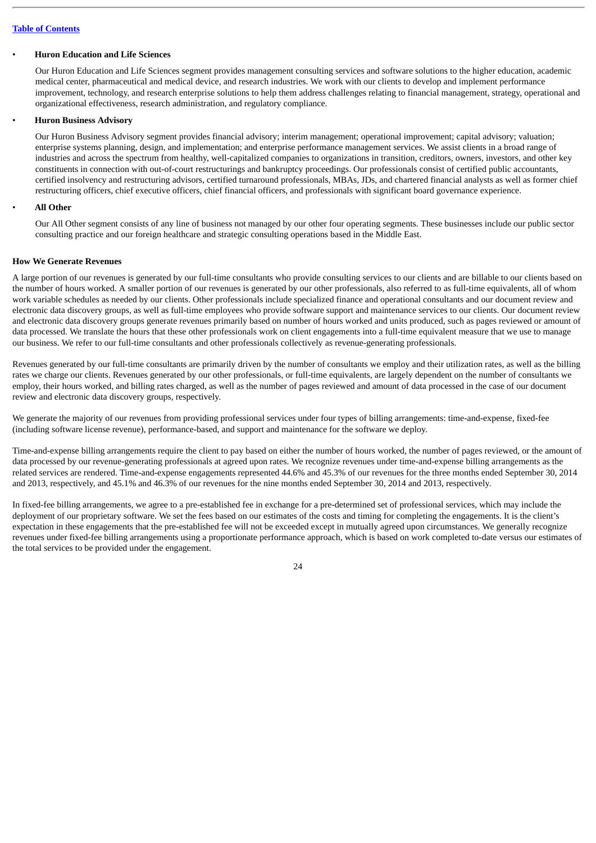## • **Huron Education and Life Sciences**

Our Huron Education and Life Sciences segment provides management consulting services and software solutions to the higher education, academic medical center, pharmaceutical and medical device, and research industries. We work with our clients to develop and implement performance improvement, technology, and research enterprise solutions to help them address challenges relating to financial management, strategy, operational and organizational effectiveness, research administration, and regulatory compliance.

#### • **Huron Business Advisory**

Our Huron Business Advisory segment provides financial advisory; interim management; operational improvement; capital advisory; valuation; enterprise systems planning, design, and implementation; and enterprise performance management services. We assist clients in a broad range of industries and across the spectrum from healthy, well-capitalized companies to organizations in transition, creditors, owners, investors, and other key constituents in connection with out-of-court restructurings and bankruptcy proceedings. Our professionals consist of certified public accountants, certified insolvency and restructuring advisors, certified turnaround professionals, MBAs, JDs, and chartered financial analysts as well as former chief restructuring officers, chief executive officers, chief financial officers, and professionals with significant board governance experience.

#### • **All Other**

Our All Other segment consists of any line of business not managed by our other four operating segments. These businesses include our public sector consulting practice and our foreign healthcare and strategic consulting operations based in the Middle East.

#### **How We Generate Revenues**

A large portion of our revenues is generated by our full-time consultants who provide consulting services to our clients and are billable to our clients based on the number of hours worked. A smaller portion of our revenues is generated by our other professionals, also referred to as full-time equivalents, all of whom work variable schedules as needed by our clients. Other professionals include specialized finance and operational consultants and our document review and electronic data discovery groups, as well as full-time employees who provide software support and maintenance services to our clients. Our document review and electronic data discovery groups generate revenues primarily based on number of hours worked and units produced, such as pages reviewed or amount of data processed. We translate the hours that these other professionals work on client engagements into a full-time equivalent measure that we use to manage our business. We refer to our full-time consultants and other professionals collectively as revenue-generating professionals.

Revenues generated by our full-time consultants are primarily driven by the number of consultants we employ and their utilization rates, as well as the billing rates we charge our clients. Revenues generated by our other professionals, or full-time equivalents, are largely dependent on the number of consultants we employ, their hours worked, and billing rates charged, as well as the number of pages reviewed and amount of data processed in the case of our document review and electronic data discovery groups, respectively.

We generate the majority of our revenues from providing professional services under four types of billing arrangements: time-and-expense, fixed-fee (including software license revenue), performance-based, and support and maintenance for the software we deploy.

Time-and-expense billing arrangements require the client to pay based on either the number of hours worked, the number of pages reviewed, or the amount of data processed by our revenue-generating professionals at agreed upon rates. We recognize revenues under time-and-expense billing arrangements as the related services are rendered. Time-and-expense engagements represented 44.6% and 45.3% of our revenues for the three months ended September 30, 2014 and 2013, respectively, and 45.1% and 46.3% of our revenues for the nine months ended September 30, 2014 and 2013, respectively.

In fixed-fee billing arrangements, we agree to a pre-established fee in exchange for a pre-determined set of professional services, which may include the deployment of our proprietary software. We set the fees based on our estimates of the costs and timing for completing the engagements. It is the client's expectation in these engagements that the pre-established fee will not be exceeded except in mutually agreed upon circumstances. We generally recognize revenues under fixed-fee billing arrangements using a proportionate performance approach, which is based on work completed to-date versus our estimates of the total services to be provided under the engagement.

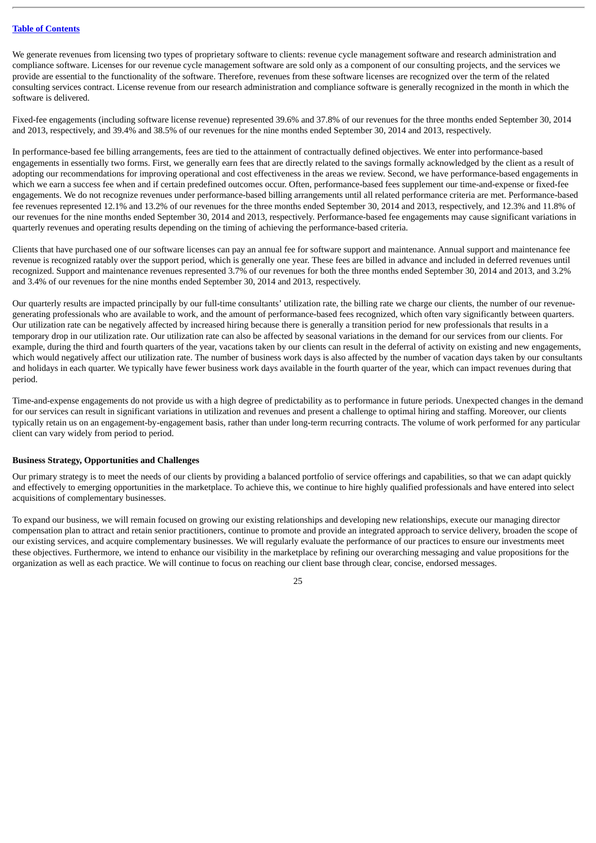We generate revenues from licensing two types of proprietary software to clients: revenue cycle management software and research administration and compliance software. Licenses for our revenue cycle management software are sold only as a component of our consulting projects, and the services we provide are essential to the functionality of the software. Therefore, revenues from these software licenses are recognized over the term of the related consulting services contract. License revenue from our research administration and compliance software is generally recognized in the month in which the software is delivered.

Fixed-fee engagements (including software license revenue) represented 39.6% and 37.8% of our revenues for the three months ended September 30, 2014 and 2013, respectively, and 39.4% and 38.5% of our revenues for the nine months ended September 30, 2014 and 2013, respectively.

In performance-based fee billing arrangements, fees are tied to the attainment of contractually defined objectives. We enter into performance-based engagements in essentially two forms. First, we generally earn fees that are directly related to the savings formally acknowledged by the client as a result of adopting our recommendations for improving operational and cost effectiveness in the areas we review. Second, we have performance-based engagements in which we earn a success fee when and if certain predefined outcomes occur. Often, performance-based fees supplement our time-and-expense or fixed-fee engagements. We do not recognize revenues under performance-based billing arrangements until all related performance criteria are met. Performance-based fee revenues represented 12.1% and 13.2% of our revenues for the three months ended September 30, 2014 and 2013, respectively, and 12.3% and 11.8% of our revenues for the nine months ended September 30, 2014 and 2013, respectively. Performance-based fee engagements may cause significant variations in quarterly revenues and operating results depending on the timing of achieving the performance-based criteria.

Clients that have purchased one of our software licenses can pay an annual fee for software support and maintenance. Annual support and maintenance fee revenue is recognized ratably over the support period, which is generally one year. These fees are billed in advance and included in deferred revenues until recognized. Support and maintenance revenues represented 3.7% of our revenues for both the three months ended September 30, 2014 and 2013, and 3.2% and 3.4% of our revenues for the nine months ended September 30, 2014 and 2013, respectively.

Our quarterly results are impacted principally by our full-time consultants' utilization rate, the billing rate we charge our clients, the number of our revenuegenerating professionals who are available to work, and the amount of performance-based fees recognized, which often vary significantly between quarters. Our utilization rate can be negatively affected by increased hiring because there is generally a transition period for new professionals that results in a temporary drop in our utilization rate. Our utilization rate can also be affected by seasonal variations in the demand for our services from our clients. For example, during the third and fourth quarters of the year, vacations taken by our clients can result in the deferral of activity on existing and new engagements, which would negatively affect our utilization rate. The number of business work days is also affected by the number of vacation days taken by our consultants and holidays in each quarter. We typically have fewer business work days available in the fourth quarter of the year, which can impact revenues during that period.

Time-and-expense engagements do not provide us with a high degree of predictability as to performance in future periods. Unexpected changes in the demand for our services can result in significant variations in utilization and revenues and present a challenge to optimal hiring and staffing. Moreover, our clients typically retain us on an engagement-by-engagement basis, rather than under long-term recurring contracts. The volume of work performed for any particular client can vary widely from period to period.

#### **Business Strategy, Opportunities and Challenges**

Our primary strategy is to meet the needs of our clients by providing a balanced portfolio of service offerings and capabilities, so that we can adapt quickly and effectively to emerging opportunities in the marketplace. To achieve this, we continue to hire highly qualified professionals and have entered into select acquisitions of complementary businesses.

To expand our business, we will remain focused on growing our existing relationships and developing new relationships, execute our managing director compensation plan to attract and retain senior practitioners, continue to promote and provide an integrated approach to service delivery, broaden the scope of our existing services, and acquire complementary businesses. We will regularly evaluate the performance of our practices to ensure our investments meet these objectives. Furthermore, we intend to enhance our visibility in the marketplace by refining our overarching messaging and value propositions for the organization as well as each practice. We will continue to focus on reaching our client base through clear, concise, endorsed messages.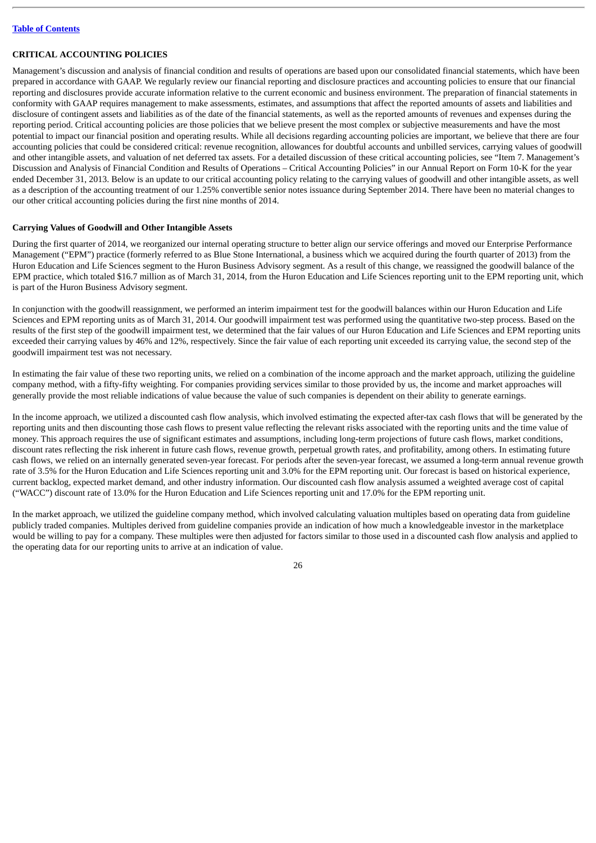## **CRITICAL ACCOUNTING POLICIES**

Management's discussion and analysis of financial condition and results of operations are based upon our consolidated financial statements, which have been prepared in accordance with GAAP. We regularly review our financial reporting and disclosure practices and accounting policies to ensure that our financial reporting and disclosures provide accurate information relative to the current economic and business environment. The preparation of financial statements in conformity with GAAP requires management to make assessments, estimates, and assumptions that affect the reported amounts of assets and liabilities and disclosure of contingent assets and liabilities as of the date of the financial statements, as well as the reported amounts of revenues and expenses during the reporting period. Critical accounting policies are those policies that we believe present the most complex or subjective measurements and have the most potential to impact our financial position and operating results. While all decisions regarding accounting policies are important, we believe that there are four accounting policies that could be considered critical: revenue recognition, allowances for doubtful accounts and unbilled services, carrying values of goodwill and other intangible assets, and valuation of net deferred tax assets. For a detailed discussion of these critical accounting policies, see "Item 7. Management's Discussion and Analysis of Financial Condition and Results of Operations – Critical Accounting Policies" in our Annual Report on Form 10-K for the year ended December 31, 2013. Below is an update to our critical accounting policy relating to the carrying values of goodwill and other intangible assets, as well as a description of the accounting treatment of our 1.25% convertible senior notes issuance during September 2014. There have been no material changes to our other critical accounting policies during the first nine months of 2014.

#### **Carrying Values of Goodwill and Other Intangible Assets**

During the first quarter of 2014, we reorganized our internal operating structure to better align our service offerings and moved our Enterprise Performance Management ("EPM") practice (formerly referred to as Blue Stone International, a business which we acquired during the fourth quarter of 2013) from the Huron Education and Life Sciences segment to the Huron Business Advisory segment. As a result of this change, we reassigned the goodwill balance of the EPM practice, which totaled \$16.7 million as of March 31, 2014, from the Huron Education and Life Sciences reporting unit to the EPM reporting unit, which is part of the Huron Business Advisory segment.

In conjunction with the goodwill reassignment, we performed an interim impairment test for the goodwill balances within our Huron Education and Life Sciences and EPM reporting units as of March 31, 2014. Our goodwill impairment test was performed using the quantitative two-step process. Based on the results of the first step of the goodwill impairment test, we determined that the fair values of our Huron Education and Life Sciences and EPM reporting units exceeded their carrying values by 46% and 12%, respectively. Since the fair value of each reporting unit exceeded its carrying value, the second step of the goodwill impairment test was not necessary.

In estimating the fair value of these two reporting units, we relied on a combination of the income approach and the market approach, utilizing the guideline company method, with a fifty-fifty weighting. For companies providing services similar to those provided by us, the income and market approaches will generally provide the most reliable indications of value because the value of such companies is dependent on their ability to generate earnings.

In the income approach, we utilized a discounted cash flow analysis, which involved estimating the expected after-tax cash flows that will be generated by the reporting units and then discounting those cash flows to present value reflecting the relevant risks associated with the reporting units and the time value of money. This approach requires the use of significant estimates and assumptions, including long-term projections of future cash flows, market conditions, discount rates reflecting the risk inherent in future cash flows, revenue growth, perpetual growth rates, and profitability, among others. In estimating future cash flows, we relied on an internally generated seven-year forecast. For periods after the seven-year forecast, we assumed a long-term annual revenue growth rate of 3.5% for the Huron Education and Life Sciences reporting unit and 3.0% for the EPM reporting unit. Our forecast is based on historical experience, current backlog, expected market demand, and other industry information. Our discounted cash flow analysis assumed a weighted average cost of capital ("WACC") discount rate of 13.0% for the Huron Education and Life Sciences reporting unit and 17.0% for the EPM reporting unit.

In the market approach, we utilized the guideline company method, which involved calculating valuation multiples based on operating data from guideline publicly traded companies. Multiples derived from guideline companies provide an indication of how much a knowledgeable investor in the marketplace would be willing to pay for a company. These multiples were then adjusted for factors similar to those used in a discounted cash flow analysis and applied to the operating data for our reporting units to arrive at an indication of value.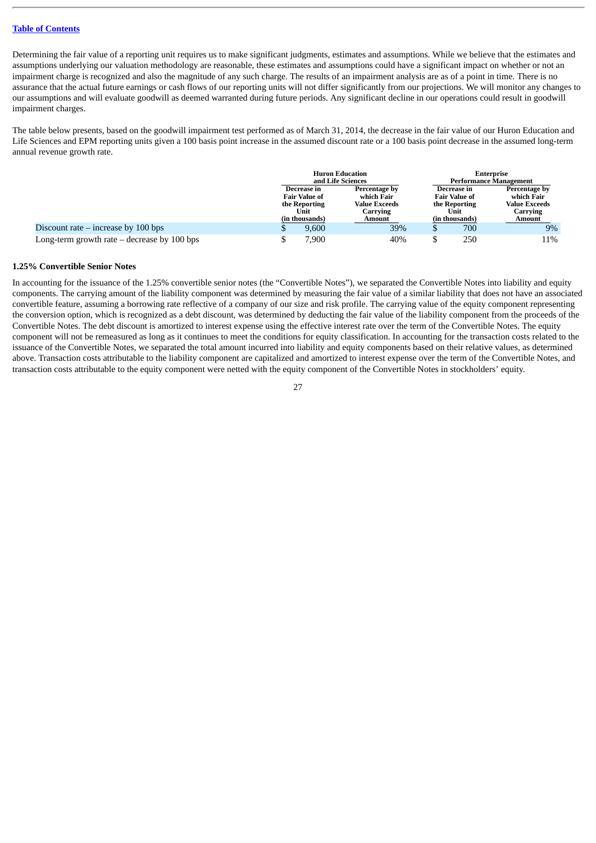Determining the fair value of a reporting unit requires us to make significant judgments, estimates and assumptions. While we believe that the estimates and assumptions underlying our valuation methodology are reasonable, these estimates and assumptions could have a significant impact on whether or not an impairment charge is recognized and also the magnitude of any such charge. The results of an impairment analysis are as of a point in time. There is no assurance that the actual future earnings or cash flows of our reporting units will not differ significantly from our projections. We will monitor any changes to our assumptions and will evaluate goodwill as deemed warranted during future periods. Any significant decline in our operations could result in goodwill impairment charges.

The table below presents, based on the goodwill impairment test performed as of March 31, 2014, the decrease in the fair value of our Huron Education and Life Sciences and EPM reporting units given a 100 basis point increase in the assumed discount rate or a 100 basis point decrease in the assumed long-term annual revenue growth rate.

|                                               |                                                                                | <b>Huron Education</b>                                             |                                                                                |     | and Life Sciences                                                         |  |  | Enterprise<br><b>Performance Management</b> |
|-----------------------------------------------|--------------------------------------------------------------------------------|--------------------------------------------------------------------|--------------------------------------------------------------------------------|-----|---------------------------------------------------------------------------|--|--|---------------------------------------------|
|                                               | Decrease in<br><b>Fair Value of</b><br>the Reporting<br>Unit<br>(in thousands) | Percentage by<br>which Fair<br>Value Exceeds<br>Carrving<br>Amount | Decrease in<br><b>Fair Value of</b><br>the Reporting<br>Unit<br>(in thousands) |     | Percentage by<br>which Fair<br><b>Value Exceeds</b><br>Carrying<br>Amount |  |  |                                             |
| Discount rate $-$ increase by 100 bps         | 9.600                                                                          | 39%                                                                |                                                                                | 700 | $9\%$                                                                     |  |  |                                             |
| Long-term growth rate $-$ decrease by 100 bps | 7.900                                                                          | 40%                                                                |                                                                                | 250 | 11%                                                                       |  |  |                                             |

#### **1.25% Convertible Senior Notes**

In accounting for the issuance of the 1.25% convertible senior notes (the "Convertible Notes"), we separated the Convertible Notes into liability and equity components. The carrying amount of the liability component was determined by measuring the fair value of a similar liability that does not have an associated convertible feature, assuming a borrowing rate reflective of a company of our size and risk profile. The carrying value of the equity component representing the conversion option, which is recognized as a debt discount, was determined by deducting the fair value of the liability component from the proceeds of the Convertible Notes. The debt discount is amortized to interest expense using the effective interest rate over the term of the Convertible Notes. The equity component will not be remeasured as long as it continues to meet the conditions for equity classification. In accounting for the transaction costs related to the issuance of the Convertible Notes, we separated the total amount incurred into liability and equity components based on their relative values, as determined above. Transaction costs attributable to the liability component are capitalized and amortized to interest expense over the term of the Convertible Notes, and transaction costs attributable to the equity component were netted with the equity component of the Convertible Notes in stockholders' equity.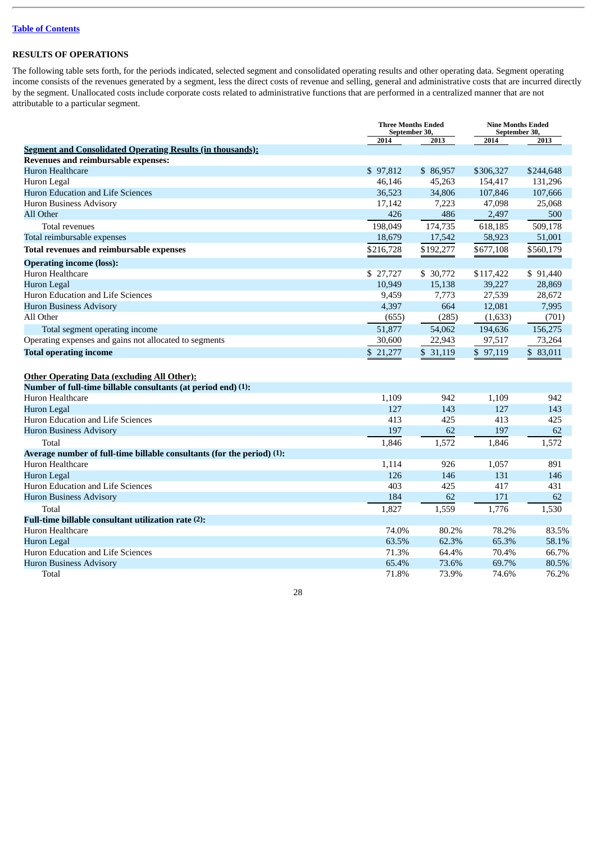## **RESULTS OF OPERATIONS**

The following table sets forth, for the periods indicated, selected segment and consolidated operating results and other operating data. Segment operating income consists of the revenues generated by a segment, less the direct costs of revenue and selling, general and administrative costs that are incurred directly by the segment. Unallocated costs include corporate costs related to administrative functions that are performed in a centralized manner that are not attributable to a particular segment.

|                                                                        | <b>Three Months Ended</b><br>September 30, |           | <b>Nine Months Ended</b><br>September 30, |           |
|------------------------------------------------------------------------|--------------------------------------------|-----------|-------------------------------------------|-----------|
|                                                                        | 2014                                       | 2013      | 2014                                      | 2013      |
| <b>Segment and Consolidated Operating Results (in thousands):</b>      |                                            |           |                                           |           |
| Revenues and reimbursable expenses:                                    |                                            |           |                                           |           |
| Huron Healthcare                                                       | \$97,812                                   | \$86,957  | \$306,327                                 | \$244,648 |
| Huron Legal                                                            | 46,146                                     | 45,263    | 154,417                                   | 131,296   |
| Huron Education and Life Sciences                                      | 36,523                                     | 34,806    | 107,846                                   | 107,666   |
| <b>Huron Business Advisory</b>                                         | 17,142                                     | 7,223     | 47,098                                    | 25,068    |
| All Other                                                              | 426                                        | 486       | 2,497                                     | 500       |
| Total revenues                                                         | 198,049                                    | 174,735   | 618,185                                   | 509,178   |
| Total reimbursable expenses                                            | 18,679                                     | 17,542    | 58,923                                    | 51,001    |
| <b>Total revenues and reimbursable expenses</b>                        | \$216,728                                  | \$192,277 | \$677,108                                 | \$560,179 |
| <b>Operating income (loss):</b>                                        |                                            |           |                                           |           |
| Huron Healthcare                                                       | \$27,727                                   | \$ 30,772 | \$117,422                                 | \$91,440  |
| Huron Legal                                                            | 10,949                                     | 15,138    | 39,227                                    | 28,869    |
| Huron Education and Life Sciences                                      | 9,459                                      | 7,773     | 27,539                                    | 28,672    |
| <b>Huron Business Advisory</b>                                         | 4,397                                      | 664       | 12,081                                    | 7,995     |
| All Other                                                              | (655)                                      | (285)     | (1,633)                                   | (701)     |
| Total segment operating income                                         | 51,877                                     | 54,062    | 194,636                                   | 156,275   |
| Operating expenses and gains not allocated to segments                 | 30,600                                     | 22,943    | 97,517                                    | 73,264    |
| <b>Total operating income</b>                                          | \$21,277                                   | \$31,119  | \$97,119                                  | \$ 83,011 |
|                                                                        |                                            |           |                                           |           |
| <b>Other Operating Data (excluding All Other):</b>                     |                                            |           |                                           |           |
| Number of full-time billable consultants (at period end) (1):          |                                            |           |                                           |           |
| Huron Healthcare                                                       | 1,109                                      | 942       | 1,109                                     | 942       |
| <b>Huron Legal</b>                                                     | 127                                        | 143       | 127                                       | 143       |
| Huron Education and Life Sciences                                      | 413                                        | 425       | 413                                       | 425       |
| <b>Huron Business Advisory</b>                                         | 197                                        | 62        | 197                                       | 62        |
| Total                                                                  | 1,846                                      | 1,572     | 1,846                                     | 1,572     |
| Average number of full-time billable consultants (for the period) (1): |                                            |           |                                           |           |
| Huron Healthcare                                                       | 1,114                                      | 926       | 1,057                                     | 891       |
| <b>Huron Legal</b>                                                     | 126                                        | 146       | 131                                       | 146       |
| Huron Education and Life Sciences                                      | 403                                        | 425       | 417                                       | 431       |
| <b>Huron Business Advisory</b>                                         | 184                                        | 62        | 171                                       | 62        |
| Total                                                                  | 1,827                                      | 1,559     | 1,776                                     | 1,530     |
| Full-time billable consultant utilization rate (2):                    |                                            |           |                                           |           |
| Huron Healthcare                                                       | 74.0%                                      | 80.2%     | 78.2%                                     | 83.5%     |
| Huron Legal                                                            | 63.5%                                      | 62.3%     | 65.3%                                     | 58.1%     |
| Huron Education and Life Sciences                                      | 71.3%                                      | 64.4%     | 70.4%                                     | 66.7%     |
| <b>Huron Business Advisory</b>                                         | 65.4%                                      | 73.6%     | 69.7%                                     | 80.5%     |
| Total                                                                  | 71.8%                                      | 73.9%     | 74.6%                                     | 76.2%     |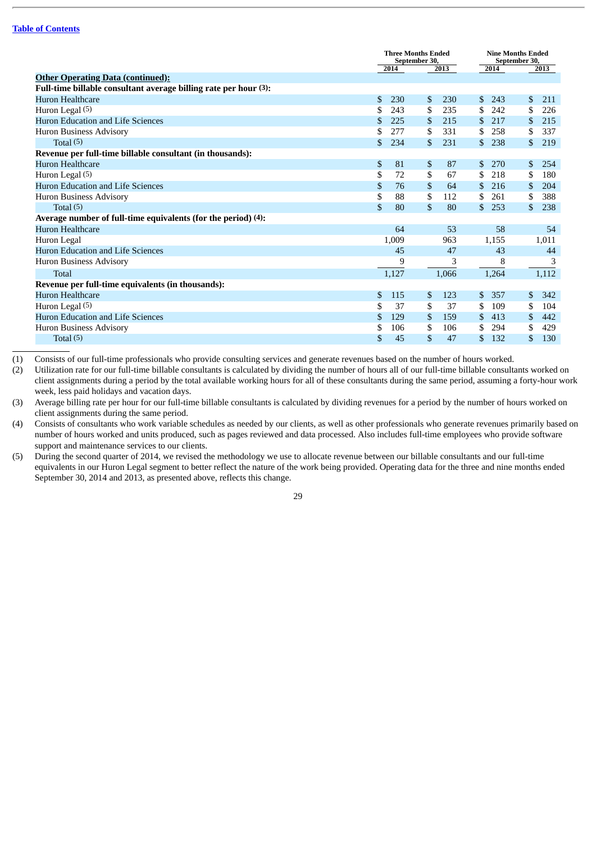|                                                                  | 2014      | <b>Three Months Ended</b><br>September 30,<br>2013 | <b>Nine Months Ended</b><br>September 30,<br>2014<br>2013 |           |  |
|------------------------------------------------------------------|-----------|----------------------------------------------------|-----------------------------------------------------------|-----------|--|
| <b>Other Operating Data (continued):</b>                         |           |                                                    |                                                           |           |  |
| Full-time billable consultant average billing rate per hour (3): |           |                                                    |                                                           |           |  |
| Huron Healthcare                                                 | \$        | \$                                                 | \$.                                                       | \$        |  |
|                                                                  | 230       | 230                                                | 243                                                       | 211       |  |
| Huron Legal (5)                                                  | \$        | \$                                                 | \$                                                        | 226       |  |
|                                                                  | 243       | 235                                                | 242                                                       | S         |  |
| <b>Huron Education and Life Sciences</b>                         | \$        | \$                                                 | 217                                                       | 215       |  |
|                                                                  | 225       | 215                                                | \$                                                        | \$        |  |
| <b>Huron Business Advisory</b>                                   | \$        | \$                                                 | \$                                                        | 337       |  |
|                                                                  | 277       | 331                                                | 258                                                       | \$        |  |
| Total $(5)$                                                      | \$        | \$                                                 | \$                                                        | \$        |  |
|                                                                  | 234       | 231                                                | 238                                                       | 219       |  |
| Revenue per full-time billable consultant (in thousands):        |           |                                                    |                                                           |           |  |
| Huron Healthcare                                                 | \$        | \$                                                 | \$                                                        | \$        |  |
|                                                                  | 81        | 87                                                 | 270                                                       | 254       |  |
| Huron Legal (5)                                                  | \$        | \$                                                 | \$                                                        | 180       |  |
|                                                                  | 72        | 67                                                 | 218                                                       | \$        |  |
| Huron Education and Life Sciences                                | \$        | \$                                                 | \$.                                                       | 204       |  |
|                                                                  | 76        | 64                                                 | 216                                                       | \$        |  |
| <b>Huron Business Advisory</b>                                   | \$<br>88  | \$<br>112                                          | 261                                                       | \$<br>388 |  |
| Total $(5)$                                                      | \$        | \$                                                 | \$                                                        | \$        |  |
|                                                                  | 80        | 80                                                 | 253                                                       | 238       |  |
| Average number of full-time equivalents (for the period) (4):    |           |                                                    |                                                           |           |  |
| Huron Healthcare                                                 | 64        | 53                                                 | 58                                                        | 54        |  |
| Huron Legal                                                      | 1,009     | 963                                                | 1,155                                                     | 1,011     |  |
| Huron Education and Life Sciences                                | 45        | 47                                                 | 43                                                        | 44        |  |
| <b>Huron Business Advisory</b>                                   | 9         | 3                                                  | 8                                                         | 3         |  |
| Total                                                            | 1,127     | 1,066                                              | 1,264                                                     | 1,112     |  |
| Revenue per full-time equivalents (in thousands):                |           |                                                    |                                                           |           |  |
| Huron Healthcare                                                 | 115       | \$                                                 | \$                                                        | \$        |  |
|                                                                  | \$        | 123                                                | 357                                                       | 342       |  |
| Huron Legal (5)                                                  | \$        | \$                                                 | 109                                                       | \$        |  |
|                                                                  | 37        | 37                                                 | \$                                                        | 104       |  |
| <b>Huron Education and Life Sciences</b>                         | \$        | \$                                                 | \$.                                                       | 442       |  |
|                                                                  | 129       | 159                                                | 413                                                       | \$        |  |
| <b>Huron Business Advisory</b>                                   | \$<br>106 | \$<br>106                                          | 294                                                       | \$<br>429 |  |
| Total $(5)$                                                      | \$        | \$                                                 | \$                                                        | \$        |  |
|                                                                  | 45        | 47                                                 | 132                                                       | 130       |  |

(1) Consists of our full-time professionals who provide consulting services and generate revenues based on the number of hours worked.

(2) Utilization rate for our full-time billable consultants is calculated by dividing the number of hours all of our full-time billable consultants worked on client assignments during a period by the total available working hours for all of these consultants during the same period, assuming a forty-hour work week, less paid holidays and vacation days.

(3) Average billing rate per hour for our full-time billable consultants is calculated by dividing revenues for a period by the number of hours worked on client assignments during the same period.

(4) Consists of consultants who work variable schedules as needed by our clients, as well as other professionals who generate revenues primarily based on number of hours worked and units produced, such as pages reviewed and data processed. Also includes full-time employees who provide software support and maintenance services to our clients.

(5) During the second quarter of 2014, we revised the methodology we use to allocate revenue between our billable consultants and our full-time equivalents in our Huron Legal segment to better reflect the nature of the work being provided. Operating data for the three and nine months ended September 30, 2014 and 2013, as presented above, reflects this change.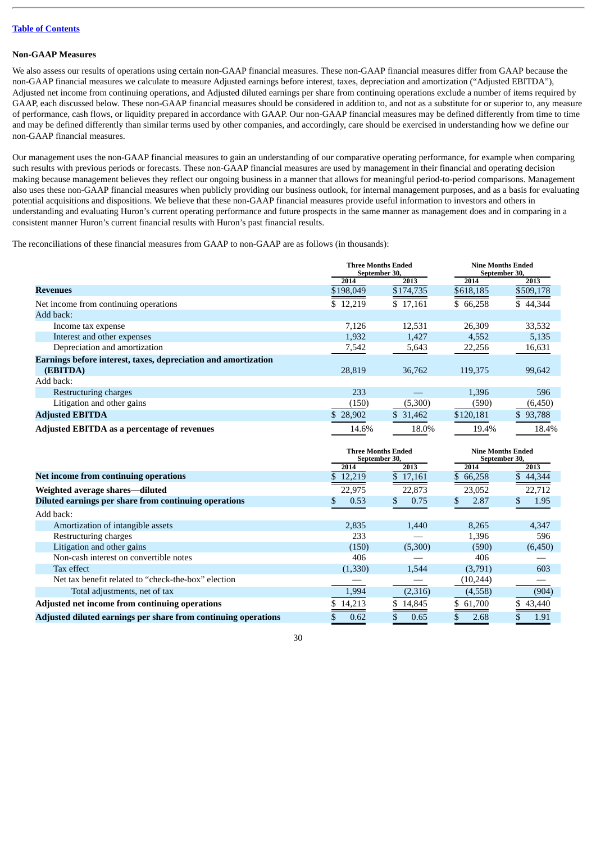#### **Non-GAAP Measures**

We also assess our results of operations using certain non-GAAP financial measures. These non-GAAP financial measures differ from GAAP because the non-GAAP financial measures we calculate to measure Adjusted earnings before interest, taxes, depreciation and amortization ("Adjusted EBITDA"), Adjusted net income from continuing operations, and Adjusted diluted earnings per share from continuing operations exclude a number of items required by GAAP, each discussed below. These non-GAAP financial measures should be considered in addition to, and not as a substitute for or superior to, any measure of performance, cash flows, or liquidity prepared in accordance with GAAP. Our non-GAAP financial measures may be defined differently from time to time and may be defined differently than similar terms used by other companies, and accordingly, care should be exercised in understanding how we define our non-GAAP financial measures.

Our management uses the non-GAAP financial measures to gain an understanding of our comparative operating performance, for example when comparing such results with previous periods or forecasts. These non-GAAP financial measures are used by management in their financial and operating decision making because management believes they reflect our ongoing business in a manner that allows for meaningful period-to-period comparisons. Management also uses these non-GAAP financial measures when publicly providing our business outlook, for internal management purposes, and as a basis for evaluating potential acquisitions and dispositions. We believe that these non-GAAP financial measures provide useful information to investors and others in understanding and evaluating Huron's current operating performance and future prospects in the same manner as management does and in comparing in a consistent manner Huron's current financial results with Huron's past financial results.

The reconciliations of these financial measures from GAAP to non-GAAP are as follows (in thousands):

|                                                                | <b>Three Months Ended</b><br>September 30, |           | <b>Nine Months Ended</b><br>September 30, |           |  |
|----------------------------------------------------------------|--------------------------------------------|-----------|-------------------------------------------|-----------|--|
|                                                                | 2014                                       | 2013      | 2014                                      | 2013      |  |
| <b>Revenues</b>                                                | \$198,049                                  | \$174,735 | \$618,185                                 | \$509,178 |  |
| Net income from continuing operations                          | \$12,219                                   | \$17,161  | \$66,258                                  | \$44,344  |  |
| Add back:                                                      |                                            |           |                                           |           |  |
| Income tax expense                                             | 7,126                                      | 12,531    | 26,309                                    | 33,532    |  |
| Interest and other expenses                                    | 1,932                                      | 1,427     | 4,552                                     | 5,135     |  |
| Depreciation and amortization                                  | 7,542                                      | 5,643     | 22,256                                    | 16,631    |  |
| Earnings before interest, taxes, depreciation and amortization |                                            |           |                                           |           |  |
| (EBITDA)                                                       | 28,819                                     | 36,762    | 119,375                                   | 99,642    |  |
| Add back:                                                      |                                            |           |                                           |           |  |
| Restructuring charges                                          | 233                                        |           | 1,396                                     | 596       |  |
| Litigation and other gains                                     | (150)                                      | (5,300)   | (590)                                     | (6, 450)  |  |
| <b>Adjusted EBITDA</b>                                         | \$ 28,902                                  | \$31,462  | \$120,181                                 | \$93,788  |  |
| Adjusted EBITDA as a percentage of revenues                    | 14.6%                                      | 18.0%     | 19.4%                                     | 18.4%     |  |

|                                                                | <b>Three Months Ended</b><br>September 30, |              | <b>Nine Months Ended</b><br>September 30,<br>2014 |          |
|----------------------------------------------------------------|--------------------------------------------|--------------|---------------------------------------------------|----------|
| Net income from continuing operations                          |                                            | 2013<br>2014 |                                                   | 2013     |
|                                                                | \$12,219                                   | \$17,161     | \$66,258                                          | \$44,344 |
| Weighted average shares—diluted                                | 22,975                                     | 22,873       | 23,052                                            | 22,712   |
| Diluted earnings per share from continuing operations          | 0.53                                       | 0.75<br>S.   | 2.87                                              | 1.95     |
| Add back:                                                      |                                            |              |                                                   |          |
| Amortization of intangible assets                              | 2,835                                      | 1,440        | 8,265                                             | 4,347    |
| Restructuring charges                                          | 233                                        |              | 1,396                                             | 596      |
| Litigation and other gains                                     | (150)                                      | (5,300)      | (590)                                             | (6, 450) |
| Non-cash interest on convertible notes                         | 406                                        |              | 406                                               |          |
| Tax effect                                                     | (1,330)                                    | 1,544        | (3,791)                                           | 603      |
| Net tax benefit related to "check-the-box" election            |                                            |              | (10, 244)                                         |          |
| Total adjustments, net of tax                                  | 1,994                                      | (2,316)      | (4,558)                                           | (904)    |
| Adjusted net income from continuing operations                 | 14,213                                     | 14,845       | \$61,700                                          | 43,440   |
| Adjusted diluted earnings per share from continuing operations | 0.62                                       | 0.65         | 2.68                                              | 1.91     |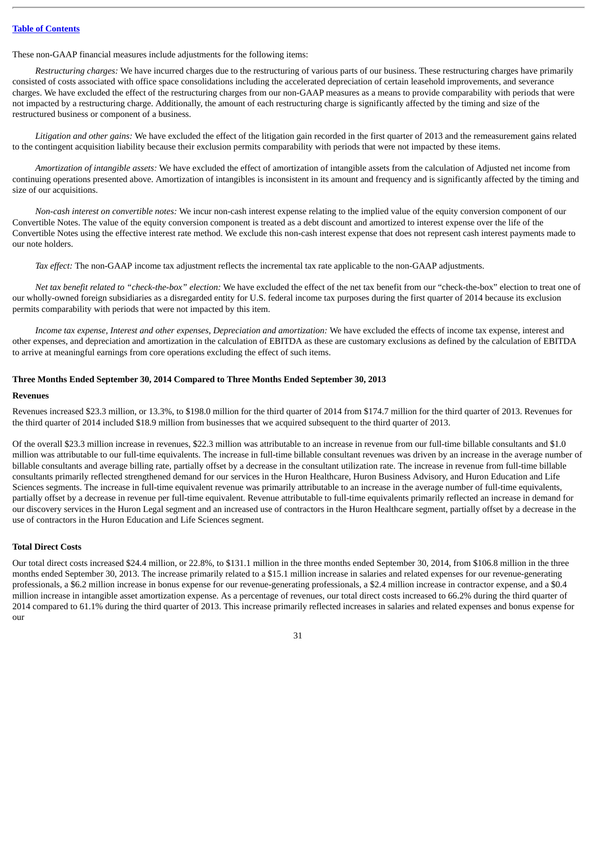These non-GAAP financial measures include adjustments for the following items:

*Restructuring charges:* We have incurred charges due to the restructuring of various parts of our business. These restructuring charges have primarily consisted of costs associated with office space consolidations including the accelerated depreciation of certain leasehold improvements, and severance charges. We have excluded the effect of the restructuring charges from our non-GAAP measures as a means to provide comparability with periods that were not impacted by a restructuring charge. Additionally, the amount of each restructuring charge is significantly affected by the timing and size of the restructured business or component of a business.

*Litigation and other gains:* We have excluded the effect of the litigation gain recorded in the first quarter of 2013 and the remeasurement gains related to the contingent acquisition liability because their exclusion permits comparability with periods that were not impacted by these items.

*Amortization of intangible assets:* We have excluded the effect of amortization of intangible assets from the calculation of Adjusted net income from continuing operations presented above. Amortization of intangibles is inconsistent in its amount and frequency and is significantly affected by the timing and size of our acquisitions.

*Non-cash interest on convertible notes:* We incur non-cash interest expense relating to the implied value of the equity conversion component of our Convertible Notes. The value of the equity conversion component is treated as a debt discount and amortized to interest expense over the life of the Convertible Notes using the effective interest rate method. We exclude this non-cash interest expense that does not represent cash interest payments made to our note holders.

*Tax effect:* The non-GAAP income tax adjustment reflects the incremental tax rate applicable to the non-GAAP adjustments.

*Net tax benefit related to "check-the-box" election:* We have excluded the effect of the net tax benefit from our "check-the-box" election to treat one of our wholly-owned foreign subsidiaries as a disregarded entity for U.S. federal income tax purposes during the first quarter of 2014 because its exclusion permits comparability with periods that were not impacted by this item.

*Income tax expense, Interest and other expenses, Depreciation and amortization:* We have excluded the effects of income tax expense, interest and other expenses, and depreciation and amortization in the calculation of EBITDA as these are customary exclusions as defined by the calculation of EBITDA to arrive at meaningful earnings from core operations excluding the effect of such items.

#### **Three Months Ended September 30, 2014 Compared to Three Months Ended September 30, 2013**

#### **Revenues**

Revenues increased \$23.3 million, or 13.3%, to \$198.0 million for the third quarter of 2014 from \$174.7 million for the third quarter of 2013. Revenues for the third quarter of 2014 included \$18.9 million from businesses that we acquired subsequent to the third quarter of 2013.

Of the overall \$23.3 million increase in revenues, \$22.3 million was attributable to an increase in revenue from our full-time billable consultants and \$1.0 million was attributable to our full-time equivalents. The increase in full-time billable consultant revenues was driven by an increase in the average number of billable consultants and average billing rate, partially offset by a decrease in the consultant utilization rate. The increase in revenue from full-time billable consultants primarily reflected strengthened demand for our services in the Huron Healthcare, Huron Business Advisory, and Huron Education and Life Sciences segments. The increase in full-time equivalent revenue was primarily attributable to an increase in the average number of full-time equivalents, partially offset by a decrease in revenue per full-time equivalent. Revenue attributable to full-time equivalents primarily reflected an increase in demand for our discovery services in the Huron Legal segment and an increased use of contractors in the Huron Healthcare segment, partially offset by a decrease in the use of contractors in the Huron Education and Life Sciences segment.

### **Total Direct Costs**

Our total direct costs increased \$24.4 million, or 22.8%, to \$131.1 million in the three months ended September 30, 2014, from \$106.8 million in the three months ended September 30, 2013. The increase primarily related to a \$15.1 million increase in salaries and related expenses for our revenue-generating professionals, a \$6.2 million increase in bonus expense for our revenue-generating professionals, a \$2.4 million increase in contractor expense, and a \$0.4 million increase in intangible asset amortization expense. As a percentage of revenues, our total direct costs increased to 66.2% during the third quarter of 2014 compared to 61.1% during the third quarter of 2013. This increase primarily reflected increases in salaries and related expenses and bonus expense for our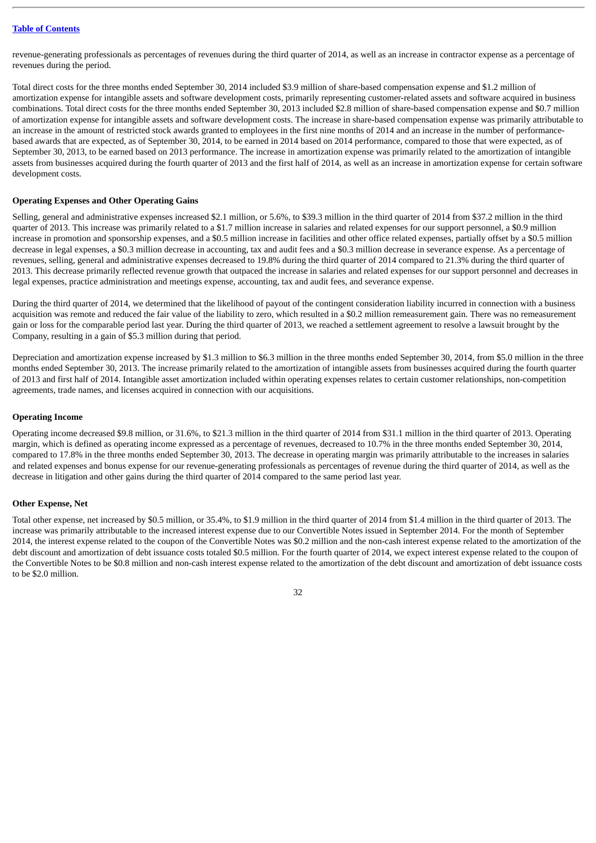revenue-generating professionals as percentages of revenues during the third quarter of 2014, as well as an increase in contractor expense as a percentage of revenues during the period.

Total direct costs for the three months ended September 30, 2014 included \$3.9 million of share-based compensation expense and \$1.2 million of amortization expense for intangible assets and software development costs, primarily representing customer-related assets and software acquired in business combinations. Total direct costs for the three months ended September 30, 2013 included \$2.8 million of share-based compensation expense and \$0.7 million of amortization expense for intangible assets and software development costs. The increase in share-based compensation expense was primarily attributable to an increase in the amount of restricted stock awards granted to employees in the first nine months of 2014 and an increase in the number of performancebased awards that are expected, as of September 30, 2014, to be earned in 2014 based on 2014 performance, compared to those that were expected, as of September 30, 2013, to be earned based on 2013 performance. The increase in amortization expense was primarily related to the amortization of intangible assets from businesses acquired during the fourth quarter of 2013 and the first half of 2014, as well as an increase in amortization expense for certain software development costs.

#### **Operating Expenses and Other Operating Gains**

Selling, general and administrative expenses increased \$2.1 million, or 5.6%, to \$39.3 million in the third quarter of 2014 from \$37.2 million in the third quarter of 2013. This increase was primarily related to a \$1.7 million increase in salaries and related expenses for our support personnel, a \$0.9 million increase in promotion and sponsorship expenses, and a \$0.5 million increase in facilities and other office related expenses, partially offset by a \$0.5 million decrease in legal expenses, a \$0.3 million decrease in accounting, tax and audit fees and a \$0.3 million decrease in severance expense. As a percentage of revenues, selling, general and administrative expenses decreased to 19.8% during the third quarter of 2014 compared to 21.3% during the third quarter of 2013. This decrease primarily reflected revenue growth that outpaced the increase in salaries and related expenses for our support personnel and decreases in legal expenses, practice administration and meetings expense, accounting, tax and audit fees, and severance expense.

During the third quarter of 2014, we determined that the likelihood of payout of the contingent consideration liability incurred in connection with a business acquisition was remote and reduced the fair value of the liability to zero, which resulted in a \$0.2 million remeasurement gain. There was no remeasurement gain or loss for the comparable period last year. During the third quarter of 2013, we reached a settlement agreement to resolve a lawsuit brought by the Company, resulting in a gain of \$5.3 million during that period.

Depreciation and amortization expense increased by \$1.3 million to \$6.3 million in the three months ended September 30, 2014, from \$5.0 million in the three months ended September 30, 2013. The increase primarily related to the amortization of intangible assets from businesses acquired during the fourth quarter of 2013 and first half of 2014. Intangible asset amortization included within operating expenses relates to certain customer relationships, non-competition agreements, trade names, and licenses acquired in connection with our acquisitions.

#### **Operating Income**

Operating income decreased \$9.8 million, or 31.6%, to \$21.3 million in the third quarter of 2014 from \$31.1 million in the third quarter of 2013. Operating margin, which is defined as operating income expressed as a percentage of revenues, decreased to 10.7% in the three months ended September 30, 2014, compared to 17.8% in the three months ended September 30, 2013. The decrease in operating margin was primarily attributable to the increases in salaries and related expenses and bonus expense for our revenue-generating professionals as percentages of revenue during the third quarter of 2014, as well as the decrease in litigation and other gains during the third quarter of 2014 compared to the same period last year.

#### **Other Expense, Net**

Total other expense, net increased by \$0.5 million, or 35.4%, to \$1.9 million in the third quarter of 2014 from \$1.4 million in the third quarter of 2013. The increase was primarily attributable to the increased interest expense due to our Convertible Notes issued in September 2014. For the month of September 2014, the interest expense related to the coupon of the Convertible Notes was \$0.2 million and the non-cash interest expense related to the amortization of the debt discount and amortization of debt issuance costs totaled \$0.5 million. For the fourth quarter of 2014, we expect interest expense related to the coupon of the Convertible Notes to be \$0.8 million and non-cash interest expense related to the amortization of the debt discount and amortization of debt issuance costs to be \$2.0 million.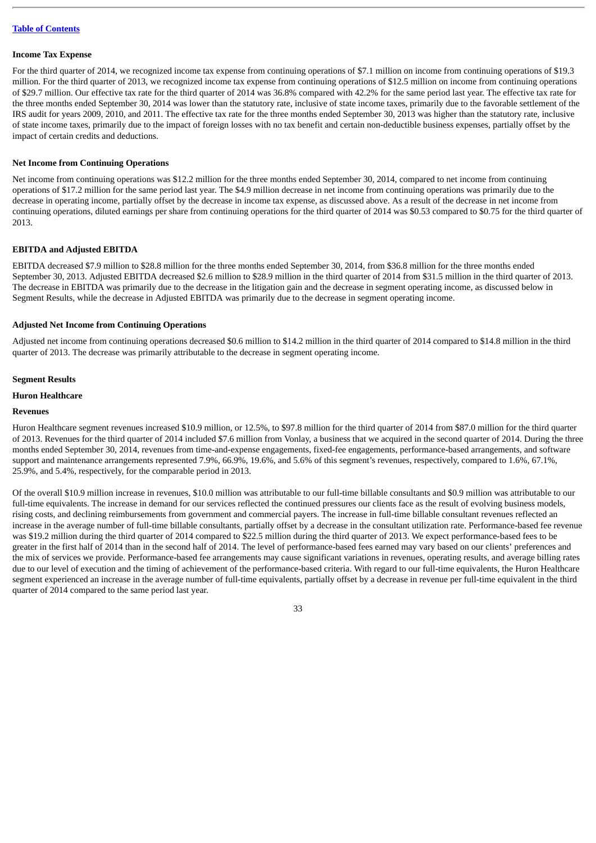#### **Income Tax Expense**

For the third quarter of 2014, we recognized income tax expense from continuing operations of \$7.1 million on income from continuing operations of \$19.3 million. For the third quarter of 2013, we recognized income tax expense from continuing operations of \$12.5 million on income from continuing operations of \$29.7 million. Our effective tax rate for the third quarter of 2014 was 36.8% compared with 42.2% for the same period last year. The effective tax rate for the three months ended September 30, 2014 was lower than the statutory rate, inclusive of state income taxes, primarily due to the favorable settlement of the IRS audit for years 2009, 2010, and 2011. The effective tax rate for the three months ended September 30, 2013 was higher than the statutory rate, inclusive of state income taxes, primarily due to the impact of foreign losses with no tax benefit and certain non-deductible business expenses, partially offset by the impact of certain credits and deductions.

#### **Net Income from Continuing Operations**

Net income from continuing operations was \$12.2 million for the three months ended September 30, 2014, compared to net income from continuing operations of \$17.2 million for the same period last year. The \$4.9 million decrease in net income from continuing operations was primarily due to the decrease in operating income, partially offset by the decrease in income tax expense, as discussed above. As a result of the decrease in net income from continuing operations, diluted earnings per share from continuing operations for the third quarter of 2014 was \$0.53 compared to \$0.75 for the third quarter of 2013.

#### **EBITDA and Adjusted EBITDA**

EBITDA decreased \$7.9 million to \$28.8 million for the three months ended September 30, 2014, from \$36.8 million for the three months ended September 30, 2013. Adjusted EBITDA decreased \$2.6 million to \$28.9 million in the third quarter of 2014 from \$31.5 million in the third quarter of 2013. The decrease in EBITDA was primarily due to the decrease in the litigation gain and the decrease in segment operating income, as discussed below in Segment Results, while the decrease in Adjusted EBITDA was primarily due to the decrease in segment operating income.

#### **Adjusted Net Income from Continuing Operations**

Adjusted net income from continuing operations decreased \$0.6 million to \$14.2 million in the third quarter of 2014 compared to \$14.8 million in the third quarter of 2013. The decrease was primarily attributable to the decrease in segment operating income.

#### **Segment Results**

#### **Huron Healthcare**

#### **Revenues**

Huron Healthcare segment revenues increased \$10.9 million, or 12.5%, to \$97.8 million for the third quarter of 2014 from \$87.0 million for the third quarter of 2013. Revenues for the third quarter of 2014 included \$7.6 million from Vonlay, a business that we acquired in the second quarter of 2014. During the three months ended September 30, 2014, revenues from time-and-expense engagements, fixed-fee engagements, performance-based arrangements, and software support and maintenance arrangements represented 7.9%, 66.9%, 19.6%, and 5.6% of this segment's revenues, respectively, compared to 1.6%, 67.1%, 25.9%, and 5.4%, respectively, for the comparable period in 2013.

Of the overall \$10.9 million increase in revenues, \$10.0 million was attributable to our full-time billable consultants and \$0.9 million was attributable to our full-time equivalents. The increase in demand for our services reflected the continued pressures our clients face as the result of evolving business models, rising costs, and declining reimbursements from government and commercial payers. The increase in full-time billable consultant revenues reflected an increase in the average number of full-time billable consultants, partially offset by a decrease in the consultant utilization rate. Performance-based fee revenue was \$19.2 million during the third quarter of 2014 compared to \$22.5 million during the third quarter of 2013. We expect performance-based fees to be greater in the first half of 2014 than in the second half of 2014. The level of performance-based fees earned may vary based on our clients' preferences and the mix of services we provide. Performance-based fee arrangements may cause significant variations in revenues, operating results, and average billing rates due to our level of execution and the timing of achievement of the performance-based criteria. With regard to our full-time equivalents, the Huron Healthcare segment experienced an increase in the average number of full-time equivalents, partially offset by a decrease in revenue per full-time equivalent in the third quarter of 2014 compared to the same period last year.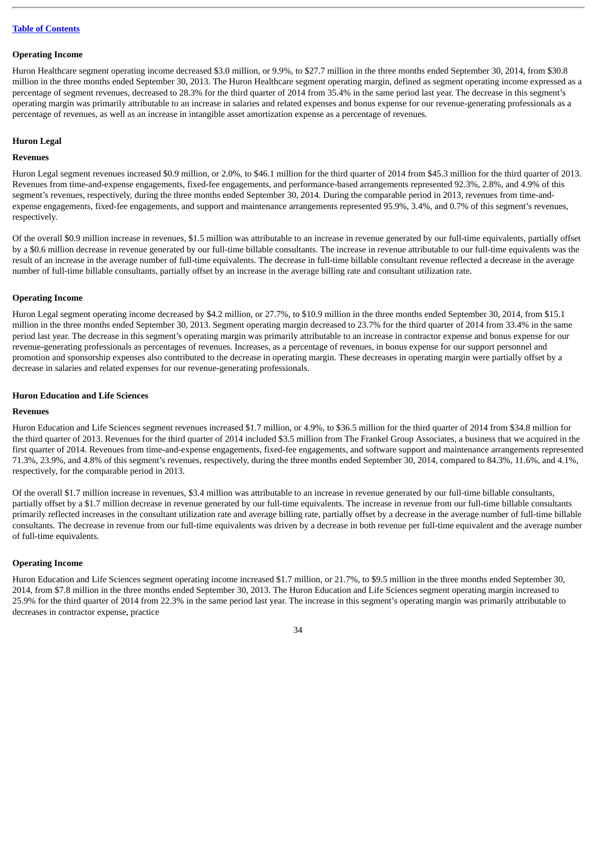#### **Operating Income**

Huron Healthcare segment operating income decreased \$3.0 million, or 9.9%, to \$27.7 million in the three months ended September 30, 2014, from \$30.8 million in the three months ended September 30, 2013. The Huron Healthcare segment operating margin, defined as segment operating income expressed as a percentage of segment revenues, decreased to 28.3% for the third quarter of 2014 from 35.4% in the same period last year. The decrease in this segment's operating margin was primarily attributable to an increase in salaries and related expenses and bonus expense for our revenue-generating professionals as a percentage of revenues, as well as an increase in intangible asset amortization expense as a percentage of revenues.

#### **Huron Legal**

#### **Revenues**

Huron Legal segment revenues increased \$0.9 million, or 2.0%, to \$46.1 million for the third quarter of 2014 from \$45.3 million for the third quarter of 2013. Revenues from time-and-expense engagements, fixed-fee engagements, and performance-based arrangements represented 92.3%, 2.8%, and 4.9% of this segment's revenues, respectively, during the three months ended September 30, 2014. During the comparable period in 2013, revenues from time-andexpense engagements, fixed-fee engagements, and support and maintenance arrangements represented 95.9%, 3.4%, and 0.7% of this segment's revenues, respectively.

Of the overall \$0.9 million increase in revenues, \$1.5 million was attributable to an increase in revenue generated by our full-time equivalents, partially offset by a \$0.6 million decrease in revenue generated by our full-time billable consultants. The increase in revenue attributable to our full-time equivalents was the result of an increase in the average number of full-time equivalents. The decrease in full-time billable consultant revenue reflected a decrease in the average number of full-time billable consultants, partially offset by an increase in the average billing rate and consultant utilization rate.

#### **Operating Income**

Huron Legal segment operating income decreased by \$4.2 million, or 27.7%, to \$10.9 million in the three months ended September 30, 2014, from \$15.1 million in the three months ended September 30, 2013. Segment operating margin decreased to 23.7% for the third quarter of 2014 from 33.4% in the same period last year. The decrease in this segment's operating margin was primarily attributable to an increase in contractor expense and bonus expense for our revenue-generating professionals as percentages of revenues. Increases, as a percentage of revenues, in bonus expense for our support personnel and promotion and sponsorship expenses also contributed to the decrease in operating margin. These decreases in operating margin were partially offset by a decrease in salaries and related expenses for our revenue-generating professionals.

#### **Huron Education and Life Sciences**

#### **Revenues**

Huron Education and Life Sciences segment revenues increased \$1.7 million, or 4.9%, to \$36.5 million for the third quarter of 2014 from \$34.8 million for the third quarter of 2013. Revenues for the third quarter of 2014 included \$3.5 million from The Frankel Group Associates, a business that we acquired in the first quarter of 2014. Revenues from time-and-expense engagements, fixed-fee engagements, and software support and maintenance arrangements represented 71.3%, 23.9%, and 4.8% of this segment's revenues, respectively, during the three months ended September 30, 2014, compared to 84.3%, 11.6%, and 4.1%, respectively, for the comparable period in 2013.

Of the overall \$1.7 million increase in revenues, \$3.4 million was attributable to an increase in revenue generated by our full-time billable consultants, partially offset by a \$1.7 million decrease in revenue generated by our full-time equivalents. The increase in revenue from our full-time billable consultants primarily reflected increases in the consultant utilization rate and average billing rate, partially offset by a decrease in the average number of full-time billable consultants. The decrease in revenue from our full-time equivalents was driven by a decrease in both revenue per full-time equivalent and the average number of full-time equivalents.

#### **Operating Income**

Huron Education and Life Sciences segment operating income increased \$1.7 million, or 21.7%, to \$9.5 million in the three months ended September 30, 2014, from \$7.8 million in the three months ended September 30, 2013. The Huron Education and Life Sciences segment operating margin increased to 25.9% for the third quarter of 2014 from 22.3% in the same period last year. The increase in this segment's operating margin was primarily attributable to decreases in contractor expense, practice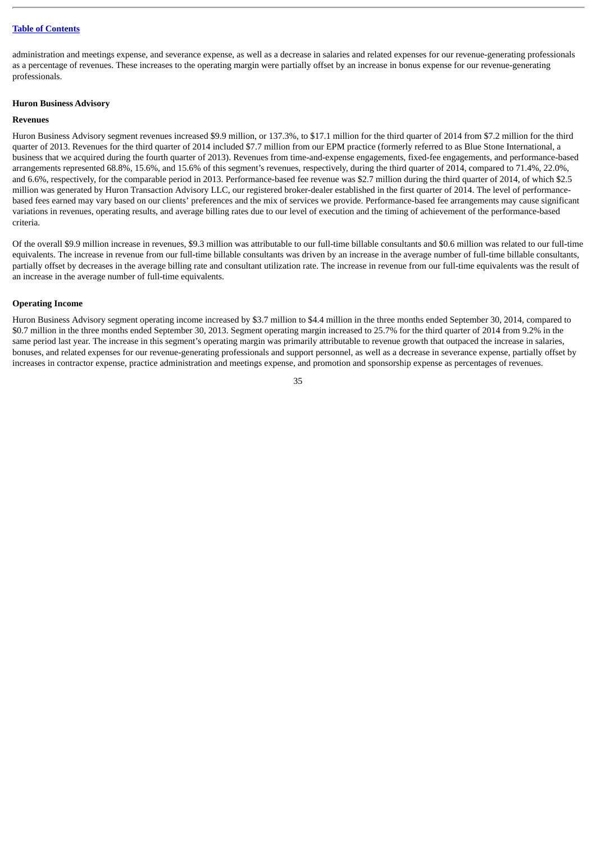administration and meetings expense, and severance expense, as well as a decrease in salaries and related expenses for our revenue-generating professionals as a percentage of revenues. These increases to the operating margin were partially offset by an increase in bonus expense for our revenue-generating professionals.

#### **Huron Business Advisory**

#### **Revenues**

Huron Business Advisory segment revenues increased \$9.9 million, or 137.3%, to \$17.1 million for the third quarter of 2014 from \$7.2 million for the third quarter of 2013. Revenues for the third quarter of 2014 included \$7.7 million from our EPM practice (formerly referred to as Blue Stone International, a business that we acquired during the fourth quarter of 2013). Revenues from time-and-expense engagements, fixed-fee engagements, and performance-based arrangements represented 68.8%, 15.6%, and 15.6% of this segment's revenues, respectively, during the third quarter of 2014, compared to 71.4%, 22.0%, and 6.6%, respectively, for the comparable period in 2013. Performance-based fee revenue was \$2.7 million during the third quarter of 2014, of which \$2.5 million was generated by Huron Transaction Advisory LLC, our registered broker-dealer established in the first quarter of 2014. The level of performancebased fees earned may vary based on our clients' preferences and the mix of services we provide. Performance-based fee arrangements may cause significant variations in revenues, operating results, and average billing rates due to our level of execution and the timing of achievement of the performance-based criteria.

Of the overall \$9.9 million increase in revenues, \$9.3 million was attributable to our full-time billable consultants and \$0.6 million was related to our full-time equivalents. The increase in revenue from our full-time billable consultants was driven by an increase in the average number of full-time billable consultants, partially offset by decreases in the average billing rate and consultant utilization rate. The increase in revenue from our full-time equivalents was the result of an increase in the average number of full-time equivalents.

#### **Operating Income**

Huron Business Advisory segment operating income increased by \$3.7 million to \$4.4 million in the three months ended September 30, 2014, compared to \$0.7 million in the three months ended September 30, 2013. Segment operating margin increased to 25.7% for the third quarter of 2014 from 9.2% in the same period last year. The increase in this segment's operating margin was primarily attributable to revenue growth that outpaced the increase in salaries, bonuses, and related expenses for our revenue-generating professionals and support personnel, as well as a decrease in severance expense, partially offset by increases in contractor expense, practice administration and meetings expense, and promotion and sponsorship expense as percentages of revenues.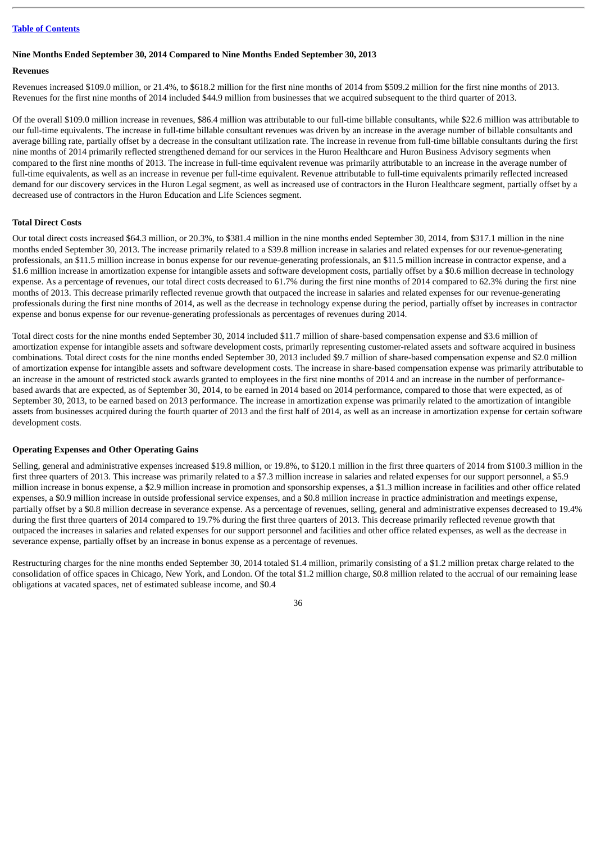#### **Nine Months Ended September 30, 2014 Compared to Nine Months Ended September 30, 2013**

#### **Revenues**

Revenues increased \$109.0 million, or 21.4%, to \$618.2 million for the first nine months of 2014 from \$509.2 million for the first nine months of 2013. Revenues for the first nine months of 2014 included \$44.9 million from businesses that we acquired subsequent to the third quarter of 2013.

Of the overall \$109.0 million increase in revenues, \$86.4 million was attributable to our full-time billable consultants, while \$22.6 million was attributable to our full-time equivalents. The increase in full-time billable consultant revenues was driven by an increase in the average number of billable consultants and average billing rate, partially offset by a decrease in the consultant utilization rate. The increase in revenue from full-time billable consultants during the first nine months of 2014 primarily reflected strengthened demand for our services in the Huron Healthcare and Huron Business Advisory segments when compared to the first nine months of 2013. The increase in full-time equivalent revenue was primarily attributable to an increase in the average number of full-time equivalents, as well as an increase in revenue per full-time equivalent. Revenue attributable to full-time equivalents primarily reflected increased demand for our discovery services in the Huron Legal segment, as well as increased use of contractors in the Huron Healthcare segment, partially offset by a decreased use of contractors in the Huron Education and Life Sciences segment.

#### **Total Direct Costs**

Our total direct costs increased \$64.3 million, or 20.3%, to \$381.4 million in the nine months ended September 30, 2014, from \$317.1 million in the nine months ended September 30, 2013. The increase primarily related to a \$39.8 million increase in salaries and related expenses for our revenue-generating professionals, an \$11.5 million increase in bonus expense for our revenue-generating professionals, an \$11.5 million increase in contractor expense, and a \$1.6 million increase in amortization expense for intangible assets and software development costs, partially offset by a \$0.6 million decrease in technology expense. As a percentage of revenues, our total direct costs decreased to 61.7% during the first nine months of 2014 compared to 62.3% during the first nine months of 2013. This decrease primarily reflected revenue growth that outpaced the increase in salaries and related expenses for our revenue-generating professionals during the first nine months of 2014, as well as the decrease in technology expense during the period, partially offset by increases in contractor expense and bonus expense for our revenue-generating professionals as percentages of revenues during 2014.

Total direct costs for the nine months ended September 30, 2014 included \$11.7 million of share-based compensation expense and \$3.6 million of amortization expense for intangible assets and software development costs, primarily representing customer-related assets and software acquired in business combinations. Total direct costs for the nine months ended September 30, 2013 included \$9.7 million of share-based compensation expense and \$2.0 million of amortization expense for intangible assets and software development costs. The increase in share-based compensation expense was primarily attributable to an increase in the amount of restricted stock awards granted to employees in the first nine months of 2014 and an increase in the number of performancebased awards that are expected, as of September 30, 2014, to be earned in 2014 based on 2014 performance, compared to those that were expected, as of September 30, 2013, to be earned based on 2013 performance. The increase in amortization expense was primarily related to the amortization of intangible assets from businesses acquired during the fourth quarter of 2013 and the first half of 2014, as well as an increase in amortization expense for certain software development costs.

#### **Operating Expenses and Other Operating Gains**

Selling, general and administrative expenses increased \$19.8 million, or 19.8%, to \$120.1 million in the first three quarters of 2014 from \$100.3 million in the first three quarters of 2013. This increase was primarily related to a \$7.3 million increase in salaries and related expenses for our support personnel, a \$5.9 million increase in bonus expense, a \$2.9 million increase in promotion and sponsorship expenses, a \$1.3 million increase in facilities and other office related expenses, a \$0.9 million increase in outside professional service expenses, and a \$0.8 million increase in practice administration and meetings expense, partially offset by a \$0.8 million decrease in severance expense. As a percentage of revenues, selling, general and administrative expenses decreased to 19.4% during the first three quarters of 2014 compared to 19.7% during the first three quarters of 2013. This decrease primarily reflected revenue growth that outpaced the increases in salaries and related expenses for our support personnel and facilities and other office related expenses, as well as the decrease in severance expense, partially offset by an increase in bonus expense as a percentage of revenues.

Restructuring charges for the nine months ended September 30, 2014 totaled \$1.4 million, primarily consisting of a \$1.2 million pretax charge related to the consolidation of office spaces in Chicago, New York, and London. Of the total \$1.2 million charge, \$0.8 million related to the accrual of our remaining lease obligations at vacated spaces, net of estimated sublease income, and \$0.4

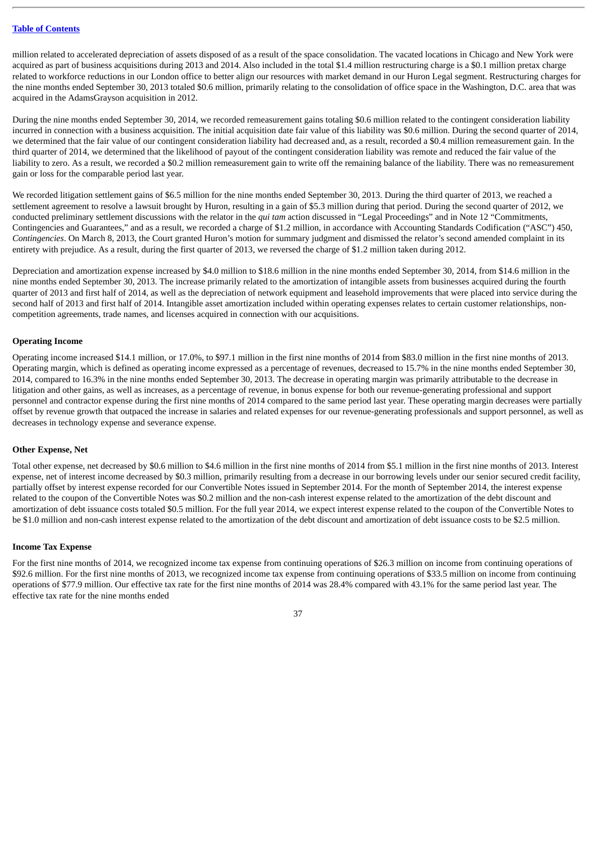million related to accelerated depreciation of assets disposed of as a result of the space consolidation. The vacated locations in Chicago and New York were acquired as part of business acquisitions during 2013 and 2014. Also included in the total \$1.4 million restructuring charge is a \$0.1 million pretax charge related to workforce reductions in our London office to better align our resources with market demand in our Huron Legal segment. Restructuring charges for the nine months ended September 30, 2013 totaled \$0.6 million, primarily relating to the consolidation of office space in the Washington, D.C. area that was acquired in the AdamsGrayson acquisition in 2012.

During the nine months ended September 30, 2014, we recorded remeasurement gains totaling \$0.6 million related to the contingent consideration liability incurred in connection with a business acquisition. The initial acquisition date fair value of this liability was \$0.6 million. During the second quarter of 2014, we determined that the fair value of our contingent consideration liability had decreased and, as a result, recorded a \$0.4 million remeasurement gain. In the third quarter of 2014, we determined that the likelihood of payout of the contingent consideration liability was remote and reduced the fair value of the liability to zero. As a result, we recorded a \$0.2 million remeasurement gain to write off the remaining balance of the liability. There was no remeasurement gain or loss for the comparable period last year.

We recorded litigation settlement gains of \$6.5 million for the nine months ended September 30, 2013. During the third quarter of 2013, we reached a settlement agreement to resolve a lawsuit brought by Huron, resulting in a gain of \$5.3 million during that period. During the second quarter of 2012, we conducted preliminary settlement discussions with the relator in the *qui tam* action discussed in "Legal Proceedings" and in Note 12 "Commitments, Contingencies and Guarantees," and as a result, we recorded a charge of \$1.2 million, in accordance with Accounting Standards Codification ("ASC") 450, *Contingencies*. On March 8, 2013, the Court granted Huron's motion for summary judgment and dismissed the relator's second amended complaint in its entirety with prejudice. As a result, during the first quarter of 2013, we reversed the charge of \$1.2 million taken during 2012.

Depreciation and amortization expense increased by \$4.0 million to \$18.6 million in the nine months ended September 30, 2014, from \$14.6 million in the nine months ended September 30, 2013. The increase primarily related to the amortization of intangible assets from businesses acquired during the fourth quarter of 2013 and first half of 2014, as well as the depreciation of network equipment and leasehold improvements that were placed into service during the second half of 2013 and first half of 2014. Intangible asset amortization included within operating expenses relates to certain customer relationships, noncompetition agreements, trade names, and licenses acquired in connection with our acquisitions.

#### **Operating Income**

Operating income increased \$14.1 million, or 17.0%, to \$97.1 million in the first nine months of 2014 from \$83.0 million in the first nine months of 2013. Operating margin, which is defined as operating income expressed as a percentage of revenues, decreased to 15.7% in the nine months ended September 30, 2014, compared to 16.3% in the nine months ended September 30, 2013. The decrease in operating margin was primarily attributable to the decrease in litigation and other gains, as well as increases, as a percentage of revenue, in bonus expense for both our revenue-generating professional and support personnel and contractor expense during the first nine months of 2014 compared to the same period last year. These operating margin decreases were partially offset by revenue growth that outpaced the increase in salaries and related expenses for our revenue-generating professionals and support personnel, as well as decreases in technology expense and severance expense.

#### **Other Expense, Net**

Total other expense, net decreased by \$0.6 million to \$4.6 million in the first nine months of 2014 from \$5.1 million in the first nine months of 2013. Interest expense, net of interest income decreased by \$0.3 million, primarily resulting from a decrease in our borrowing levels under our senior secured credit facility, partially offset by interest expense recorded for our Convertible Notes issued in September 2014. For the month of September 2014, the interest expense related to the coupon of the Convertible Notes was \$0.2 million and the non-cash interest expense related to the amortization of the debt discount and amortization of debt issuance costs totaled \$0.5 million. For the full year 2014, we expect interest expense related to the coupon of the Convertible Notes to be \$1.0 million and non-cash interest expense related to the amortization of the debt discount and amortization of debt issuance costs to be \$2.5 million.

#### **Income Tax Expense**

For the first nine months of 2014, we recognized income tax expense from continuing operations of \$26.3 million on income from continuing operations of \$92.6 million. For the first nine months of 2013, we recognized income tax expense from continuing operations of \$33.5 million on income from continuing operations of \$77.9 million. Our effective tax rate for the first nine months of 2014 was 28.4% compared with 43.1% for the same period last year. The effective tax rate for the nine months ended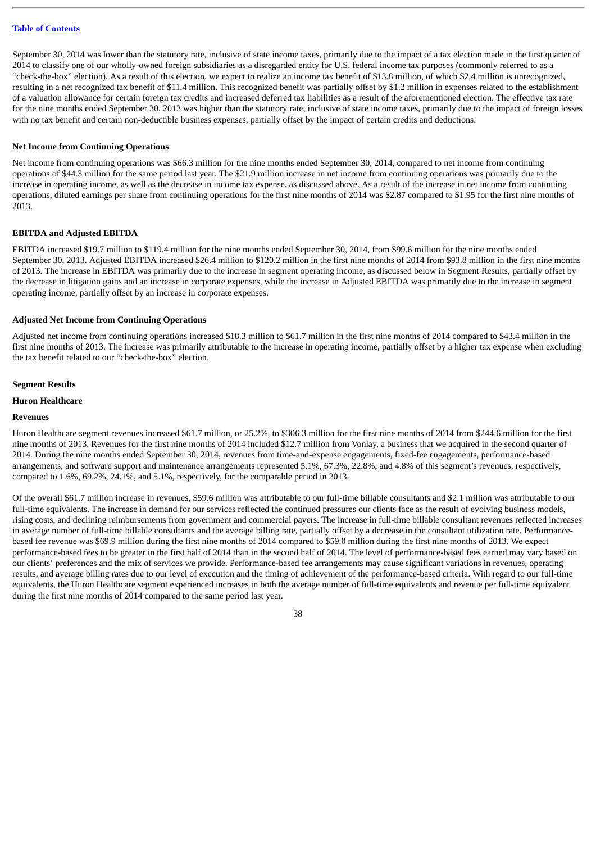September 30, 2014 was lower than the statutory rate, inclusive of state income taxes, primarily due to the impact of a tax election made in the first quarter of 2014 to classify one of our wholly-owned foreign subsidiaries as a disregarded entity for U.S. federal income tax purposes (commonly referred to as a "check-the-box" election). As a result of this election, we expect to realize an income tax benefit of \$13.8 million, of which \$2.4 million is unrecognized, resulting in a net recognized tax benefit of \$11.4 million. This recognized benefit was partially offset by \$1.2 million in expenses related to the establishment of a valuation allowance for certain foreign tax credits and increased deferred tax liabilities as a result of the aforementioned election. The effective tax rate for the nine months ended September 30, 2013 was higher than the statutory rate, inclusive of state income taxes, primarily due to the impact of foreign losses with no tax benefit and certain non-deductible business expenses, partially offset by the impact of certain credits and deductions.

#### **Net Income from Continuing Operations**

Net income from continuing operations was \$66.3 million for the nine months ended September 30, 2014, compared to net income from continuing operations of \$44.3 million for the same period last year. The \$21.9 million increase in net income from continuing operations was primarily due to the increase in operating income, as well as the decrease in income tax expense, as discussed above. As a result of the increase in net income from continuing operations, diluted earnings per share from continuing operations for the first nine months of 2014 was \$2.87 compared to \$1.95 for the first nine months of 2013.

#### **EBITDA and Adjusted EBITDA**

EBITDA increased \$19.7 million to \$119.4 million for the nine months ended September 30, 2014, from \$99.6 million for the nine months ended September 30, 2013. Adjusted EBITDA increased \$26.4 million to \$120.2 million in the first nine months of 2014 from \$93.8 million in the first nine months of 2013. The increase in EBITDA was primarily due to the increase in segment operating income, as discussed below in Segment Results, partially offset by the decrease in litigation gains and an increase in corporate expenses, while the increase in Adjusted EBITDA was primarily due to the increase in segment operating income, partially offset by an increase in corporate expenses.

#### **Adjusted Net Income from Continuing Operations**

Adjusted net income from continuing operations increased \$18.3 million to \$61.7 million in the first nine months of 2014 compared to \$43.4 million in the first nine months of 2013. The increase was primarily attributable to the increase in operating income, partially offset by a higher tax expense when excluding the tax benefit related to our "check-the-box" election.

#### **Segment Results**

#### **Huron Healthcare**

#### **Revenues**

Huron Healthcare segment revenues increased \$61.7 million, or 25.2%, to \$306.3 million for the first nine months of 2014 from \$244.6 million for the first nine months of 2013. Revenues for the first nine months of 2014 included \$12.7 million from Vonlay, a business that we acquired in the second quarter of 2014. During the nine months ended September 30, 2014, revenues from time-and-expense engagements, fixed-fee engagements, performance-based arrangements, and software support and maintenance arrangements represented 5.1%, 67.3%, 22.8%, and 4.8% of this segment's revenues, respectively, compared to 1.6%, 69.2%, 24.1%, and 5.1%, respectively, for the comparable period in 2013.

Of the overall \$61.7 million increase in revenues, \$59.6 million was attributable to our full-time billable consultants and \$2.1 million was attributable to our full-time equivalents. The increase in demand for our services reflected the continued pressures our clients face as the result of evolving business models, rising costs, and declining reimbursements from government and commercial payers. The increase in full-time billable consultant revenues reflected increases in average number of full-time billable consultants and the average billing rate, partially offset by a decrease in the consultant utilization rate. Performancebased fee revenue was \$69.9 million during the first nine months of 2014 compared to \$59.0 million during the first nine months of 2013. We expect performance-based fees to be greater in the first half of 2014 than in the second half of 2014. The level of performance-based fees earned may vary based on our clients' preferences and the mix of services we provide. Performance-based fee arrangements may cause significant variations in revenues, operating results, and average billing rates due to our level of execution and the timing of achievement of the performance-based criteria. With regard to our full-time equivalents, the Huron Healthcare segment experienced increases in both the average number of full-time equivalents and revenue per full-time equivalent during the first nine months of 2014 compared to the same period last year.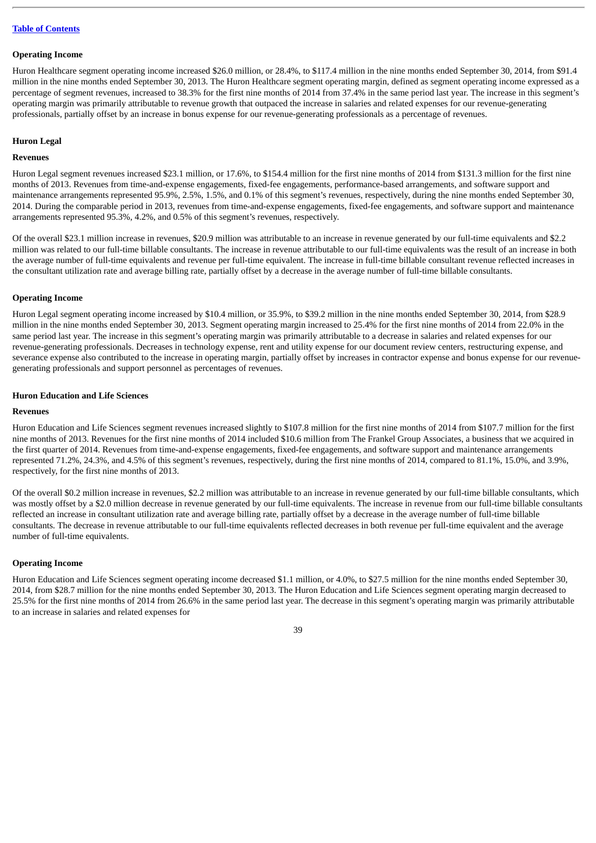#### **Operating Income**

Huron Healthcare segment operating income increased \$26.0 million, or 28.4%, to \$117.4 million in the nine months ended September 30, 2014, from \$91.4 million in the nine months ended September 30, 2013. The Huron Healthcare segment operating margin, defined as segment operating income expressed as a percentage of segment revenues, increased to 38.3% for the first nine months of 2014 from 37.4% in the same period last year. The increase in this segment's operating margin was primarily attributable to revenue growth that outpaced the increase in salaries and related expenses for our revenue-generating professionals, partially offset by an increase in bonus expense for our revenue-generating professionals as a percentage of revenues.

#### **Huron Legal**

#### **Revenues**

Huron Legal segment revenues increased \$23.1 million, or 17.6%, to \$154.4 million for the first nine months of 2014 from \$131.3 million for the first nine months of 2013. Revenues from time-and-expense engagements, fixed-fee engagements, performance-based arrangements, and software support and maintenance arrangements represented 95.9%, 2.5%, 1.5%, and 0.1% of this segment's revenues, respectively, during the nine months ended September 30, 2014. During the comparable period in 2013, revenues from time-and-expense engagements, fixed-fee engagements, and software support and maintenance arrangements represented 95.3%, 4.2%, and 0.5% of this segment's revenues, respectively.

Of the overall \$23.1 million increase in revenues, \$20.9 million was attributable to an increase in revenue generated by our full-time equivalents and \$2.2 million was related to our full-time billable consultants. The increase in revenue attributable to our full-time equivalents was the result of an increase in both the average number of full-time equivalents and revenue per full-time equivalent. The increase in full-time billable consultant revenue reflected increases in the consultant utilization rate and average billing rate, partially offset by a decrease in the average number of full-time billable consultants.

#### **Operating Income**

Huron Legal segment operating income increased by \$10.4 million, or 35.9%, to \$39.2 million in the nine months ended September 30, 2014, from \$28.9 million in the nine months ended September 30, 2013. Segment operating margin increased to 25.4% for the first nine months of 2014 from 22.0% in the same period last year. The increase in this segment's operating margin was primarily attributable to a decrease in salaries and related expenses for our revenue-generating professionals. Decreases in technology expense, rent and utility expense for our document review centers, restructuring expense, and severance expense also contributed to the increase in operating margin, partially offset by increases in contractor expense and bonus expense for our revenuegenerating professionals and support personnel as percentages of revenues.

#### **Huron Education and Life Sciences**

#### **Revenues**

Huron Education and Life Sciences segment revenues increased slightly to \$107.8 million for the first nine months of 2014 from \$107.7 million for the first nine months of 2013. Revenues for the first nine months of 2014 included \$10.6 million from The Frankel Group Associates, a business that we acquired in the first quarter of 2014. Revenues from time-and-expense engagements, fixed-fee engagements, and software support and maintenance arrangements represented 71.2%, 24.3%, and 4.5% of this segment's revenues, respectively, during the first nine months of 2014, compared to 81.1%, 15.0%, and 3.9%, respectively, for the first nine months of 2013.

Of the overall \$0.2 million increase in revenues, \$2.2 million was attributable to an increase in revenue generated by our full-time billable consultants, which was mostly offset by a \$2.0 million decrease in revenue generated by our full-time equivalents. The increase in revenue from our full-time billable consultants reflected an increase in consultant utilization rate and average billing rate, partially offset by a decrease in the average number of full-time billable consultants. The decrease in revenue attributable to our full-time equivalents reflected decreases in both revenue per full-time equivalent and the average number of full-time equivalents.

#### **Operating Income**

Huron Education and Life Sciences segment operating income decreased \$1.1 million, or 4.0%, to \$27.5 million for the nine months ended September 30, 2014, from \$28.7 million for the nine months ended September 30, 2013. The Huron Education and Life Sciences segment operating margin decreased to 25.5% for the first nine months of 2014 from 26.6% in the same period last year. The decrease in this segment's operating margin was primarily attributable to an increase in salaries and related expenses for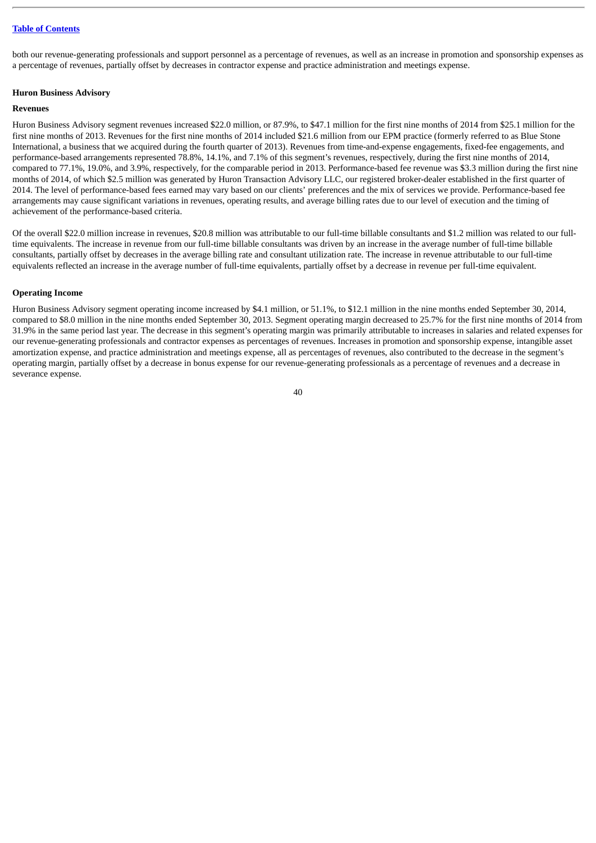both our revenue-generating professionals and support personnel as a percentage of revenues, as well as an increase in promotion and sponsorship expenses as a percentage of revenues, partially offset by decreases in contractor expense and practice administration and meetings expense.

#### **Huron Business Advisory**

#### **Revenues**

Huron Business Advisory segment revenues increased \$22.0 million, or 87.9%, to \$47.1 million for the first nine months of 2014 from \$25.1 million for the first nine months of 2013. Revenues for the first nine months of 2014 included \$21.6 million from our EPM practice (formerly referred to as Blue Stone International, a business that we acquired during the fourth quarter of 2013). Revenues from time-and-expense engagements, fixed-fee engagements, and performance-based arrangements represented 78.8%, 14.1%, and 7.1% of this segment's revenues, respectively, during the first nine months of 2014, compared to 77.1%, 19.0%, and 3.9%, respectively, for the comparable period in 2013. Performance-based fee revenue was \$3.3 million during the first nine months of 2014, of which \$2.5 million was generated by Huron Transaction Advisory LLC, our registered broker-dealer established in the first quarter of 2014. The level of performance-based fees earned may vary based on our clients' preferences and the mix of services we provide. Performance-based fee arrangements may cause significant variations in revenues, operating results, and average billing rates due to our level of execution and the timing of achievement of the performance-based criteria.

Of the overall \$22.0 million increase in revenues, \$20.8 million was attributable to our full-time billable consultants and \$1.2 million was related to our fulltime equivalents. The increase in revenue from our full-time billable consultants was driven by an increase in the average number of full-time billable consultants, partially offset by decreases in the average billing rate and consultant utilization rate. The increase in revenue attributable to our full-time equivalents reflected an increase in the average number of full-time equivalents, partially offset by a decrease in revenue per full-time equivalent.

#### **Operating Income**

Huron Business Advisory segment operating income increased by \$4.1 million, or 51.1%, to \$12.1 million in the nine months ended September 30, 2014, compared to \$8.0 million in the nine months ended September 30, 2013. Segment operating margin decreased to 25.7% for the first nine months of 2014 from 31.9% in the same period last year. The decrease in this segment's operating margin was primarily attributable to increases in salaries and related expenses for our revenue-generating professionals and contractor expenses as percentages of revenues. Increases in promotion and sponsorship expense, intangible asset amortization expense, and practice administration and meetings expense, all as percentages of revenues, also contributed to the decrease in the segment's operating margin, partially offset by a decrease in bonus expense for our revenue-generating professionals as a percentage of revenues and a decrease in severance expense.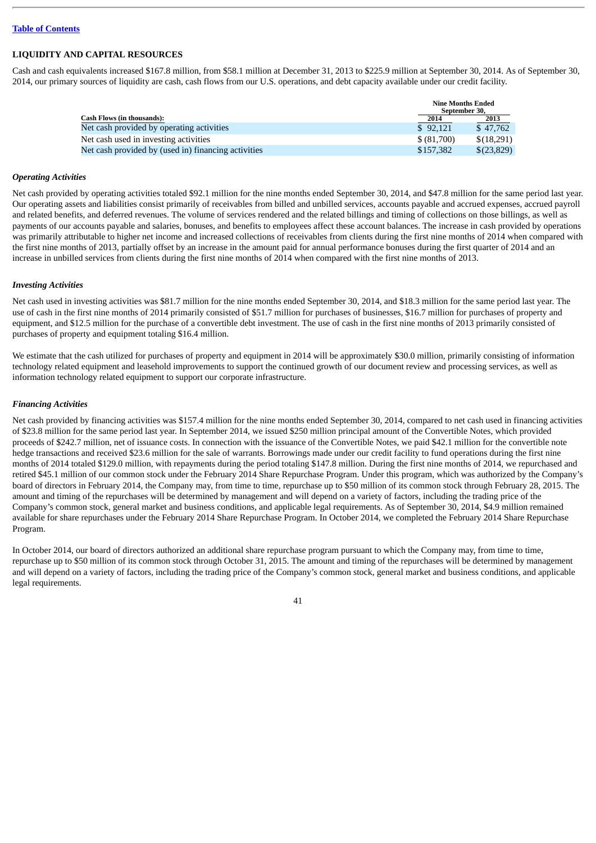#### **LIQUIDITY AND CAPITAL RESOURCES**

Cash and cash equivalents increased \$167.8 million, from \$58.1 million at December 31, 2013 to \$225.9 million at September 30, 2014. As of September 30, 2014, our primary sources of liquidity are cash, cash flows from our U.S. operations, and debt capacity available under our credit facility.

|                                                     |             | <b>Nine Months Ended</b><br>September 30, |  |  |
|-----------------------------------------------------|-------------|-------------------------------------------|--|--|
| <b>Cash Flows (in thousands):</b>                   | 2014        | 2013                                      |  |  |
| Net cash provided by operating activities           | \$92.121    | \$47,762                                  |  |  |
| Net cash used in investing activities               | \$ (81,700) | \$(18,291)                                |  |  |
| Net cash provided by (used in) financing activities | \$157,382   | \$(23,829)                                |  |  |

#### *Operating Activities*

Net cash provided by operating activities totaled \$92.1 million for the nine months ended September 30, 2014, and \$47.8 million for the same period last year. Our operating assets and liabilities consist primarily of receivables from billed and unbilled services, accounts payable and accrued expenses, accrued payroll and related benefits, and deferred revenues. The volume of services rendered and the related billings and timing of collections on those billings, as well as payments of our accounts payable and salaries, bonuses, and benefits to employees affect these account balances. The increase in cash provided by operations was primarily attributable to higher net income and increased collections of receivables from clients during the first nine months of 2014 when compared with the first nine months of 2013, partially offset by an increase in the amount paid for annual performance bonuses during the first quarter of 2014 and an increase in unbilled services from clients during the first nine months of 2014 when compared with the first nine months of 2013.

#### *Investing Activities*

Net cash used in investing activities was \$81.7 million for the nine months ended September 30, 2014, and \$18.3 million for the same period last year. The use of cash in the first nine months of 2014 primarily consisted of \$51.7 million for purchases of businesses, \$16.7 million for purchases of property and equipment, and \$12.5 million for the purchase of a convertible debt investment. The use of cash in the first nine months of 2013 primarily consisted of purchases of property and equipment totaling \$16.4 million.

We estimate that the cash utilized for purchases of property and equipment in 2014 will be approximately \$30.0 million, primarily consisting of information technology related equipment and leasehold improvements to support the continued growth of our document review and processing services, as well as information technology related equipment to support our corporate infrastructure.

#### *Financing Activities*

Net cash provided by financing activities was \$157.4 million for the nine months ended September 30, 2014, compared to net cash used in financing activities of \$23.8 million for the same period last year. In September 2014, we issued \$250 million principal amount of the Convertible Notes, which provided proceeds of \$242.7 million, net of issuance costs. In connection with the issuance of the Convertible Notes, we paid \$42.1 million for the convertible note hedge transactions and received \$23.6 million for the sale of warrants. Borrowings made under our credit facility to fund operations during the first nine months of 2014 totaled \$129.0 million, with repayments during the period totaling \$147.8 million. During the first nine months of 2014, we repurchased and retired \$45.1 million of our common stock under the February 2014 Share Repurchase Program. Under this program, which was authorized by the Company's board of directors in February 2014, the Company may, from time to time, repurchase up to \$50 million of its common stock through February 28, 2015. The amount and timing of the repurchases will be determined by management and will depend on a variety of factors, including the trading price of the Company's common stock, general market and business conditions, and applicable legal requirements. As of September 30, 2014, \$4.9 million remained available for share repurchases under the February 2014 Share Repurchase Program. In October 2014, we completed the February 2014 Share Repurchase Program.

In October 2014, our board of directors authorized an additional share repurchase program pursuant to which the Company may, from time to time, repurchase up to \$50 million of its common stock through October 31, 2015. The amount and timing of the repurchases will be determined by management and will depend on a variety of factors, including the trading price of the Company's common stock, general market and business conditions, and applicable legal requirements.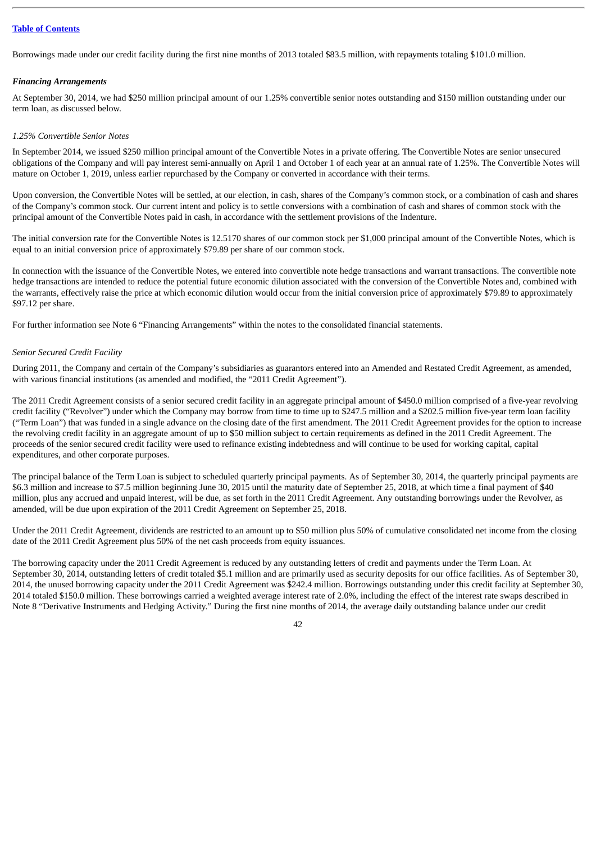Borrowings made under our credit facility during the first nine months of 2013 totaled \$83.5 million, with repayments totaling \$101.0 million.

#### *Financing Arrangements*

At September 30, 2014, we had \$250 million principal amount of our 1.25% convertible senior notes outstanding and \$150 million outstanding under our term loan, as discussed below.

#### *1.25% Convertible Senior Notes*

In September 2014, we issued \$250 million principal amount of the Convertible Notes in a private offering. The Convertible Notes are senior unsecured obligations of the Company and will pay interest semi-annually on April 1 and October 1 of each year at an annual rate of 1.25%. The Convertible Notes will mature on October 1, 2019, unless earlier repurchased by the Company or converted in accordance with their terms.

Upon conversion, the Convertible Notes will be settled, at our election, in cash, shares of the Company's common stock, or a combination of cash and shares of the Company's common stock. Our current intent and policy is to settle conversions with a combination of cash and shares of common stock with the principal amount of the Convertible Notes paid in cash, in accordance with the settlement provisions of the Indenture.

The initial conversion rate for the Convertible Notes is 12.5170 shares of our common stock per \$1,000 principal amount of the Convertible Notes, which is equal to an initial conversion price of approximately \$79.89 per share of our common stock.

In connection with the issuance of the Convertible Notes, we entered into convertible note hedge transactions and warrant transactions. The convertible note hedge transactions are intended to reduce the potential future economic dilution associated with the conversion of the Convertible Notes and, combined with the warrants, effectively raise the price at which economic dilution would occur from the initial conversion price of approximately \$79.89 to approximately \$97.12 per share.

For further information see Note 6 "Financing Arrangements" within the notes to the consolidated financial statements.

#### *Senior Secured Credit Facility*

During 2011, the Company and certain of the Company's subsidiaries as guarantors entered into an Amended and Restated Credit Agreement, as amended, with various financial institutions (as amended and modified, the "2011 Credit Agreement").

The 2011 Credit Agreement consists of a senior secured credit facility in an aggregate principal amount of \$450.0 million comprised of a five-year revolving credit facility ("Revolver") under which the Company may borrow from time to time up to \$247.5 million and a \$202.5 million five-year term loan facility ("Term Loan") that was funded in a single advance on the closing date of the first amendment. The 2011 Credit Agreement provides for the option to increase the revolving credit facility in an aggregate amount of up to \$50 million subject to certain requirements as defined in the 2011 Credit Agreement. The proceeds of the senior secured credit facility were used to refinance existing indebtedness and will continue to be used for working capital, capital expenditures, and other corporate purposes.

The principal balance of the Term Loan is subject to scheduled quarterly principal payments. As of September 30, 2014, the quarterly principal payments are \$6.3 million and increase to \$7.5 million beginning June 30, 2015 until the maturity date of September 25, 2018, at which time a final payment of \$40 million, plus any accrued and unpaid interest, will be due, as set forth in the 2011 Credit Agreement. Any outstanding borrowings under the Revolver, as amended, will be due upon expiration of the 2011 Credit Agreement on September 25, 2018.

Under the 2011 Credit Agreement, dividends are restricted to an amount up to \$50 million plus 50% of cumulative consolidated net income from the closing date of the 2011 Credit Agreement plus 50% of the net cash proceeds from equity issuances.

The borrowing capacity under the 2011 Credit Agreement is reduced by any outstanding letters of credit and payments under the Term Loan. At September 30, 2014, outstanding letters of credit totaled \$5.1 million and are primarily used as security deposits for our office facilities. As of September 30, 2014, the unused borrowing capacity under the 2011 Credit Agreement was \$242.4 million. Borrowings outstanding under this credit facility at September 30, 2014 totaled \$150.0 million. These borrowings carried a weighted average interest rate of 2.0%, including the effect of the interest rate swaps described in Note 8 "Derivative Instruments and Hedging Activity." During the first nine months of 2014, the average daily outstanding balance under our credit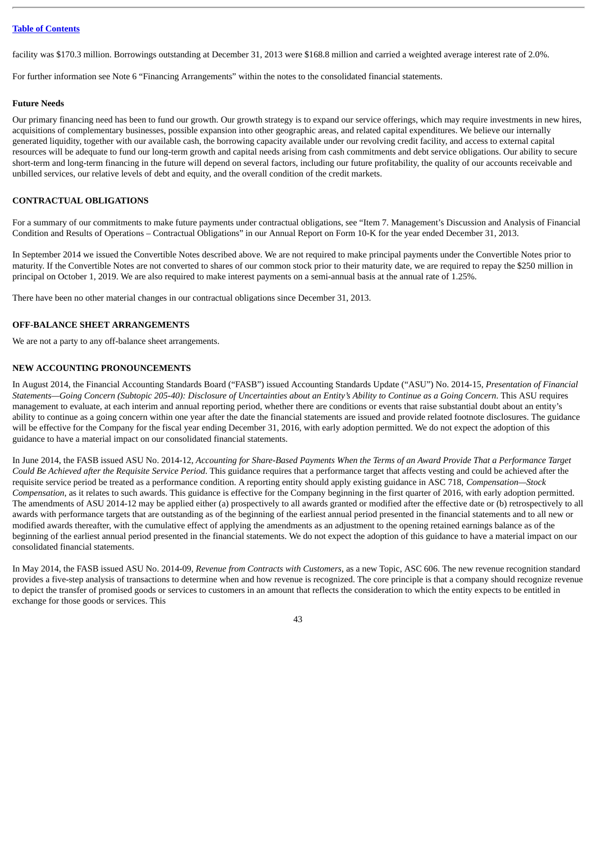facility was \$170.3 million. Borrowings outstanding at December 31, 2013 were \$168.8 million and carried a weighted average interest rate of 2.0%.

For further information see Note 6 "Financing Arrangements" within the notes to the consolidated financial statements.

#### **Future Needs**

Our primary financing need has been to fund our growth. Our growth strategy is to expand our service offerings, which may require investments in new hires, acquisitions of complementary businesses, possible expansion into other geographic areas, and related capital expenditures. We believe our internally generated liquidity, together with our available cash, the borrowing capacity available under our revolving credit facility, and access to external capital resources will be adequate to fund our long-term growth and capital needs arising from cash commitments and debt service obligations. Our ability to secure short-term and long-term financing in the future will depend on several factors, including our future profitability, the quality of our accounts receivable and unbilled services, our relative levels of debt and equity, and the overall condition of the credit markets.

#### **CONTRACTUAL OBLIGATIONS**

For a summary of our commitments to make future payments under contractual obligations, see "Item 7. Management's Discussion and Analysis of Financial Condition and Results of Operations – Contractual Obligations" in our Annual Report on Form 10-K for the year ended December 31, 2013.

In September 2014 we issued the Convertible Notes described above. We are not required to make principal payments under the Convertible Notes prior to maturity. If the Convertible Notes are not converted to shares of our common stock prior to their maturity date, we are required to repay the \$250 million in principal on October 1, 2019. We are also required to make interest payments on a semi-annual basis at the annual rate of 1.25%.

There have been no other material changes in our contractual obligations since December 31, 2013.

#### **OFF-BALANCE SHEET ARRANGEMENTS**

We are not a party to any off-balance sheet arrangements.

#### **NEW ACCOUNTING PRONOUNCEMENTS**

In August 2014, the Financial Accounting Standards Board ("FASB") issued Accounting Standards Update ("ASU") No. 2014-15, *Presentation of Financial* Statements—Going Concern (Subtopic 205-40): Disclosure of Uncertainties about an Entity's Ability to Continue as a Going Concern. This ASU requires management to evaluate, at each interim and annual reporting period, whether there are conditions or events that raise substantial doubt about an entity's ability to continue as a going concern within one year after the date the financial statements are issued and provide related footnote disclosures. The guidance will be effective for the Company for the fiscal year ending December 31, 2016, with early adoption permitted. We do not expect the adoption of this guidance to have a material impact on our consolidated financial statements.

In June 2014, the FASB issued ASU No. 2014-12, Accounting for Share-Based Payments When the Terms of an Award Provide That a Performance Target *Could Be Achieved after the Requisite Service Period*. This guidance requires that a performance target that affects vesting and could be achieved after the requisite service period be treated as a performance condition. A reporting entity should apply existing guidance in ASC 718, *Compensation—Stock Compensation*, as it relates to such awards. This guidance is effective for the Company beginning in the first quarter of 2016, with early adoption permitted. The amendments of ASU 2014-12 may be applied either (a) prospectively to all awards granted or modified after the effective date or (b) retrospectively to all awards with performance targets that are outstanding as of the beginning of the earliest annual period presented in the financial statements and to all new or modified awards thereafter, with the cumulative effect of applying the amendments as an adjustment to the opening retained earnings balance as of the beginning of the earliest annual period presented in the financial statements. We do not expect the adoption of this guidance to have a material impact on our consolidated financial statements.

In May 2014, the FASB issued ASU No. 2014-09, *Revenue from Contracts with Customers*, as a new Topic, ASC 606. The new revenue recognition standard provides a five-step analysis of transactions to determine when and how revenue is recognized. The core principle is that a company should recognize revenue to depict the transfer of promised goods or services to customers in an amount that reflects the consideration to which the entity expects to be entitled in exchange for those goods or services. This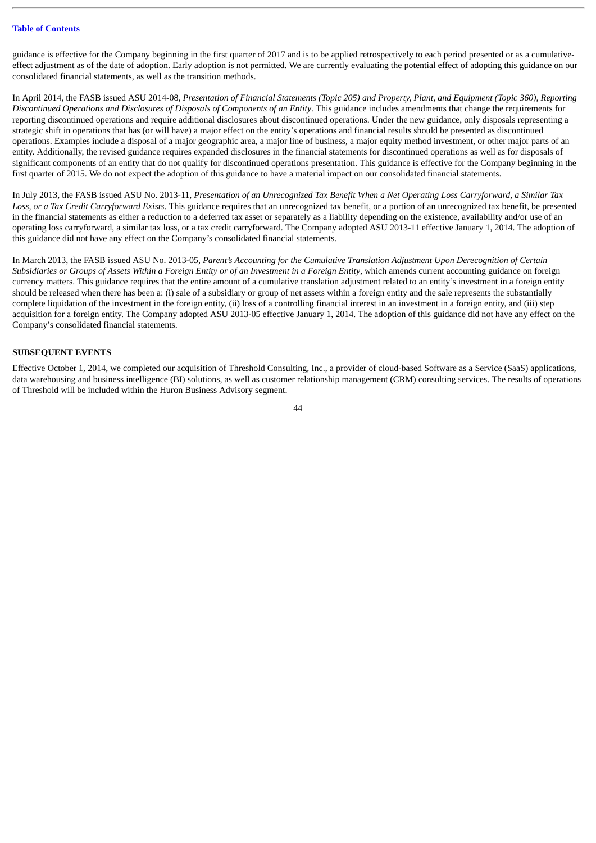guidance is effective for the Company beginning in the first quarter of 2017 and is to be applied retrospectively to each period presented or as a cumulativeeffect adjustment as of the date of adoption. Early adoption is not permitted. We are currently evaluating the potential effect of adopting this guidance on our consolidated financial statements, as well as the transition methods.

In April 2014, the FASB issued ASU 2014-08, Presentation of Financial Statements (Topic 205) and Property, Plant, and Equipment (Topic 360), Reporting *Discontinued Operations and Disclosures of Disposals of Components of an Entity*. This guidance includes amendments that change the requirements for reporting discontinued operations and require additional disclosures about discontinued operations. Under the new guidance, only disposals representing a strategic shift in operations that has (or will have) a major effect on the entity's operations and financial results should be presented as discontinued operations. Examples include a disposal of a major geographic area, a major line of business, a major equity method investment, or other major parts of an entity. Additionally, the revised guidance requires expanded disclosures in the financial statements for discontinued operations as well as for disposals of significant components of an entity that do not qualify for discontinued operations presentation. This guidance is effective for the Company beginning in the first quarter of 2015. We do not expect the adoption of this guidance to have a material impact on our consolidated financial statements.

In July 2013, the FASB issued ASU No. 2013-11, Presentation of an Unrecognized Tax Benefit When a Net Operating Loss Carryforward, a Similar Tax *Loss, or a Tax Credit Carryforward Exists*. This guidance requires that an unrecognized tax benefit, or a portion of an unrecognized tax benefit, be presented in the financial statements as either a reduction to a deferred tax asset or separately as a liability depending on the existence, availability and/or use of an operating loss carryforward, a similar tax loss, or a tax credit carryforward. The Company adopted ASU 2013-11 effective January 1, 2014. The adoption of this guidance did not have any effect on the Company's consolidated financial statements.

In March 2013, the FASB issued ASU No. 2013-05, *Parent's Accounting for the Cumulative Translation Adjustment Upon Derecognition of Certain* Subsidiaries or Groups of Assets Within a Foreign Entity or of an Investment in a Foreign Entity, which amends current accounting guidance on foreign currency matters. This guidance requires that the entire amount of a cumulative translation adjustment related to an entity's investment in a foreign entity should be released when there has been a: (i) sale of a subsidiary or group of net assets within a foreign entity and the sale represents the substantially complete liquidation of the investment in the foreign entity, (ii) loss of a controlling financial interest in an investment in a foreign entity, and (iii) step acquisition for a foreign entity. The Company adopted ASU 2013-05 effective January 1, 2014. The adoption of this guidance did not have any effect on the Company's consolidated financial statements.

#### **SUBSEQUENT EVENTS**

Effective October 1, 2014, we completed our acquisition of Threshold Consulting, Inc., a provider of cloud-based Software as a Service (SaaS) applications, data warehousing and business intelligence (BI) solutions, as well as customer relationship management (CRM) consulting services. The results of operations of Threshold will be included within the Huron Business Advisory segment.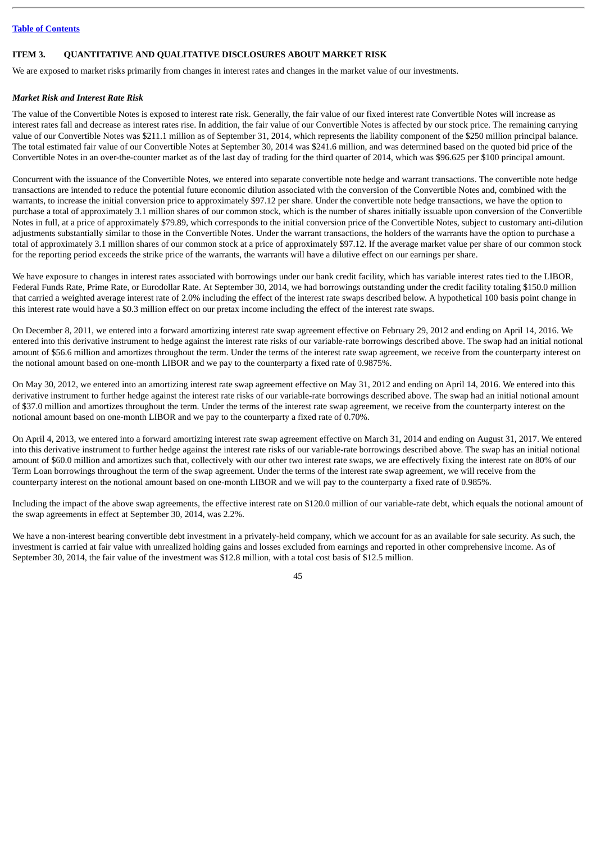#### <span id="page-46-0"></span>**ITEM 3. QUANTITATIVE AND QUALITATIVE DISCLOSURES ABOUT MARKET RISK**

We are exposed to market risks primarily from changes in interest rates and changes in the market value of our investments.

#### *Market Risk and Interest Rate Risk*

The value of the Convertible Notes is exposed to interest rate risk. Generally, the fair value of our fixed interest rate Convertible Notes will increase as interest rates fall and decrease as interest rates rise. In addition, the fair value of our Convertible Notes is affected by our stock price. The remaining carrying value of our Convertible Notes was \$211.1 million as of September 31, 2014, which represents the liability component of the \$250 million principal balance. The total estimated fair value of our Convertible Notes at September 30, 2014 was \$241.6 million, and was determined based on the quoted bid price of the Convertible Notes in an over-the-counter market as of the last day of trading for the third quarter of 2014, which was \$96.625 per \$100 principal amount.

Concurrent with the issuance of the Convertible Notes, we entered into separate convertible note hedge and warrant transactions. The convertible note hedge transactions are intended to reduce the potential future economic dilution associated with the conversion of the Convertible Notes and, combined with the warrants, to increase the initial conversion price to approximately \$97.12 per share. Under the convertible note hedge transactions, we have the option to purchase a total of approximately 3.1 million shares of our common stock, which is the number of shares initially issuable upon conversion of the Convertible Notes in full, at a price of approximately \$79.89, which corresponds to the initial conversion price of the Convertible Notes, subject to customary anti-dilution adjustments substantially similar to those in the Convertible Notes. Under the warrant transactions, the holders of the warrants have the option to purchase a total of approximately 3.1 million shares of our common stock at a price of approximately \$97.12. If the average market value per share of our common stock for the reporting period exceeds the strike price of the warrants, the warrants will have a dilutive effect on our earnings per share.

We have exposure to changes in interest rates associated with borrowings under our bank credit facility, which has variable interest rates tied to the LIBOR, Federal Funds Rate, Prime Rate, or Eurodollar Rate. At September 30, 2014, we had borrowings outstanding under the credit facility totaling \$150.0 million that carried a weighted average interest rate of 2.0% including the effect of the interest rate swaps described below. A hypothetical 100 basis point change in this interest rate would have a \$0.3 million effect on our pretax income including the effect of the interest rate swaps.

On December 8, 2011, we entered into a forward amortizing interest rate swap agreement effective on February 29, 2012 and ending on April 14, 2016. We entered into this derivative instrument to hedge against the interest rate risks of our variable-rate borrowings described above. The swap had an initial notional amount of \$56.6 million and amortizes throughout the term. Under the terms of the interest rate swap agreement, we receive from the counterparty interest on the notional amount based on one-month LIBOR and we pay to the counterparty a fixed rate of 0.9875%.

On May 30, 2012, we entered into an amortizing interest rate swap agreement effective on May 31, 2012 and ending on April 14, 2016. We entered into this derivative instrument to further hedge against the interest rate risks of our variable-rate borrowings described above. The swap had an initial notional amount of \$37.0 million and amortizes throughout the term. Under the terms of the interest rate swap agreement, we receive from the counterparty interest on the notional amount based on one-month LIBOR and we pay to the counterparty a fixed rate of 0.70%.

On April 4, 2013, we entered into a forward amortizing interest rate swap agreement effective on March 31, 2014 and ending on August 31, 2017. We entered into this derivative instrument to further hedge against the interest rate risks of our variable-rate borrowings described above. The swap has an initial notional amount of \$60.0 million and amortizes such that, collectively with our other two interest rate swaps, we are effectively fixing the interest rate on 80% of our Term Loan borrowings throughout the term of the swap agreement. Under the terms of the interest rate swap agreement, we will receive from the counterparty interest on the notional amount based on one-month LIBOR and we will pay to the counterparty a fixed rate of 0.985%.

Including the impact of the above swap agreements, the effective interest rate on \$120.0 million of our variable-rate debt, which equals the notional amount of the swap agreements in effect at September 30, 2014, was 2.2%.

We have a non-interest bearing convertible debt investment in a privately-held company, which we account for as an available for sale security. As such, the investment is carried at fair value with unrealized holding gains and losses excluded from earnings and reported in other comprehensive income. As of September 30, 2014, the fair value of the investment was \$12.8 million, with a total cost basis of \$12.5 million.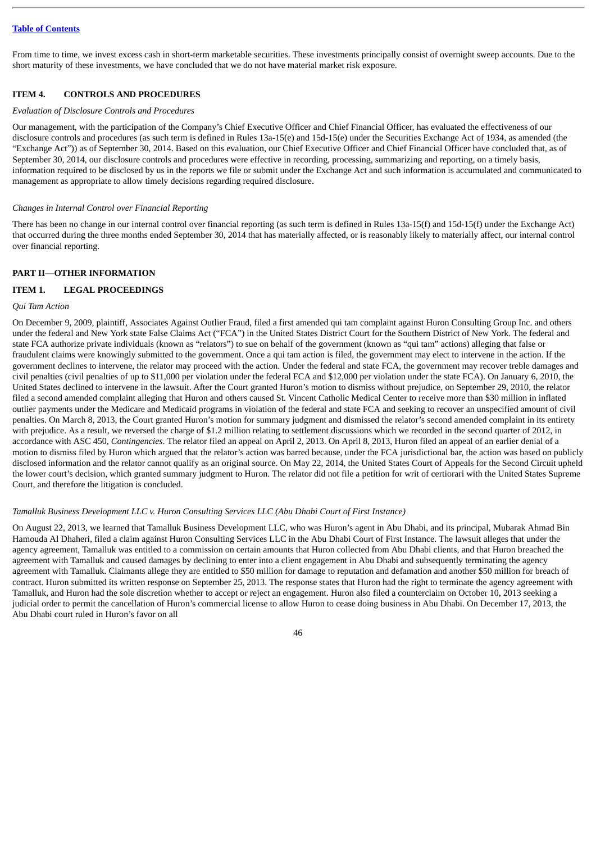From time to time, we invest excess cash in short-term marketable securities. These investments principally consist of overnight sweep accounts. Due to the short maturity of these investments, we have concluded that we do not have material market risk exposure.

#### <span id="page-47-0"></span>**ITEM 4. CONTROLS AND PROCEDURES**

#### *Evaluation of Disclosure Controls and Procedures*

Our management, with the participation of the Company's Chief Executive Officer and Chief Financial Officer, has evaluated the effectiveness of our disclosure controls and procedures (as such term is defined in Rules 13a-15(e) and 15d-15(e) under the Securities Exchange Act of 1934, as amended (the "Exchange Act")) as of September 30, 2014. Based on this evaluation, our Chief Executive Officer and Chief Financial Officer have concluded that, as of September 30, 2014, our disclosure controls and procedures were effective in recording, processing, summarizing and reporting, on a timely basis, information required to be disclosed by us in the reports we file or submit under the Exchange Act and such information is accumulated and communicated to management as appropriate to allow timely decisions regarding required disclosure.

#### *Changes in Internal Control over Financial Reporting*

There has been no change in our internal control over financial reporting (as such term is defined in Rules 13a-15(f) and 15d-15(f) under the Exchange Act) that occurred during the three months ended September 30, 2014 that has materially affected, or is reasonably likely to materially affect, our internal control over financial reporting.

## <span id="page-47-1"></span>**PART II—OTHER INFORMATION**

## <span id="page-47-2"></span>**ITEM 1. LEGAL PROCEEDINGS**

#### *Qui Tam Action*

On December 9, 2009, plaintiff, Associates Against Outlier Fraud, filed a first amended qui tam complaint against Huron Consulting Group Inc. and others under the federal and New York state False Claims Act ("FCA") in the United States District Court for the Southern District of New York. The federal and state FCA authorize private individuals (known as "relators") to sue on behalf of the government (known as "qui tam" actions) alleging that false or fraudulent claims were knowingly submitted to the government. Once a qui tam action is filed, the government may elect to intervene in the action. If the government declines to intervene, the relator may proceed with the action. Under the federal and state FCA, the government may recover treble damages and civil penalties (civil penalties of up to \$11,000 per violation under the federal FCA and \$12,000 per violation under the state FCA). On January 6, 2010, the United States declined to intervene in the lawsuit. After the Court granted Huron's motion to dismiss without prejudice, on September 29, 2010, the relator filed a second amended complaint alleging that Huron and others caused St. Vincent Catholic Medical Center to receive more than \$30 million in inflated outlier payments under the Medicare and Medicaid programs in violation of the federal and state FCA and seeking to recover an unspecified amount of civil penalties. On March 8, 2013, the Court granted Huron's motion for summary judgment and dismissed the relator's second amended complaint in its entirety with prejudice. As a result, we reversed the charge of \$1.2 million relating to settlement discussions which we recorded in the second quarter of 2012, in accordance with ASC 450, *Contingencies*. The relator filed an appeal on April 2, 2013. On April 8, 2013, Huron filed an appeal of an earlier denial of a motion to dismiss filed by Huron which argued that the relator's action was barred because, under the FCA jurisdictional bar, the action was based on publicly disclosed information and the relator cannot qualify as an original source. On May 22, 2014, the United States Court of Appeals for the Second Circuit upheld the lower court's decision, which granted summary judgment to Huron. The relator did not file a petition for writ of certiorari with the United States Supreme Court, and therefore the litigation is concluded.

#### *Tamalluk Business Development LLC v. Huron Consulting Services LLC (Abu Dhabi Court of First Instance)*

On August 22, 2013, we learned that Tamalluk Business Development LLC, who was Huron's agent in Abu Dhabi, and its principal, Mubarak Ahmad Bin Hamouda Al Dhaheri, filed a claim against Huron Consulting Services LLC in the Abu Dhabi Court of First Instance. The lawsuit alleges that under the agency agreement, Tamalluk was entitled to a commission on certain amounts that Huron collected from Abu Dhabi clients, and that Huron breached the agreement with Tamalluk and caused damages by declining to enter into a client engagement in Abu Dhabi and subsequently terminating the agency agreement with Tamalluk. Claimants allege they are entitled to \$50 million for damage to reputation and defamation and another \$50 million for breach of contract. Huron submitted its written response on September 25, 2013. The response states that Huron had the right to terminate the agency agreement with Tamalluk, and Huron had the sole discretion whether to accept or reject an engagement. Huron also filed a counterclaim on October 10, 2013 seeking a judicial order to permit the cancellation of Huron's commercial license to allow Huron to cease doing business in Abu Dhabi. On December 17, 2013, the Abu Dhabi court ruled in Huron's favor on all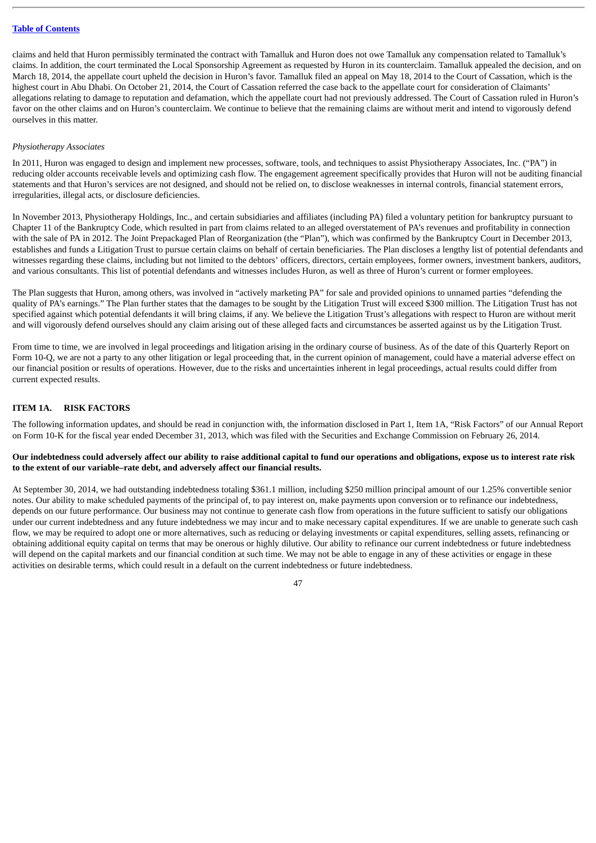claims and held that Huron permissibly terminated the contract with Tamalluk and Huron does not owe Tamalluk any compensation related to Tamalluk's claims. In addition, the court terminated the Local Sponsorship Agreement as requested by Huron in its counterclaim. Tamalluk appealed the decision, and on March 18, 2014, the appellate court upheld the decision in Huron's favor. Tamalluk filed an appeal on May 18, 2014 to the Court of Cassation, which is the highest court in Abu Dhabi. On October 21, 2014, the Court of Cassation referred the case back to the appellate court for consideration of Claimants' allegations relating to damage to reputation and defamation, which the appellate court had not previously addressed. The Court of Cassation ruled in Huron's favor on the other claims and on Huron's counterclaim. We continue to believe that the remaining claims are without merit and intend to vigorously defend ourselves in this matter.

#### *Physiotherapy Associates*

In 2011, Huron was engaged to design and implement new processes, software, tools, and techniques to assist Physiotherapy Associates, Inc. ("PA") in reducing older accounts receivable levels and optimizing cash flow. The engagement agreement specifically provides that Huron will not be auditing financial statements and that Huron's services are not designed, and should not be relied on, to disclose weaknesses in internal controls, financial statement errors, irregularities, illegal acts, or disclosure deficiencies.

In November 2013, Physiotherapy Holdings, Inc., and certain subsidiaries and affiliates (including PA) filed a voluntary petition for bankruptcy pursuant to Chapter 11 of the Bankruptcy Code, which resulted in part from claims related to an alleged overstatement of PA's revenues and profitability in connection with the sale of PA in 2012. The Joint Prepackaged Plan of Reorganization (the "Plan"), which was confirmed by the Bankruptcy Court in December 2013, establishes and funds a Litigation Trust to pursue certain claims on behalf of certain beneficiaries. The Plan discloses a lengthy list of potential defendants and witnesses regarding these claims, including but not limited to the debtors' officers, directors, certain employees, former owners, investment bankers, auditors, and various consultants. This list of potential defendants and witnesses includes Huron, as well as three of Huron's current or former employees.

The Plan suggests that Huron, among others, was involved in "actively marketing PA" for sale and provided opinions to unnamed parties "defending the quality of PA's earnings." The Plan further states that the damages to be sought by the Litigation Trust will exceed \$300 million. The Litigation Trust has not specified against which potential defendants it will bring claims, if any. We believe the Litigation Trust's allegations with respect to Huron are without merit and will vigorously defend ourselves should any claim arising out of these alleged facts and circumstances be asserted against us by the Litigation Trust.

From time to time, we are involved in legal proceedings and litigation arising in the ordinary course of business. As of the date of this Quarterly Report on Form 10-Q, we are not a party to any other litigation or legal proceeding that, in the current opinion of management, could have a material adverse effect on our financial position or results of operations. However, due to the risks and uncertainties inherent in legal proceedings, actual results could differ from current expected results.

#### <span id="page-48-0"></span>**ITEM 1A. RISK FACTORS**

The following information updates, and should be read in conjunction with, the information disclosed in Part 1, Item 1A, "Risk Factors" of our Annual Report on Form 10-K for the fiscal year ended December 31, 2013, which was filed with the Securities and Exchange Commission on February 26, 2014.

## Our indebtedness could adversely affect our ability to raise additional capital to fund our operations and obligations, expose us to interest rate risk **to the extent of our variable–rate debt, and adversely affect our financial results.**

At September 30, 2014, we had outstanding indebtedness totaling \$361.1 million, including \$250 million principal amount of our 1.25% convertible senior notes. Our ability to make scheduled payments of the principal of, to pay interest on, make payments upon conversion or to refinance our indebtedness, depends on our future performance. Our business may not continue to generate cash flow from operations in the future sufficient to satisfy our obligations under our current indebtedness and any future indebtedness we may incur and to make necessary capital expenditures. If we are unable to generate such cash flow, we may be required to adopt one or more alternatives, such as reducing or delaying investments or capital expenditures, selling assets, refinancing or obtaining additional equity capital on terms that may be onerous or highly dilutive. Our ability to refinance our current indebtedness or future indebtedness will depend on the capital markets and our financial condition at such time. We may not be able to engage in any of these activities or engage in these activities on desirable terms, which could result in a default on the current indebtedness or future indebtedness.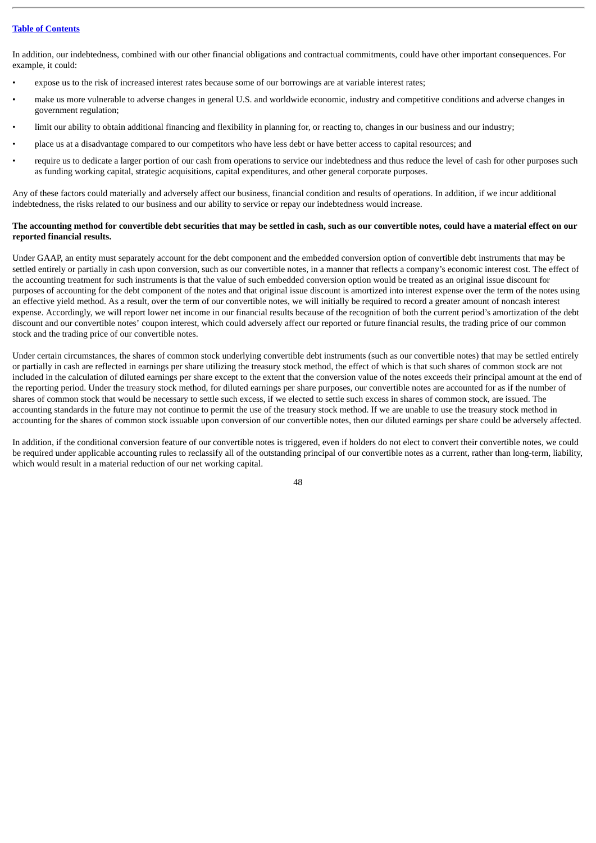In addition, our indebtedness, combined with our other financial obligations and contractual commitments, could have other important consequences. For example, it could:

- expose us to the risk of increased interest rates because some of our borrowings are at variable interest rates;
- make us more vulnerable to adverse changes in general U.S. and worldwide economic, industry and competitive conditions and adverse changes in government regulation;
- limit our ability to obtain additional financing and flexibility in planning for, or reacting to, changes in our business and our industry;
- place us at a disadvantage compared to our competitors who have less debt or have better access to capital resources; and
- require us to dedicate a larger portion of our cash from operations to service our indebtedness and thus reduce the level of cash for other purposes such as funding working capital, strategic acquisitions, capital expenditures, and other general corporate purposes.

Any of these factors could materially and adversely affect our business, financial condition and results of operations. In addition, if we incur additional indebtedness, the risks related to our business and our ability to service or repay our indebtedness would increase.

#### The accounting method for convertible debt securities that may be settled in cash, such as our convertible notes, could have a material effect on our **reported financial results.**

Under GAAP, an entity must separately account for the debt component and the embedded conversion option of convertible debt instruments that may be settled entirely or partially in cash upon conversion, such as our convertible notes, in a manner that reflects a company's economic interest cost. The effect of the accounting treatment for such instruments is that the value of such embedded conversion option would be treated as an original issue discount for purposes of accounting for the debt component of the notes and that original issue discount is amortized into interest expense over the term of the notes using an effective yield method. As a result, over the term of our convertible notes, we will initially be required to record a greater amount of noncash interest expense. Accordingly, we will report lower net income in our financial results because of the recognition of both the current period's amortization of the debt discount and our convertible notes' coupon interest, which could adversely affect our reported or future financial results, the trading price of our common stock and the trading price of our convertible notes.

Under certain circumstances, the shares of common stock underlying convertible debt instruments (such as our convertible notes) that may be settled entirely or partially in cash are reflected in earnings per share utilizing the treasury stock method, the effect of which is that such shares of common stock are not included in the calculation of diluted earnings per share except to the extent that the conversion value of the notes exceeds their principal amount at the end of the reporting period. Under the treasury stock method, for diluted earnings per share purposes, our convertible notes are accounted for as if the number of shares of common stock that would be necessary to settle such excess, if we elected to settle such excess in shares of common stock, are issued. The accounting standards in the future may not continue to permit the use of the treasury stock method. If we are unable to use the treasury stock method in accounting for the shares of common stock issuable upon conversion of our convertible notes, then our diluted earnings per share could be adversely affected.

In addition, if the conditional conversion feature of our convertible notes is triggered, even if holders do not elect to convert their convertible notes, we could be required under applicable accounting rules to reclassify all of the outstanding principal of our convertible notes as a current, rather than long-term, liability, which would result in a material reduction of our net working capital.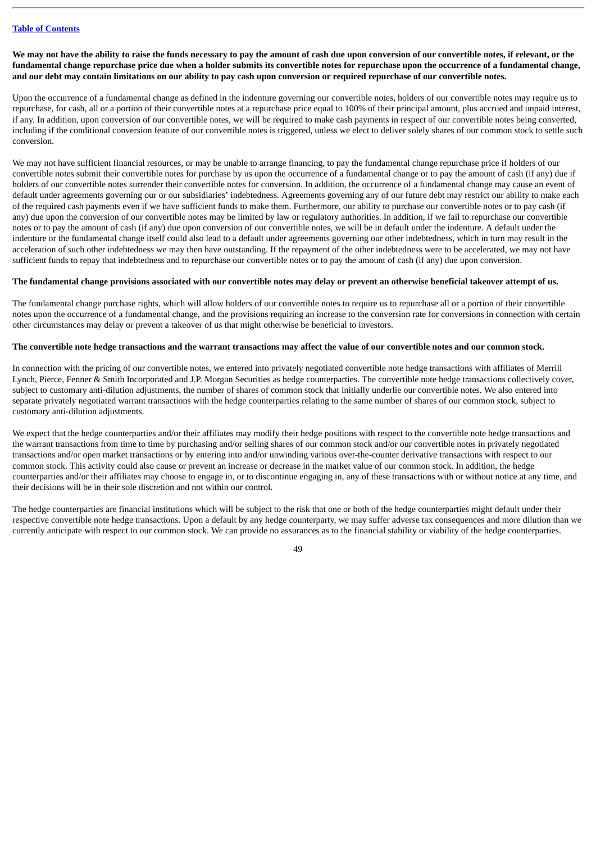We may not have the ability to raise the funds necessary to pay the amount of cash due upon conversion of our convertible notes, if relevant, or the fundamental change repurchase price due when a holder submits its convertible notes for repurchase upon the occurrence of a fundamental change, and our debt may contain limitations on our ability to pay cash upon conversion or required repurchase of our convertible notes.

Upon the occurrence of a fundamental change as defined in the indenture governing our convertible notes, holders of our convertible notes may require us to repurchase, for cash, all or a portion of their convertible notes at a repurchase price equal to 100% of their principal amount, plus accrued and unpaid interest, if any. In addition, upon conversion of our convertible notes, we will be required to make cash payments in respect of our convertible notes being converted, including if the conditional conversion feature of our convertible notes is triggered, unless we elect to deliver solely shares of our common stock to settle such conversion.

We may not have sufficient financial resources, or may be unable to arrange financing, to pay the fundamental change repurchase price if holders of our convertible notes submit their convertible notes for purchase by us upon the occurrence of a fundamental change or to pay the amount of cash (if any) due if holders of our convertible notes surrender their convertible notes for conversion. In addition, the occurrence of a fundamental change may cause an event of default under agreements governing our or our subsidiaries' indebtedness. Agreements governing any of our future debt may restrict our ability to make each of the required cash payments even if we have sufficient funds to make them. Furthermore, our ability to purchase our convertible notes or to pay cash (if any) due upon the conversion of our convertible notes may be limited by law or regulatory authorities. In addition, if we fail to repurchase our convertible notes or to pay the amount of cash (if any) due upon conversion of our convertible notes, we will be in default under the indenture. A default under the indenture or the fundamental change itself could also lead to a default under agreements governing our other indebtedness, which in turn may result in the acceleration of such other indebtedness we may then have outstanding. If the repayment of the other indebtedness were to be accelerated, we may not have sufficient funds to repay that indebtedness and to repurchase our convertible notes or to pay the amount of cash (if any) due upon conversion.

#### The fundamental change provisions associated with our convertible notes may delay or prevent an otherwise beneficial takeover attempt of us.

The fundamental change purchase rights, which will allow holders of our convertible notes to require us to repurchase all or a portion of their convertible notes upon the occurrence of a fundamental change, and the provisions requiring an increase to the conversion rate for conversions in connection with certain other circumstances may delay or prevent a takeover of us that might otherwise be beneficial to investors.

#### The convertible note hedge transactions and the warrant transactions may affect the value of our convertible notes and our common stock.

In connection with the pricing of our convertible notes, we entered into privately negotiated convertible note hedge transactions with affiliates of Merrill Lynch, Pierce, Fenner & Smith Incorporated and J.P. Morgan Securities as hedge counterparties. The convertible note hedge transactions collectively cover, subject to customary anti-dilution adjustments, the number of shares of common stock that initially underlie our convertible notes. We also entered into separate privately negotiated warrant transactions with the hedge counterparties relating to the same number of shares of our common stock, subject to customary anti-dilution adjustments.

We expect that the hedge counterparties and/or their affiliates may modify their hedge positions with respect to the convertible note hedge transactions and the warrant transactions from time to time by purchasing and/or selling shares of our common stock and/or our convertible notes in privately negotiated transactions and/or open market transactions or by entering into and/or unwinding various over-the-counter derivative transactions with respect to our common stock. This activity could also cause or prevent an increase or decrease in the market value of our common stock. In addition, the hedge counterparties and/or their affiliates may choose to engage in, or to discontinue engaging in, any of these transactions with or without notice at any time, and their decisions will be in their sole discretion and not within our control.

The hedge counterparties are financial institutions which will be subject to the risk that one or both of the hedge counterparties might default under their respective convertible note hedge transactions. Upon a default by any hedge counterparty, we may suffer adverse tax consequences and more dilution than we currently anticipate with respect to our common stock. We can provide no assurances as to the financial stability or viability of the hedge counterparties.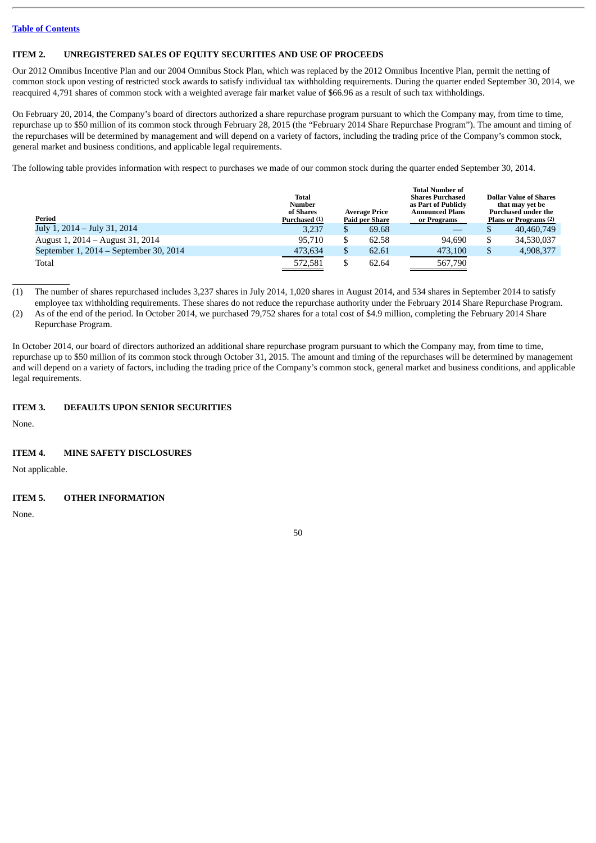#### <span id="page-51-0"></span>**ITEM 2. UNREGISTERED SALES OF EQUITY SECURITIES AND USE OF PROCEEDS**

Our 2012 Omnibus Incentive Plan and our 2004 Omnibus Stock Plan, which was replaced by the 2012 Omnibus Incentive Plan, permit the netting of common stock upon vesting of restricted stock awards to satisfy individual tax withholding requirements. During the quarter ended September 30, 2014, we reacquired 4,791 shares of common stock with a weighted average fair market value of \$66.96 as a result of such tax withholdings.

On February 20, 2014, the Company's board of directors authorized a share repurchase program pursuant to which the Company may, from time to time, repurchase up to \$50 million of its common stock through February 28, 2015 (the "February 2014 Share Repurchase Program"). The amount and timing of the repurchases will be determined by management and will depend on a variety of factors, including the trading price of the Company's common stock, general market and business conditions, and applicable legal requirements.

The following table provides information with respect to purchases we made of our common stock during the quarter ended September 30, 2014.

| Period                                 | <b>Total</b><br><b>Number</b><br>of Shares<br>Purchased (1) |    | <b>Average Price</b><br>Paid per Share | <b>Total Number of</b><br><b>Shares Purchased</b><br>as Part of Publicly<br><b>Announced Plans</b><br>or Programs | <b>Dollar Value of Shares</b><br>that may yet be<br>Purchased under the<br>Plans or Programs (2) |            |
|----------------------------------------|-------------------------------------------------------------|----|----------------------------------------|-------------------------------------------------------------------------------------------------------------------|--------------------------------------------------------------------------------------------------|------------|
| July 1, 2014 – July 31, 2014           | 3,237                                                       | S  | 69.68                                  |                                                                                                                   |                                                                                                  | 40,460,749 |
| August 1, 2014 – August 31, 2014       | 95,710                                                      | S  | 62.58                                  | 94.690                                                                                                            | \$                                                                                               | 34,530,037 |
| September 1, 2014 – September 30, 2014 | 473.634                                                     | \$ | 62.61                                  | 473.100                                                                                                           |                                                                                                  | 4,908,377  |
| Total                                  | 572,581                                                     | \$ | 62.64                                  | 567,790                                                                                                           |                                                                                                  |            |

<sup>(1)</sup> The number of shares repurchased includes 3,237 shares in July 2014, 1,020 shares in August 2014, and 534 shares in September 2014 to satisfy employee tax withholding requirements. These shares do not reduce the repurchase authority under the February 2014 Share Repurchase Program.

In October 2014, our board of directors authorized an additional share repurchase program pursuant to which the Company may, from time to time, repurchase up to \$50 million of its common stock through October 31, 2015. The amount and timing of the repurchases will be determined by management and will depend on a variety of factors, including the trading price of the Company's common stock, general market and business conditions, and applicable legal requirements.

#### <span id="page-51-1"></span>**ITEM 3. DEFAULTS UPON SENIOR SECURITIES**

None.

#### <span id="page-51-2"></span>**ITEM 4. MINE SAFETY DISCLOSURES**

Not applicable.

#### <span id="page-51-3"></span>**ITEM 5. OTHER INFORMATION**

None.

<sup>(2)</sup> As of the end of the period. In October 2014, we purchased 79,752 shares for a total cost of \$4.9 million, completing the February 2014 Share Repurchase Program.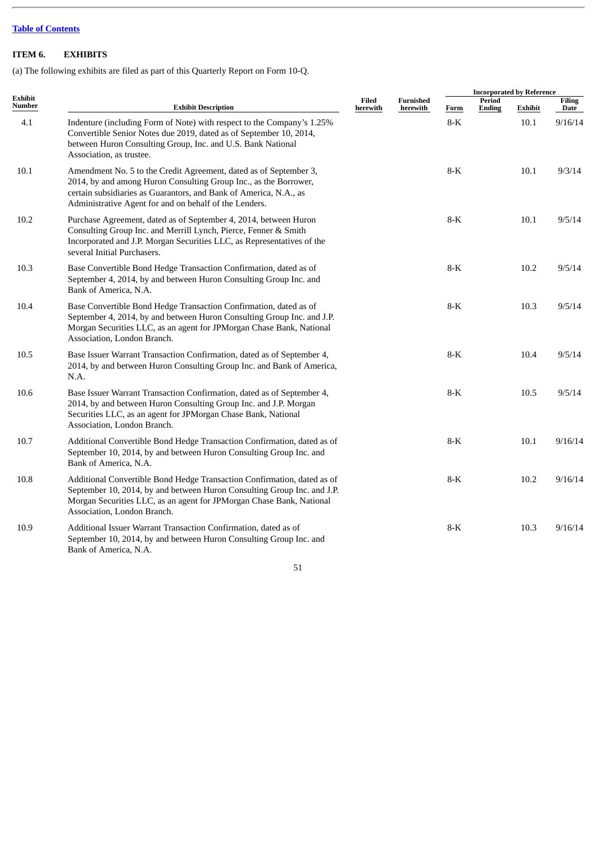## <span id="page-52-0"></span>**ITEM 6. EXHIBITS**

(a) The following exhibits are filed as part of this Quarterly Report on Form 10-Q.

|                   |                                                                                                                                                                                                                                                                      |                   |                              | <b>Incorporated by Reference</b> |                                |         |                       |
|-------------------|----------------------------------------------------------------------------------------------------------------------------------------------------------------------------------------------------------------------------------------------------------------------|-------------------|------------------------------|----------------------------------|--------------------------------|---------|-----------------------|
| Exhibit<br>Number | <b>Exhibit Description</b>                                                                                                                                                                                                                                           | Filed<br>herewith | <b>Furnished</b><br>herewith | Form                             | <b>Period</b><br><b>Ending</b> | Exhibit | <b>Filing</b><br>Date |
| 4.1               | Indenture (including Form of Note) with respect to the Company's 1.25%<br>Convertible Senior Notes due 2019, dated as of September 10, 2014,<br>between Huron Consulting Group, Inc. and U.S. Bank National<br>Association, as trustee.                              |                   |                              | $8-K$                            |                                | 10.1    | 9/16/14               |
| 10.1              | Amendment No. 5 to the Credit Agreement, dated as of September 3,<br>2014, by and among Huron Consulting Group Inc., as the Borrower,<br>certain subsidiaries as Guarantors, and Bank of America, N.A., as<br>Administrative Agent for and on behalf of the Lenders. |                   |                              | $8-K$                            |                                | 10.1    | 9/3/14                |
| 10.2              | Purchase Agreement, dated as of September 4, 2014, between Huron<br>Consulting Group Inc. and Merrill Lynch, Pierce, Fenner & Smith<br>Incorporated and J.P. Morgan Securities LLC, as Representatives of the<br>several Initial Purchasers.                         |                   |                              | $8-K$                            |                                | 10.1    | 9/5/14                |
| 10.3              | Base Convertible Bond Hedge Transaction Confirmation, dated as of<br>September 4, 2014, by and between Huron Consulting Group Inc. and<br>Bank of America, N.A.                                                                                                      |                   |                              | $8-K$                            |                                | 10.2    | 9/5/14                |
| 10.4              | Base Convertible Bond Hedge Transaction Confirmation, dated as of<br>September 4, 2014, by and between Huron Consulting Group Inc. and J.P.<br>Morgan Securities LLC, as an agent for JPMorgan Chase Bank, National<br>Association, London Branch.                   |                   |                              | $8-K$                            |                                | 10.3    | 9/5/14                |
| 10.5              | Base Issuer Warrant Transaction Confirmation, dated as of September 4,<br>2014, by and between Huron Consulting Group Inc. and Bank of America,<br>N.A.                                                                                                              |                   |                              | $8-K$                            |                                | 10.4    | 9/5/14                |
| 10.6              | Base Issuer Warrant Transaction Confirmation, dated as of September 4,<br>2014, by and between Huron Consulting Group Inc. and J.P. Morgan<br>Securities LLC, as an agent for JPMorgan Chase Bank, National<br>Association, London Branch.                           |                   |                              | $8-K$                            |                                | 10.5    | 9/5/14                |
| 10.7              | Additional Convertible Bond Hedge Transaction Confirmation, dated as of<br>September 10, 2014, by and between Huron Consulting Group Inc. and<br>Bank of America, N.A.                                                                                               |                   |                              | $8-K$                            |                                | 10.1    | 9/16/14               |
| 10.8              | Additional Convertible Bond Hedge Transaction Confirmation, dated as of<br>September 10, 2014, by and between Huron Consulting Group Inc. and J.P.<br>Morgan Securities LLC, as an agent for JPMorgan Chase Bank, National<br>Association, London Branch.            |                   |                              | $8-K$                            |                                | 10.2    | 9/16/14               |
| 10.9              | Additional Issuer Warrant Transaction Confirmation, dated as of<br>September 10, 2014, by and between Huron Consulting Group Inc. and<br>Bank of America, N.A.                                                                                                       |                   |                              | $8-K$                            |                                | 10.3    | 9/16/14               |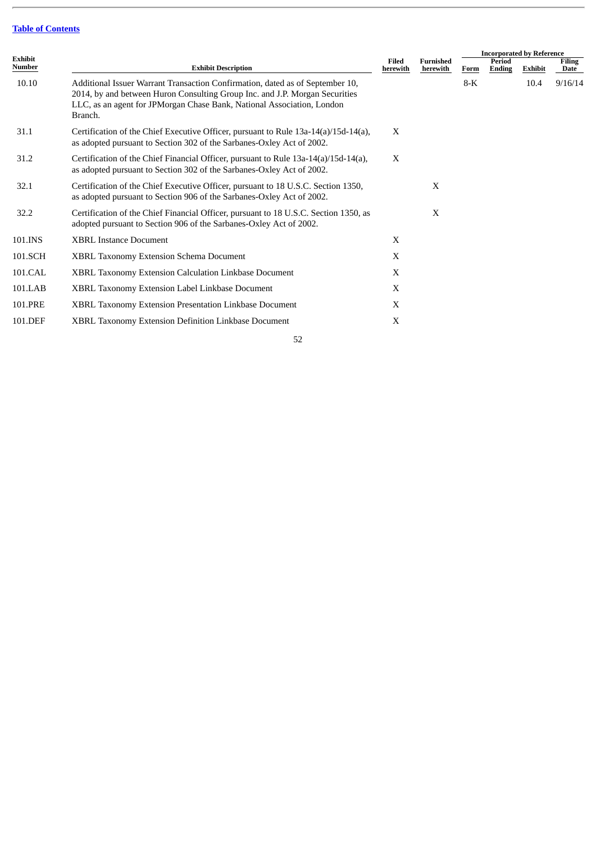$\overline{a}$ 

|                                                                                                                                                                                                                                                   |                   |                              | <b>Incorporated by Reference</b> |               |         |                       |
|---------------------------------------------------------------------------------------------------------------------------------------------------------------------------------------------------------------------------------------------------|-------------------|------------------------------|----------------------------------|---------------|---------|-----------------------|
| <b>Exhibit Description</b>                                                                                                                                                                                                                        | Filed<br>herewith | <b>Furnished</b><br>herewith | Form                             | <b>Ending</b> | Exhibit | <b>Filing</b><br>Date |
| Additional Issuer Warrant Transaction Confirmation, dated as of September 10,<br>2014, by and between Huron Consulting Group Inc. and J.P. Morgan Securities<br>LLC, as an agent for JPMorgan Chase Bank, National Association, London<br>Branch. |                   |                              | $8-K$                            |               | 10.4    | 9/16/14               |
| Certification of the Chief Executive Officer, pursuant to Rule 13a-14(a)/15d-14(a),<br>as adopted pursuant to Section 302 of the Sarbanes-Oxley Act of 2002.                                                                                      | X                 |                              |                                  |               |         |                       |
| Certification of the Chief Financial Officer, pursuant to Rule 13a-14(a)/15d-14(a),<br>as adopted pursuant to Section 302 of the Sarbanes-Oxley Act of 2002.                                                                                      | X                 |                              |                                  |               |         |                       |
| Certification of the Chief Executive Officer, pursuant to 18 U.S.C. Section 1350,<br>as adopted pursuant to Section 906 of the Sarbanes-Oxley Act of 2002.                                                                                        |                   | X                            |                                  |               |         |                       |
| Certification of the Chief Financial Officer, pursuant to 18 U.S.C. Section 1350, as<br>adopted pursuant to Section 906 of the Sarbanes-Oxley Act of 2002.                                                                                        |                   | X                            |                                  |               |         |                       |
| <b>XBRL Instance Document</b>                                                                                                                                                                                                                     | X                 |                              |                                  |               |         |                       |
| <b>XBRL Taxonomy Extension Schema Document</b>                                                                                                                                                                                                    | X                 |                              |                                  |               |         |                       |
| <b>XBRL Taxonomy Extension Calculation Linkbase Document</b>                                                                                                                                                                                      | X                 |                              |                                  |               |         |                       |
| XBRL Taxonomy Extension Label Linkbase Document                                                                                                                                                                                                   | X                 |                              |                                  |               |         |                       |
| XBRL Taxonomy Extension Presentation Linkbase Document                                                                                                                                                                                            | X                 |                              |                                  |               |         |                       |
| XBRL Taxonomy Extension Definition Linkbase Document                                                                                                                                                                                              | X                 |                              |                                  |               |         |                       |
|                                                                                                                                                                                                                                                   |                   |                              |                                  |               | Period  |                       |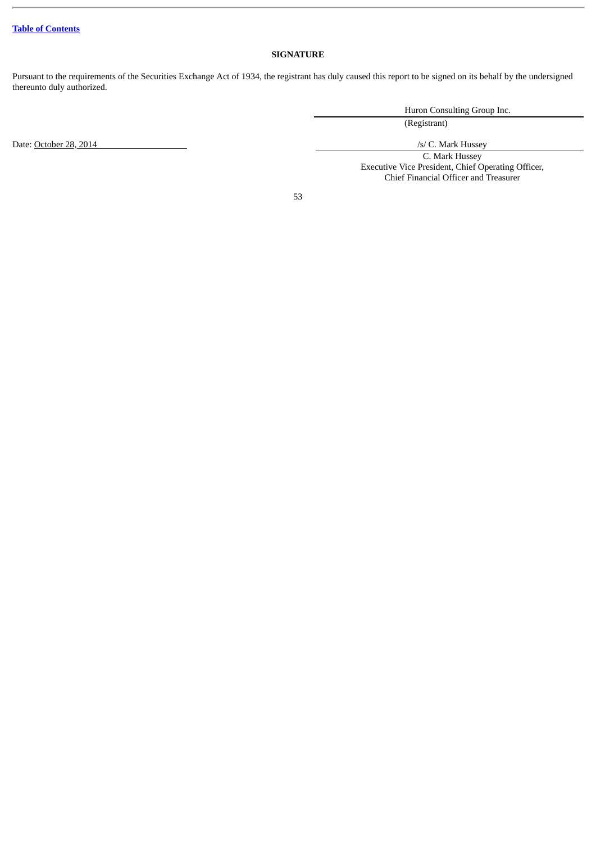## **SIGNATURE**

<span id="page-54-0"></span>Pursuant to the requirements of the Securities Exchange Act of 1934, the registrant has duly caused this report to be signed on its behalf by the undersigned thereunto duly authorized.

Huron Consulting Group Inc.

(Registrant)

Date: October 28, 2014 /s/ C. Mark Hussey

C. Mark Hussey Executive Vice President, Chief Operating Officer, Chief Financial Officer and Treasurer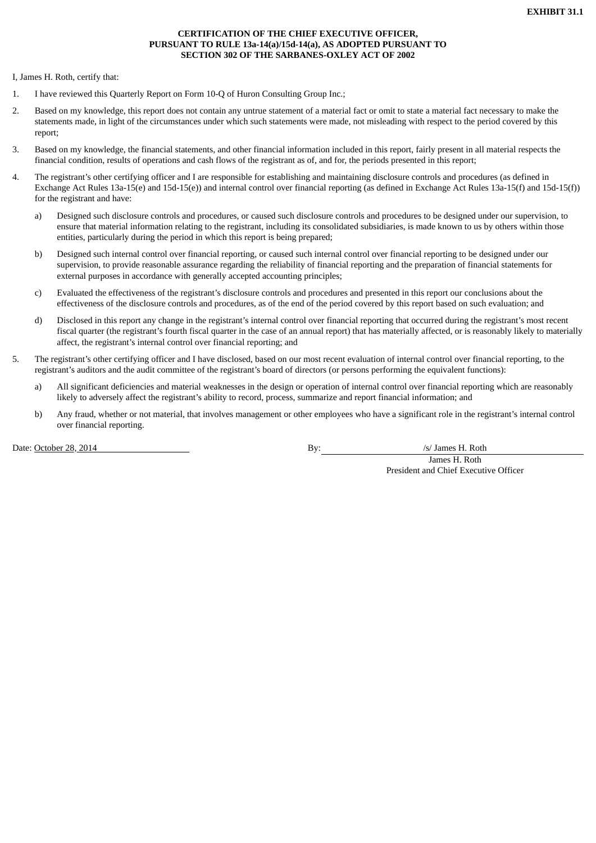#### **CERTIFICATION OF THE CHIEF EXECUTIVE OFFICER, PURSUANT TO RULE 13a-14(a)/15d-14(a), AS ADOPTED PURSUANT TO SECTION 302 OF THE SARBANES-OXLEY ACT OF 2002**

I, James H. Roth, certify that:

- 1. I have reviewed this Quarterly Report on Form 10-Q of Huron Consulting Group Inc.;
- 2. Based on my knowledge, this report does not contain any untrue statement of a material fact or omit to state a material fact necessary to make the statements made, in light of the circumstances under which such statements were made, not misleading with respect to the period covered by this report;
- 3. Based on my knowledge, the financial statements, and other financial information included in this report, fairly present in all material respects the financial condition, results of operations and cash flows of the registrant as of, and for, the periods presented in this report;
- 4. The registrant's other certifying officer and I are responsible for establishing and maintaining disclosure controls and procedures (as defined in Exchange Act Rules 13a-15(e) and 15d-15(e)) and internal control over financial reporting (as defined in Exchange Act Rules 13a-15(f) and 15d-15(f)) for the registrant and have:
	- a) Designed such disclosure controls and procedures, or caused such disclosure controls and procedures to be designed under our supervision, to ensure that material information relating to the registrant, including its consolidated subsidiaries, is made known to us by others within those entities, particularly during the period in which this report is being prepared;
	- b) Designed such internal control over financial reporting, or caused such internal control over financial reporting to be designed under our supervision, to provide reasonable assurance regarding the reliability of financial reporting and the preparation of financial statements for external purposes in accordance with generally accepted accounting principles;
	- c) Evaluated the effectiveness of the registrant's disclosure controls and procedures and presented in this report our conclusions about the effectiveness of the disclosure controls and procedures, as of the end of the period covered by this report based on such evaluation; and
	- d) Disclosed in this report any change in the registrant's internal control over financial reporting that occurred during the registrant's most recent fiscal quarter (the registrant's fourth fiscal quarter in the case of an annual report) that has materially affected, or is reasonably likely to materially affect, the registrant's internal control over financial reporting; and
- 5. The registrant's other certifying officer and I have disclosed, based on our most recent evaluation of internal control over financial reporting, to the registrant's auditors and the audit committee of the registrant's board of directors (or persons performing the equivalent functions):
	- a) All significant deficiencies and material weaknesses in the design or operation of internal control over financial reporting which are reasonably likely to adversely affect the registrant's ability to record, process, summarize and report financial information; and
	- b) Any fraud, whether or not material, that involves management or other employees who have a significant role in the registrant's internal control over financial reporting.

Date: <u>October 28, 2014</u> **By:** *Solution By: Solution By: Solution By: Solution By: Solution By: Solution By: Solution By: Solution By: Solution By: Solution By: Solution By: Solution By: Solution B* 

James H. Roth President and Chief Executive Officer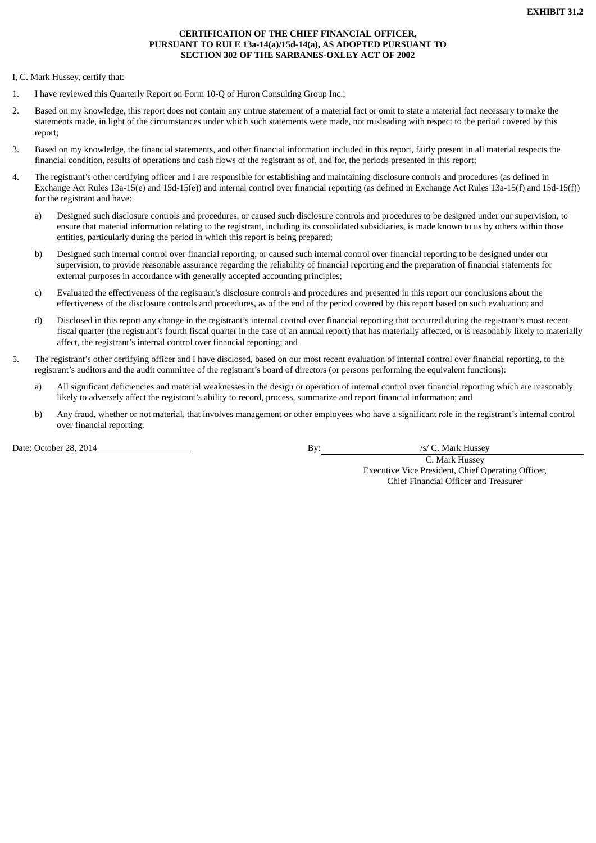#### **CERTIFICATION OF THE CHIEF FINANCIAL OFFICER, PURSUANT TO RULE 13a-14(a)/15d-14(a), AS ADOPTED PURSUANT TO SECTION 302 OF THE SARBANES-OXLEY ACT OF 2002**

I, C. Mark Hussey, certify that:

- 1. I have reviewed this Quarterly Report on Form 10-Q of Huron Consulting Group Inc.;
- 2. Based on my knowledge, this report does not contain any untrue statement of a material fact or omit to state a material fact necessary to make the statements made, in light of the circumstances under which such statements were made, not misleading with respect to the period covered by this report;
- 3. Based on my knowledge, the financial statements, and other financial information included in this report, fairly present in all material respects the financial condition, results of operations and cash flows of the registrant as of, and for, the periods presented in this report;
- 4. The registrant's other certifying officer and I are responsible for establishing and maintaining disclosure controls and procedures (as defined in Exchange Act Rules 13a-15(e) and 15d-15(e)) and internal control over financial reporting (as defined in Exchange Act Rules 13a-15(f) and 15d-15(f)) for the registrant and have:
	- a) Designed such disclosure controls and procedures, or caused such disclosure controls and procedures to be designed under our supervision, to ensure that material information relating to the registrant, including its consolidated subsidiaries, is made known to us by others within those entities, particularly during the period in which this report is being prepared;
	- b) Designed such internal control over financial reporting, or caused such internal control over financial reporting to be designed under our supervision, to provide reasonable assurance regarding the reliability of financial reporting and the preparation of financial statements for external purposes in accordance with generally accepted accounting principles;
	- c) Evaluated the effectiveness of the registrant's disclosure controls and procedures and presented in this report our conclusions about the effectiveness of the disclosure controls and procedures, as of the end of the period covered by this report based on such evaluation; and
	- d) Disclosed in this report any change in the registrant's internal control over financial reporting that occurred during the registrant's most recent fiscal quarter (the registrant's fourth fiscal quarter in the case of an annual report) that has materially affected, or is reasonably likely to materially affect, the registrant's internal control over financial reporting; and
- 5. The registrant's other certifying officer and I have disclosed, based on our most recent evaluation of internal control over financial reporting, to the registrant's auditors and the audit committee of the registrant's board of directors (or persons performing the equivalent functions):
	- a) All significant deficiencies and material weaknesses in the design or operation of internal control over financial reporting which are reasonably likely to adversely affect the registrant's ability to record, process, summarize and report financial information; and
	- b) Any fraud, whether or not material, that involves management or other employees who have a significant role in the registrant's internal control over financial reporting.

Date: <u>October 28, 2014</u> 2008 2009 2014 By: <sup>/s/</sup> C. Mark Hussey

C. Mark Hussey Executive Vice President, Chief Operating Officer, Chief Financial Officer and Treasurer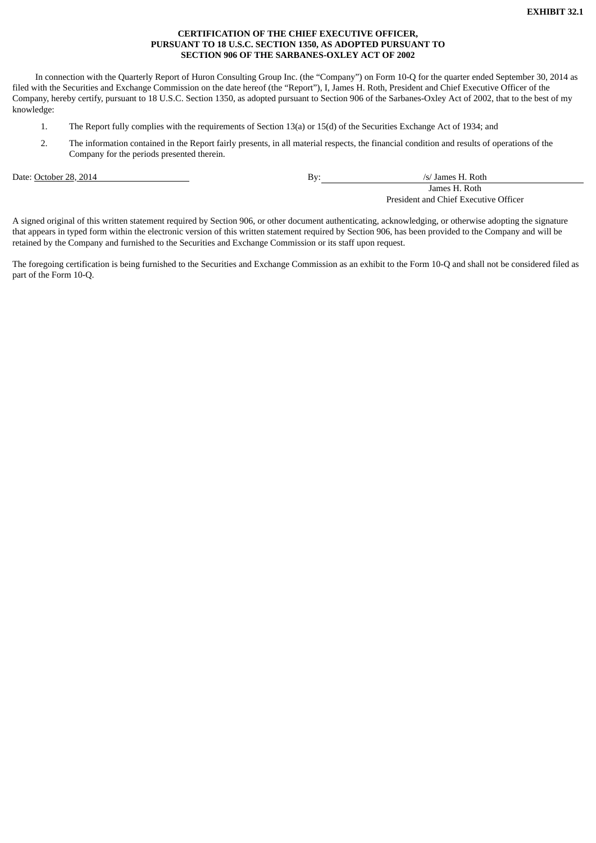#### **CERTIFICATION OF THE CHIEF EXECUTIVE OFFICER, PURSUANT TO 18 U.S.C. SECTION 1350, AS ADOPTED PURSUANT TO SECTION 906 OF THE SARBANES-OXLEY ACT OF 2002**

In connection with the Quarterly Report of Huron Consulting Group Inc. (the "Company") on Form 10-Q for the quarter ended September 30, 2014 as filed with the Securities and Exchange Commission on the date hereof (the "Report"), I, James H. Roth, President and Chief Executive Officer of the Company, hereby certify, pursuant to 18 U.S.C. Section 1350, as adopted pursuant to Section 906 of the Sarbanes-Oxley Act of 2002, that to the best of my knowledge:

- 1. The Report fully complies with the requirements of Section 13(a) or 15(d) of the Securities Exchange Act of 1934; and
- 2. The information contained in the Report fairly presents, in all material respects, the financial condition and results of operations of the Company for the periods presented therein.

Date: October 28, 2014 **By:** *Solution* By: *Also By: /s/ James H. Roth By: Is/ James H. Roth* 

James H. Roth President and Chief Executive Officer

A signed original of this written statement required by Section 906, or other document authenticating, acknowledging, or otherwise adopting the signature that appears in typed form within the electronic version of this written statement required by Section 906, has been provided to the Company and will be retained by the Company and furnished to the Securities and Exchange Commission or its staff upon request.

The foregoing certification is being furnished to the Securities and Exchange Commission as an exhibit to the Form 10-Q and shall not be considered filed as part of the Form 10-Q.